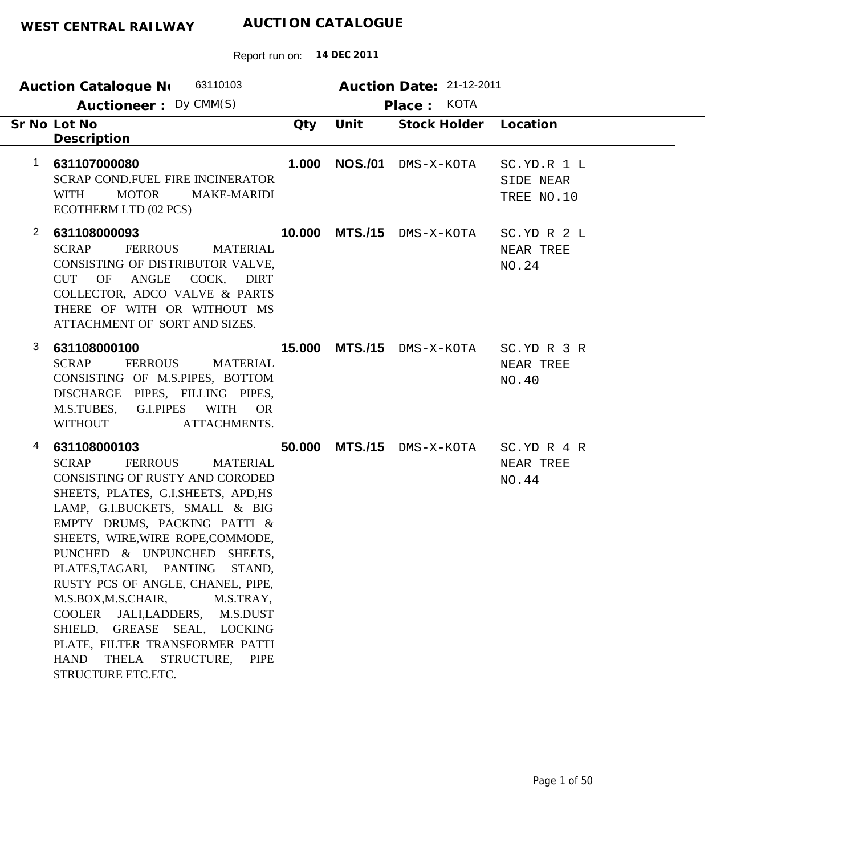|                | 63110103<br>Auction Catalogue No<br>Auctioneer: Dy CMM(S)                                                                                                                                                                                                                                                                                                                                                                                                                                                                                                                                          |        |                | Auction Date: 21-12-2011<br>KOTA<br>Place: |                                        |
|----------------|----------------------------------------------------------------------------------------------------------------------------------------------------------------------------------------------------------------------------------------------------------------------------------------------------------------------------------------------------------------------------------------------------------------------------------------------------------------------------------------------------------------------------------------------------------------------------------------------------|--------|----------------|--------------------------------------------|----------------------------------------|
|                | Sr No Lot No<br>Description                                                                                                                                                                                                                                                                                                                                                                                                                                                                                                                                                                        | Qty    | Unit           | Stock Holder Location                      |                                        |
| 1              | 631107000080<br>SCRAP COND.FUEL FIRE INCINERATOR<br><b>WITH</b><br><b>MOTOR</b><br><b>MAKE-MARIDI</b><br>ECOTHERM LTD (02 PCS)                                                                                                                                                                                                                                                                                                                                                                                                                                                                     | 1.000  | <b>NOS./01</b> | DMS-X-KOTA                                 | SC.YD.R 1 L<br>SIDE NEAR<br>TREE NO.10 |
| $\overline{2}$ | 631108000093<br><b>SCRAP</b><br><b>FERROUS</b><br><b>MATERIAL</b><br>CONSISTING OF DISTRIBUTOR VALVE,<br><b>ANGLE</b><br>COCK, DIRT<br><b>CUT</b><br>OF<br>COLLECTOR, ADCO VALVE & PARTS<br>THERE OF WITH OR WITHOUT MS<br>ATTACHMENT OF SORT AND SIZES.                                                                                                                                                                                                                                                                                                                                           | 10.000 |                | <b>MTS./15</b> DMS-X-KOTA                  | SC.YD R 2 L<br>NEAR TREE<br>NO.24      |
| 3              | 631108000100<br><b>SCRAP</b><br><b>FERROUS</b><br><b>MATERIAL</b><br>CONSISTING OF M.S.PIPES, BOTTOM<br>DISCHARGE PIPES, FILLING PIPES,<br><b>WITH</b><br>M.S.TUBES,<br>G.I.PIPES<br><b>OR</b><br><b>WITHOUT</b><br>ATTACHMENTS.                                                                                                                                                                                                                                                                                                                                                                   | 15,000 |                | MTS./15 DMS-X-KOTA                         | SC.YD R 3 R<br>NEAR TREE<br>NO.40      |
| 4              | 631108000103<br><b>SCRAP</b><br><b>FERROUS</b><br><b>MATERIAL</b><br><b>CONSISTING OF RUSTY AND CORODED</b><br>SHEETS, PLATES, G.I.SHEETS, APD, HS<br>LAMP, G.I.BUCKETS, SMALL & BIG<br>EMPTY DRUMS, PACKING PATTI &<br>SHEETS, WIRE, WIRE ROPE, COMMODE,<br>PUNCHED & UNPUNCHED SHEETS,<br>PLATES, TAGARI, PANTING<br>STAND,<br>RUSTY PCS OF ANGLE, CHANEL, PIPE,<br>M.S.BOX, M.S.CHAIR,<br>M.S.TRAY,<br>COOLER<br>JALI,LADDERS,<br>M.S.DUST<br>SHIELD, GREASE SEAL, LOCKING<br>PLATE, FILTER TRANSFORMER PATTI<br><b>HAND</b><br><b>THELA</b><br>STRUCTURE,<br><b>PIPE</b><br>STRUCTURE ETC.ETC. | 50.000 |                | MTS./15 DMS-X-KOTA                         | SC.YD R 4 R<br>NEAR TREE<br>NO.44      |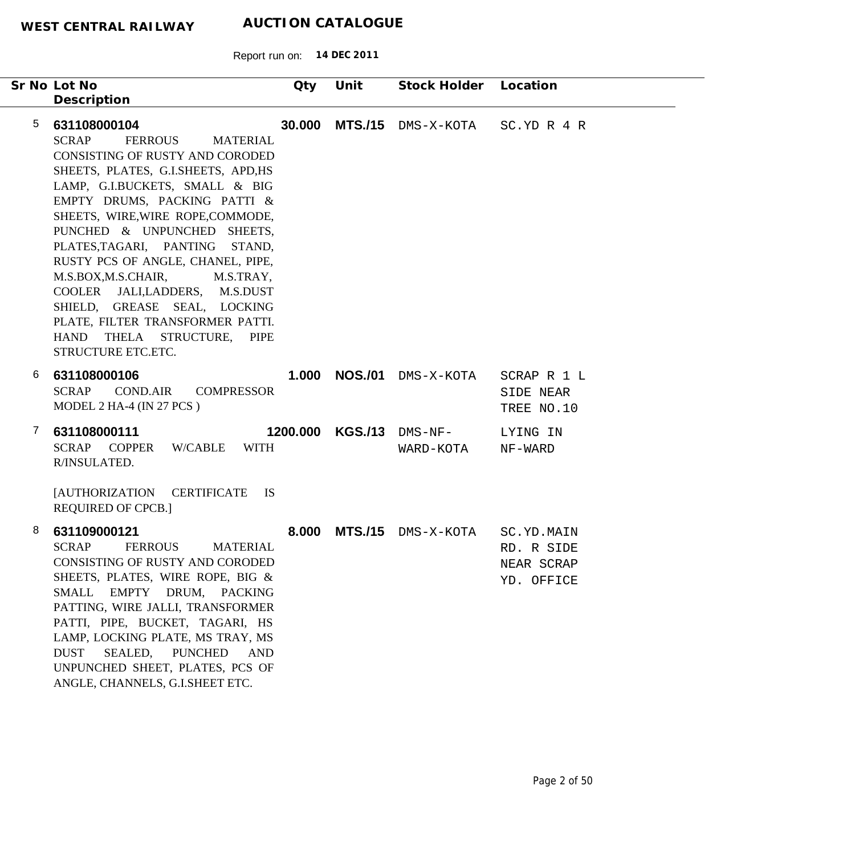| Sr No Lot No<br>Description                                                                                                                                                                                                                                                                                                                                                                                                                                                                                                                                              | Qty      | Unit           | Stock Holder                        | Location                                             |
|--------------------------------------------------------------------------------------------------------------------------------------------------------------------------------------------------------------------------------------------------------------------------------------------------------------------------------------------------------------------------------------------------------------------------------------------------------------------------------------------------------------------------------------------------------------------------|----------|----------------|-------------------------------------|------------------------------------------------------|
| $\overline{5}$<br>631108000104<br><b>SCRAP</b><br><b>FERROUS</b><br><b>MATERIAL</b><br>CONSISTING OF RUSTY AND CORODED<br>SHEETS, PLATES, G.I.SHEETS, APD, HS<br>LAMP, G.I.BUCKETS, SMALL & BIG<br>EMPTY DRUMS, PACKING PATTI &<br>SHEETS, WIRE, WIRE ROPE, COMMODE,<br>PUNCHED & UNPUNCHED SHEETS,<br>PLATES,TAGARI, PANTING<br>STAND,<br>RUSTY PCS OF ANGLE, CHANEL, PIPE,<br>M.S.BOX,M.S.CHAIR,<br>M.S.TRAY,<br>COOLER JALI,LADDERS, M.S.DUST<br>SHIELD, GREASE SEAL, LOCKING<br>PLATE, FILTER TRANSFORMER PATTI.<br>HAND THELA STRUCTURE, PIPE<br>STRUCTURE ETC.ETC. | 30.000   | <b>MTS./15</b> | DMS-X-KOTA                          | SC.YD R 4 R                                          |
| 631108000106<br>6<br><b>COND.AIR</b><br><b>SCRAP</b><br><b>COMPRESSOR</b><br>MODEL 2 HA-4 (IN 27 PCS)                                                                                                                                                                                                                                                                                                                                                                                                                                                                    | 1.000    |                | NOS./01 DMS-X-KOTA                  | SCRAP R 1 L<br>SIDE NEAR<br>TREE NO.10               |
| 631108000111<br>7<br><b>SCRAP</b><br><b>COPPER</b><br>W/CABLE<br><b>WITH</b><br>R/INSULATED.<br>[AUTHORIZATION CERTIFICATE]<br><b>IS</b><br><b>REQUIRED OF CPCB.]</b>                                                                                                                                                                                                                                                                                                                                                                                                    | 1200.000 |                | <b>KGS./13</b> DMS-NF-<br>WARD-KOTA | LYING IN<br>NF-WARD                                  |
| 8<br>631109000121<br><b>SCRAP</b><br><b>FERROUS</b><br><b>MATERIAL</b><br><b>CONSISTING OF RUSTY AND CORODED</b><br>SHEETS, PLATES, WIRE ROPE, BIG &<br>SMALL<br>EMPTY DRUM, PACKING<br>PATTING, WIRE JALLI, TRANSFORMER<br>PATTI, PIPE, BUCKET, TAGARI, HS<br>LAMP, LOCKING PLATE, MS TRAY, MS<br><b>DUST</b><br>SEALED,<br><b>PUNCHED</b><br><b>AND</b><br>UNPUNCHED SHEET, PLATES, PCS OF<br>ANGLE, CHANNELS, G.I.SHEET ETC.                                                                                                                                          | 8.000    |                | MTS./15 DMS-X-KOTA                  | SC.YD.MAIN<br>RD. R SIDE<br>NEAR SCRAP<br>YD. OFFICE |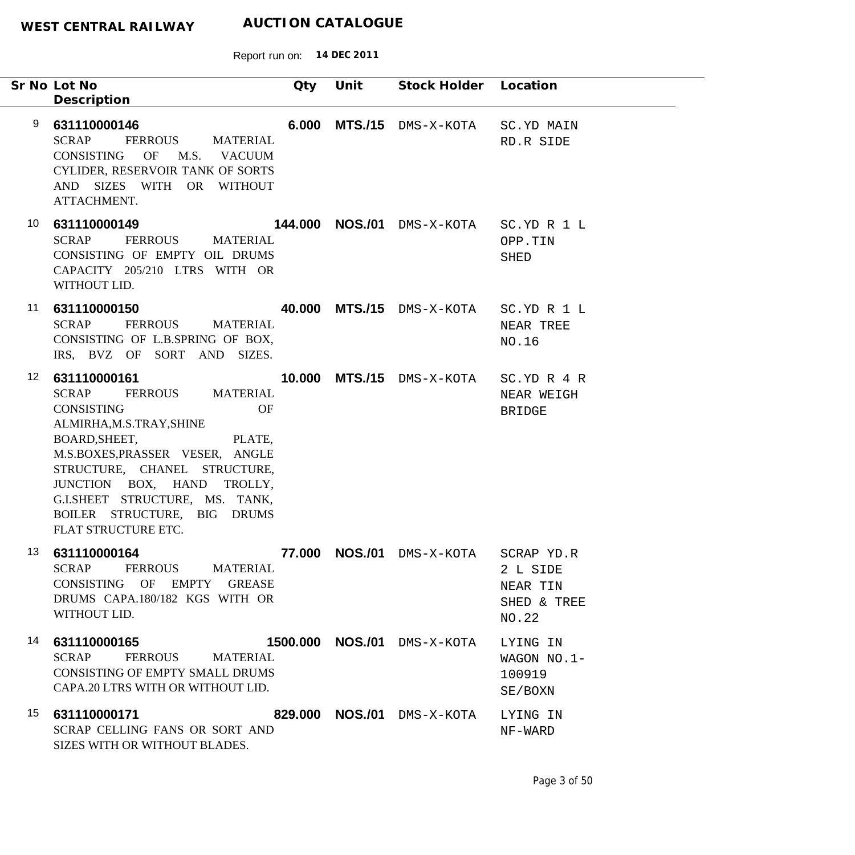|                 | Sr No Lot No<br>Description                                                                                                                                                                                                                                                                                                                      | Qty    | Unit | Stock Holder Location                 |                                                            |
|-----------------|--------------------------------------------------------------------------------------------------------------------------------------------------------------------------------------------------------------------------------------------------------------------------------------------------------------------------------------------------|--------|------|---------------------------------------|------------------------------------------------------------|
| 9               | 631110000146<br><b>SCRAP</b><br>FERROUS<br>MATERIAL<br>CONSISTING OF M.S. VACUUM<br>CYLIDER, RESERVOIR TANK OF SORTS<br>AND SIZES WITH OR WITHOUT<br>ATTACHMENT.                                                                                                                                                                                 | 6.000  |      | <b>MTS./15</b> DMS-X-KOTA             | SC.YD MAIN<br>RD.R SIDE                                    |
| 10              | 631110000149<br><b>SCRAP</b><br>FERROUS MATERIAL<br>CONSISTING OF EMPTY OIL DRUMS<br>CAPACITY 205/210 LTRS WITH OR<br>WITHOUT LID.                                                                                                                                                                                                               |        |      | 144.000 NOS./01 DMS-X-KOTA            | SC.YD R 1 L<br>OPP.TIN<br>SHED                             |
| 11              | 631110000150<br><b>SCRAP</b><br><b>FERROUS</b><br><b>MATERIAL</b><br>CONSISTING OF L.B.SPRING OF BOX,<br>IRS, BVZ OF SORT AND SIZES.                                                                                                                                                                                                             |        |      | 40.000 MTS./15 DMS-X-KOTA SC.YD R 1 L | NEAR TREE<br>NO.16                                         |
| 12 <sup>°</sup> | 631110000161<br><b>SCRAP</b><br><b>FERROUS</b><br><b>MATERIAL</b><br><b>CONSISTING</b><br><b>OF</b><br>ALMIRHA, M.S.TRAY, SHINE<br>BOARD, SHEET, PLATE,<br>M.S.BOXES, PRASSER VESER, ANGLE<br>STRUCTURE, CHANEL STRUCTURE,<br>JUNCTION BOX, HAND TROLLY,<br>G.I.SHEET STRUCTURE, MS. TANK,<br>BOILER STRUCTURE, BIG DRUMS<br>FLAT STRUCTURE ETC. |        |      | 10.000 MTS./15 DMS-X-KOTA             | SC.YD R 4 R<br>NEAR WEIGH<br><b>BRIDGE</b>                 |
| 13              | 631110000164<br>SCRAP FERROUS MATERIAL<br>CONSISTING OF EMPTY GREASE<br>DRUMS CAPA.180/182 KGS WITH OR<br>WITHOUT LID.                                                                                                                                                                                                                           | 77.000 |      | NOS./01 DMS-X-KOTA                    | SCRAP YD.R<br>2 L SIDE<br>NEAR TIN<br>SHED & TREE<br>NO.22 |
| 14              | 631110000165<br>SCRAP FERROUS MATERIAL<br>CONSISTING OF EMPTY SMALL DRUMS<br>CAPA.20 LTRS WITH OR WITHOUT LID.                                                                                                                                                                                                                                   |        |      | 1500.000 NOS./01 DMS-X-KOTA           | LYING IN<br>WAGON NO.1-<br>100919<br>SE/BOXN               |
| 15              | SCRAP CELLING FANS OR SORT AND<br>SIZES WITH OR WITHOUT BLADES.                                                                                                                                                                                                                                                                                  |        |      | 829.000 NOS./01 DMS-X-KOTA            | LYING IN<br>NF-WARD                                        |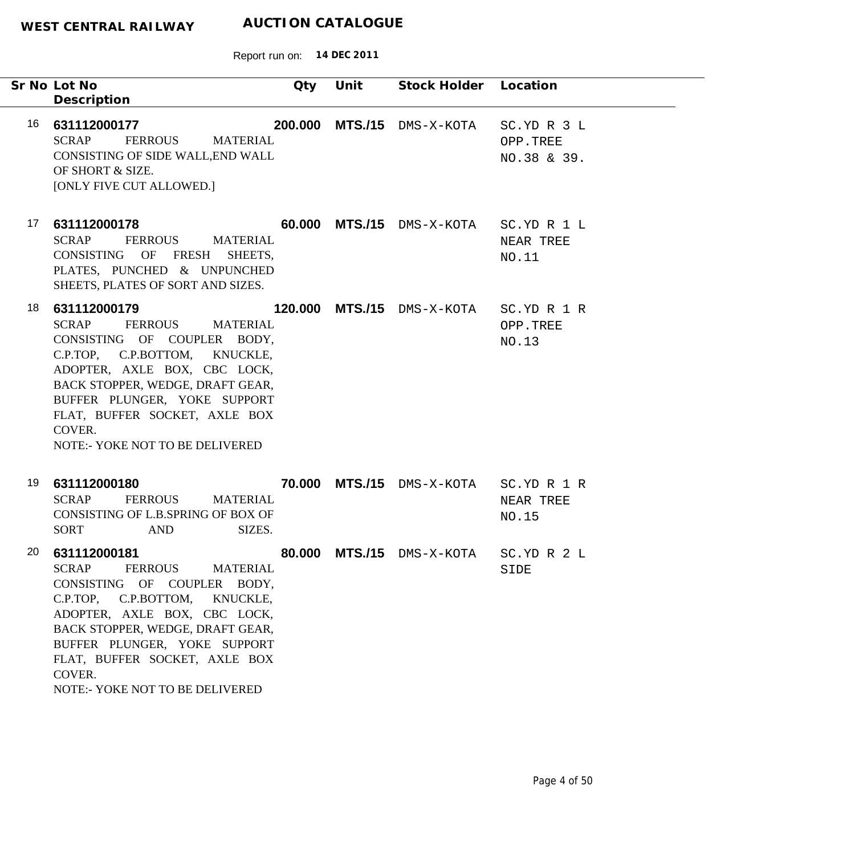|    | Sr No Lot No<br>Description                                                                                                                                                                                                                                                                                         | Qty    | Unit | Stock Holder Location          |                                        |
|----|---------------------------------------------------------------------------------------------------------------------------------------------------------------------------------------------------------------------------------------------------------------------------------------------------------------------|--------|------|--------------------------------|----------------------------------------|
| 16 | 631112000177<br><b>SCRAP</b><br><b>FERROUS</b><br><b>MATERIAL</b><br>CONSISTING OF SIDE WALL, END WALL<br>OF SHORT & SIZE.<br>[ONLY FIVE CUT ALLOWED.]                                                                                                                                                              |        |      | 200.000 MTS./15 DMS-X-KOTA     | SC.YD R 3 L<br>OPP.TREE<br>NO.38 & 39. |
| 17 | 631112000178<br><b>SCRAP</b><br><b>FERROUS</b><br><b>MATERIAL</b><br>CONSISTING OF FRESH<br>SHEETS,<br>PLATES, PUNCHED & UNPUNCHED<br>SHEETS, PLATES OF SORT AND SIZES.                                                                                                                                             |        |      | 60.000 MTS./15 DMS-X-KOTA      | SC.YD R 1 L<br>NEAR TREE<br>NO.11      |
| 18 | 631112000179<br><b>SCRAP</b><br><b>FERROUS</b><br>MATERIAL<br>CONSISTING OF COUPLER BODY,<br>C.P.TOP, C.P.BOTTOM, KNUCKLE,<br>ADOPTER, AXLE BOX, CBC LOCK,<br>BACK STOPPER, WEDGE, DRAFT GEAR,<br>BUFFER PLUNGER, YOKE SUPPORT<br>FLAT, BUFFER SOCKET, AXLE BOX<br>COVER.<br><b>NOTE:- YOKE NOT TO BE DELIVERED</b> |        |      | 120.000 MTS./15 DMS-X-KOTA     | SC.YD R 1 R<br>OPP.TREE<br>NO.13       |
| 19 | 631112000180<br><b>SCRAP</b><br><b>FERROUS</b><br><b>MATERIAL</b><br>CONSISTING OF L.B.SPRING OF BOX OF<br>SIZES.<br><b>SORT</b><br>AND                                                                                                                                                                             |        |      | 70.000 MTS./15 DMS-X-KOTA      | SC.YD R 1 R<br>NEAR TREE<br>NO.15      |
| 20 | 631112000181<br>FERROUS<br>SCRAP<br><b>MATERIAL</b><br>CONSISTING OF COUPLER BODY,<br>C.P.BOTTOM,<br>C.P.TOP.<br>KNUCKLE,<br>ADOPTER, AXLE BOX, CBC LOCK,<br>BACK STOPPER, WEDGE, DRAFT GEAR,<br>BUFFER PLUNGER, YOKE SUPPORT<br>FLAT, BUFFER SOCKET, AXLE BOX<br>COVER.<br>NOTE:- YOKE NOT TO BE DELIVERED         | 80,000 |      | MTS./15 DMS-X-KOTA SC.YD R 2 L | SIDE                                   |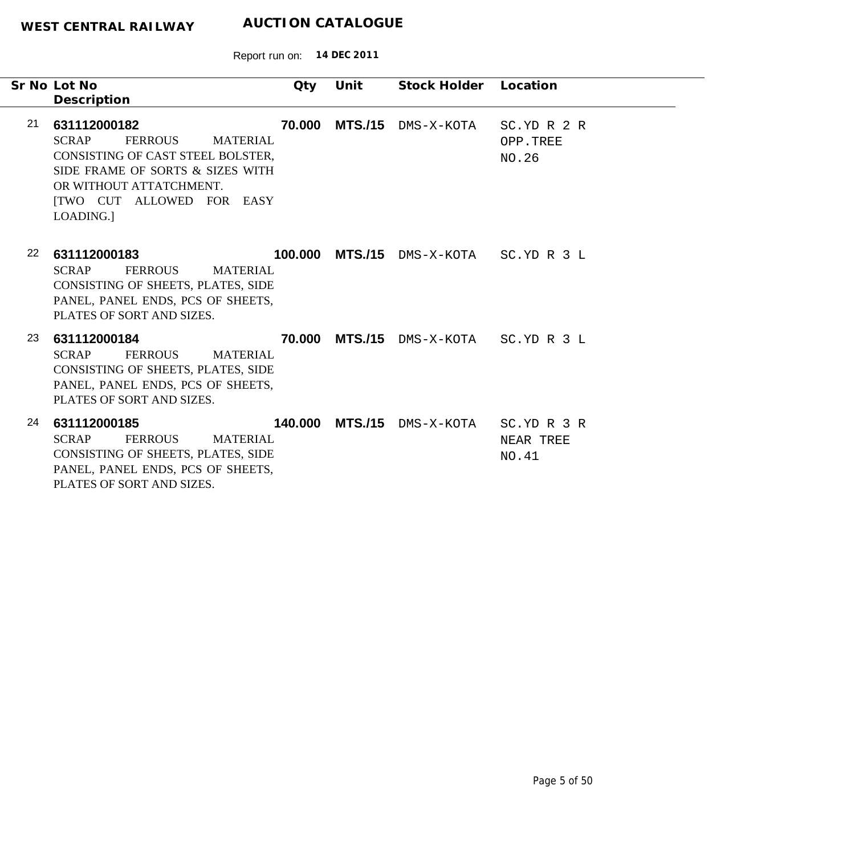|    | Sr No Lot No<br>Description                                                                                                                                                                                            | Qty     | Unit           | Stock Holder               | Location                          |
|----|------------------------------------------------------------------------------------------------------------------------------------------------------------------------------------------------------------------------|---------|----------------|----------------------------|-----------------------------------|
| 21 | 631112000182<br><b>SCRAP</b><br><b>FERROUS</b><br><b>MATERIAL</b><br>CONSISTING OF CAST STEEL BOLSTER,<br>SIDE FRAME OF SORTS & SIZES WITH<br>OR WITHOUT ATTATCHMENT.<br><b>[TWO CUT ALLOWED FOR EASY</b><br>LOADING.] | 70.000  | <b>MTS./15</b> | DMS-X-KOTA                 | SC.YD R 2 R<br>OPP.TREE<br>NO.26  |
| 22 | 631112000183<br><b>SCRAP</b><br><b>FERROUS</b><br><b>MATERIAL</b><br>CONSISTING OF SHEETS, PLATES, SIDE<br>PANEL, PANEL ENDS, PCS OF SHEETS,<br>PLATES OF SORT AND SIZES.                                              |         |                | 100.000 MTS./15 DMS-X-KOTA | SC.YD R 3 L                       |
| 23 | 631112000184<br><b>SCRAP</b><br><b>FERROUS</b><br><b>MATERIAL</b><br>CONSISTING OF SHEETS, PLATES, SIDE<br>PANEL, PANEL ENDS, PCS OF SHEETS,<br>PLATES OF SORT AND SIZES.                                              | 70.000  | <b>MTS./15</b> | DMS-X-KOTA SC.YD R 3 L     |                                   |
| 24 | 631112000185<br><b>SCRAP</b><br><b>FERROUS</b><br><b>MATERIAL</b><br>CONSISTING OF SHEETS, PLATES, SIDE<br>PANEL, PANEL ENDS, PCS OF SHEETS,<br>PLATES OF SORT AND SIZES.                                              | 140.000 | <b>MTS./15</b> | DMS-X-KOTA                 | SC.YD R 3 R<br>NEAR TREE<br>NO.41 |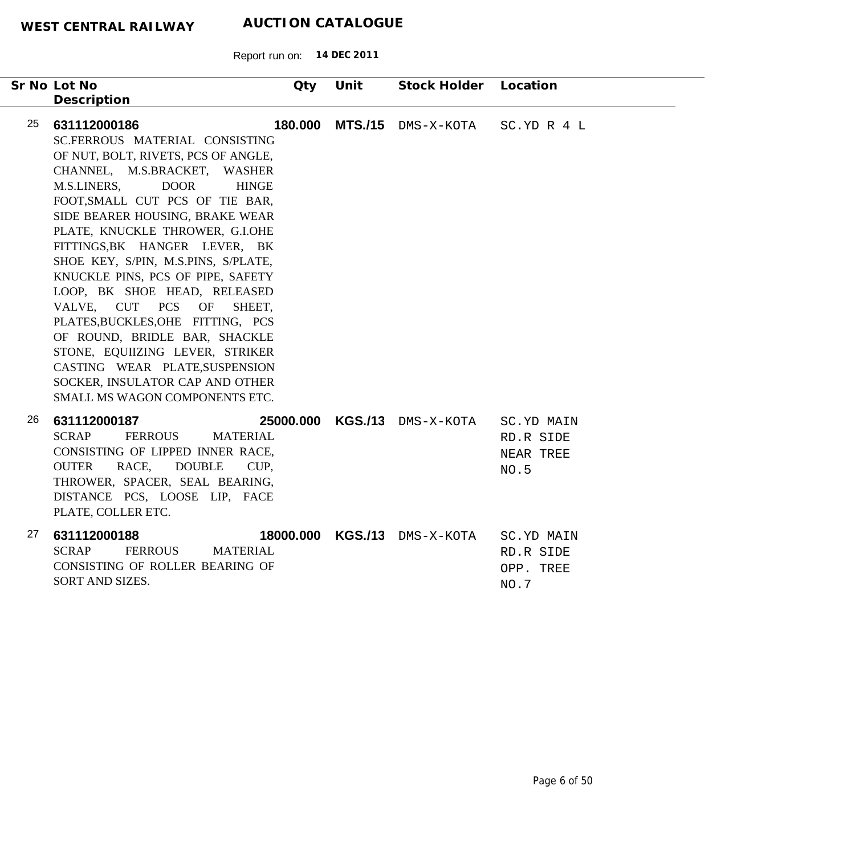| Sr No Lot No<br>Description                                                       |                                                                                                                                                                                                                                                                                                                                                                                                                                                                                                                                                                                                                            | Qty     | Unit              | Stock Holder Location |                                              |
|-----------------------------------------------------------------------------------|----------------------------------------------------------------------------------------------------------------------------------------------------------------------------------------------------------------------------------------------------------------------------------------------------------------------------------------------------------------------------------------------------------------------------------------------------------------------------------------------------------------------------------------------------------------------------------------------------------------------------|---------|-------------------|-----------------------|----------------------------------------------|
| 25<br>631112000186<br>M.S.LINERS,<br>VALVE, CUT PCS                               | SC.FERROUS MATERIAL CONSISTING<br>OF NUT, BOLT, RIVETS, PCS OF ANGLE,<br>CHANNEL, M.S.BRACKET, WASHER<br><b>DOOR</b><br><b>HINGE</b><br>FOOT, SMALL CUT PCS OF TIE BAR,<br>SIDE BEARER HOUSING, BRAKE WEAR<br>PLATE, KNUCKLE THROWER, G.I.OHE<br>FITTINGS, BK HANGER LEVER, BK<br>SHOE KEY, S/PIN, M.S.PINS, S/PLATE,<br>KNUCKLE PINS, PCS OF PIPE, SAFETY<br>LOOP, BK SHOE HEAD, RELEASED<br>OF<br>SHEET.<br>PLATES, BUCKLES, OHE FITTING, PCS<br>OF ROUND, BRIDLE BAR, SHACKLE<br>STONE, EQUIIZING LEVER, STRIKER<br>CASTING WEAR PLATE, SUSPENSION<br>SOCKER, INSULATOR CAP AND OTHER<br>SMALL MS WAGON COMPONENTS ETC. | 180.000 |                   | MTS./15 DMS-X-KOTA    | SC.YD R 4 L                                  |
| 26<br>631112000187<br><b>SCRAP</b><br><b>OUTER</b><br>RACE,<br>PLATE, COLLER ETC. | <b>FERROUS</b><br><b>MATERIAL</b><br>CONSISTING OF LIPPED INNER RACE,<br><b>DOUBLE</b><br>CUP.<br>THROWER, SPACER, SEAL BEARING,<br>DISTANCE PCS, LOOSE LIP, FACE                                                                                                                                                                                                                                                                                                                                                                                                                                                          |         | 25000.000 KGS./13 | DMS-X-KOTA            | SC.YD MAIN<br>RD.R SIDE<br>NEAR TREE<br>NO.5 |
| 27<br>631112000188<br><b>SCRAP</b><br>SORT AND SIZES.                             | <b>FERROUS</b><br><b>MATERIAL</b><br>CONSISTING OF ROLLER BEARING OF                                                                                                                                                                                                                                                                                                                                                                                                                                                                                                                                                       |         | 18000.000 KGS./13 | DMS-X-KOTA            | SC.YD MAIN<br>RD.R SIDE<br>OPP. TREE<br>NO.7 |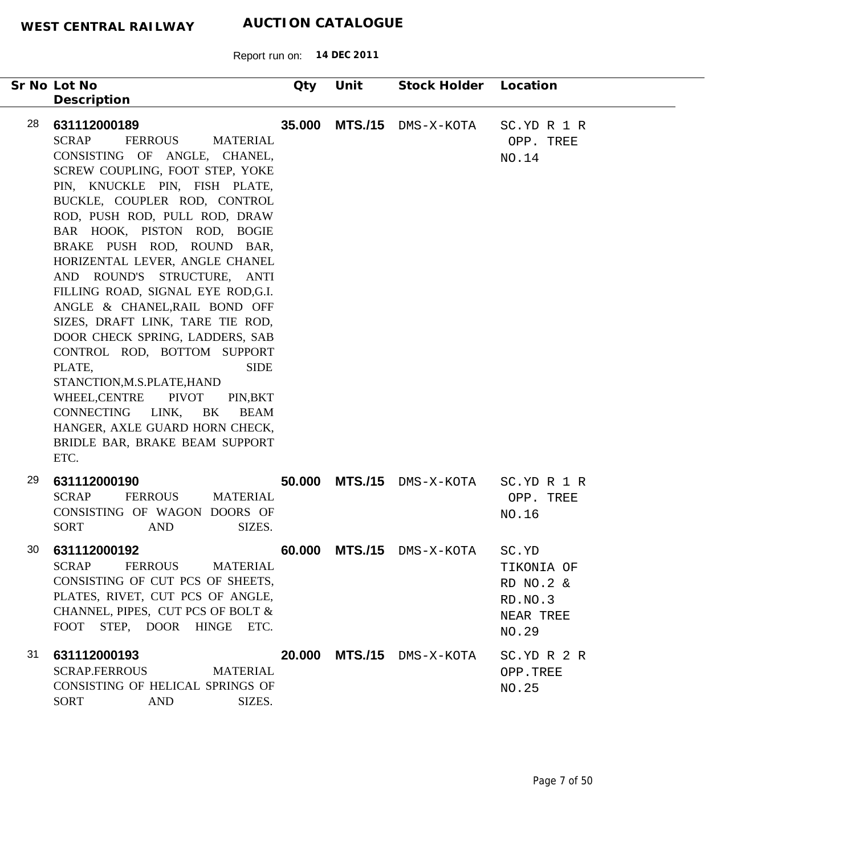| Sr No Lot No<br>Description                                                                                                                                                                                                                                                                                                                                                                                                                                                                                                                                                                                                                                                                                                                                                        | Qty    | Unit           | Stock Holder Location     |                                                                   |
|------------------------------------------------------------------------------------------------------------------------------------------------------------------------------------------------------------------------------------------------------------------------------------------------------------------------------------------------------------------------------------------------------------------------------------------------------------------------------------------------------------------------------------------------------------------------------------------------------------------------------------------------------------------------------------------------------------------------------------------------------------------------------------|--------|----------------|---------------------------|-------------------------------------------------------------------|
| 28<br>631112000189<br><b>SCRAP</b><br><b>FERROUS</b><br><b>MATERIAL</b><br>CONSISTING OF ANGLE, CHANEL,<br>SCREW COUPLING, FOOT STEP, YOKE<br>PIN, KNUCKLE PIN, FISH PLATE,<br>BUCKLE, COUPLER ROD, CONTROL<br>ROD, PUSH ROD, PULL ROD, DRAW<br>BAR HOOK, PISTON ROD, BOGIE<br>BRAKE PUSH ROD, ROUND BAR,<br>HORIZENTAL LEVER, ANGLE CHANEL<br>AND ROUND'S STRUCTURE, ANTI<br>FILLING ROAD, SIGNAL EYE ROD,G.I.<br>ANGLE & CHANEL, RAIL BOND OFF<br>SIZES, DRAFT LINK, TARE TIE ROD,<br>DOOR CHECK SPRING, LADDERS, SAB<br>CONTROL ROD, BOTTOM SUPPORT<br><b>SIDE</b><br>PLATE,<br>STANCTION, M.S.PLATE, HAND<br><b>PIVOT</b><br>WHEEL, CENTRE<br>PIN, BKT<br>CONNECTING<br>LINK,<br>BK<br><b>BEAM</b><br>HANGER, AXLE GUARD HORN CHECK,<br>BRIDLE BAR, BRAKE BEAM SUPPORT<br>ETC. | 35.000 |                | MTS./15 DMS-X-KOTA        | SC.YD R 1 R<br>OPP. TREE<br>NO.14                                 |
| 29<br>631112000190<br><b>SCRAP</b><br><b>FERROUS</b><br><b>MATERIAL</b><br>CONSISTING OF WAGON DOORS OF<br>SIZES.<br><b>SORT</b><br><b>AND</b>                                                                                                                                                                                                                                                                                                                                                                                                                                                                                                                                                                                                                                     |        |                | 50.000 MTS./15 DMS-X-KOTA | SC.YD R 1 R<br>OPP. TREE<br>NO.16                                 |
| 30<br>631112000192<br><b>SCRAP</b><br><b>FERROUS</b><br><b>MATERIAL</b><br>CONSISTING OF CUT PCS OF SHEETS,<br>PLATES, RIVET, CUT PCS OF ANGLE,<br>CHANNEL, PIPES, CUT PCS OF BOLT &<br>FOOT STEP, DOOR HINGE ETC.                                                                                                                                                                                                                                                                                                                                                                                                                                                                                                                                                                 | 60.000 | <b>MTS./15</b> | DMS-X-KOTA                | SC.YD<br>TIKONIA OF<br>RD NO.2 &<br>RD.NO.3<br>NEAR TREE<br>NO.29 |
| 31<br>631112000193<br><b>SCRAP.FERROUS</b><br><b>MATERIAL</b><br>CONSISTING OF HELICAL SPRINGS OF<br>SIZES.<br><b>SORT</b><br><b>AND</b>                                                                                                                                                                                                                                                                                                                                                                                                                                                                                                                                                                                                                                           |        |                | 20.000 MTS./15 DMS-X-KOTA | SC.YD R 2 R<br>OPP.TREE<br>NO.25                                  |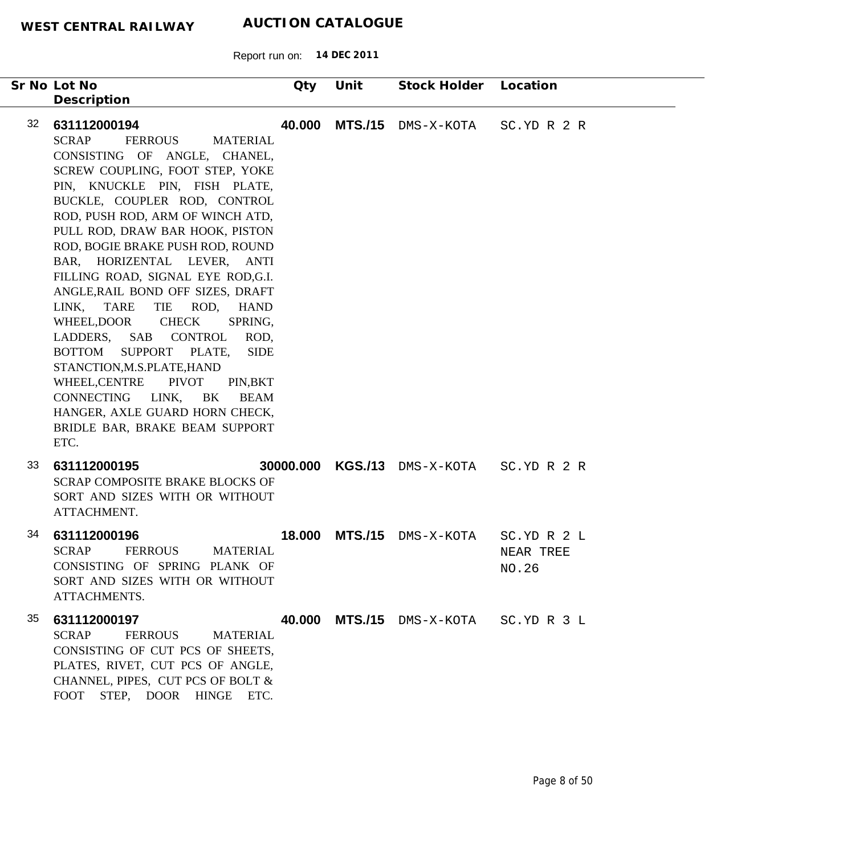|    | Sr No Lot No<br>Description                                                                                                                                                                                                                                                                                                                                                                                                                                                                                                                                                                                                                                                                                                                                                                    | Qty                                             | Unit           | Stock Holder                 | Location                          |
|----|------------------------------------------------------------------------------------------------------------------------------------------------------------------------------------------------------------------------------------------------------------------------------------------------------------------------------------------------------------------------------------------------------------------------------------------------------------------------------------------------------------------------------------------------------------------------------------------------------------------------------------------------------------------------------------------------------------------------------------------------------------------------------------------------|-------------------------------------------------|----------------|------------------------------|-----------------------------------|
| 32 | 631112000194<br><b>SCRAP</b><br><b>FERROUS</b><br><b>MATERIAL</b><br>CONSISTING OF ANGLE, CHANEL,<br>SCREW COUPLING, FOOT STEP, YOKE<br>PIN, KNUCKLE PIN, FISH PLATE,<br>BUCKLE, COUPLER ROD, CONTROL<br>ROD, PUSH ROD, ARM OF WINCH ATD,<br>PULL ROD, DRAW BAR HOOK, PISTON<br>ROD, BOGIE BRAKE PUSH ROD, ROUND<br>BAR, HORIZENTAL LEVER, ANTI<br>FILLING ROAD, SIGNAL EYE ROD,G.I.<br>ANGLE, RAIL BOND OFF SIZES, DRAFT<br><b>TIE</b><br>ROD,<br><b>TARE</b><br><b>HAND</b><br>LINK,<br><b>CHECK</b><br>WHEEL, DOOR<br>SPRING,<br>LADDERS, SAB CONTROL<br>SUPPORT PLATE,<br><b>BOTTOM</b><br>STANCTION, M.S.PLATE, HAND<br><b>PIVOT</b><br>WHEEL, CENTRE<br>PIN, BKT<br>CONNECTING<br>LINK,<br>BK<br><b>BEAM</b><br>HANGER, AXLE GUARD HORN CHECK,<br>BRIDLE BAR, BRAKE BEAM SUPPORT<br>ETC. | <b>MTS./15</b><br>40.000<br>ROD,<br><b>SIDE</b> |                | DMS-X-KOTA                   | SC.YD R 2 R                       |
| 33 | 631112000195<br><b>SCRAP COMPOSITE BRAKE BLOCKS OF</b><br>SORT AND SIZES WITH OR WITHOUT<br>ATTACHMENT.                                                                                                                                                                                                                                                                                                                                                                                                                                                                                                                                                                                                                                                                                        |                                                 |                | 30000.000 KGS./13 DMS-X-KOTA | SC.YD R 2 R                       |
| 34 | 631112000196<br><b>SCRAP</b><br><b>FERROUS</b><br><b>MATERIAL</b><br>CONSISTING OF SPRING PLANK OF<br>SORT AND SIZES WITH OR WITHOUT<br>ATTACHMENTS.                                                                                                                                                                                                                                                                                                                                                                                                                                                                                                                                                                                                                                           | 18.000                                          | <b>MTS./15</b> | DMS-X-KOTA                   | SC.YD R 2 L<br>NEAR TREE<br>NO.26 |
| 35 | 631112000197<br><b>SCRAP</b><br><b>FERROUS</b><br><b>MATERIAL</b><br>CONSISTING OF CUT PCS OF SHEETS.<br>PLATES, RIVET, CUT PCS OF ANGLE,<br>CHANNEL, PIPES, CUT PCS OF BOLT &<br>FOOT STEP, DOOR HINGE ETC.                                                                                                                                                                                                                                                                                                                                                                                                                                                                                                                                                                                   | 40.000                                          |                | MTS./15 DMS-X-KOTA           | SC.YD R 3 L                       |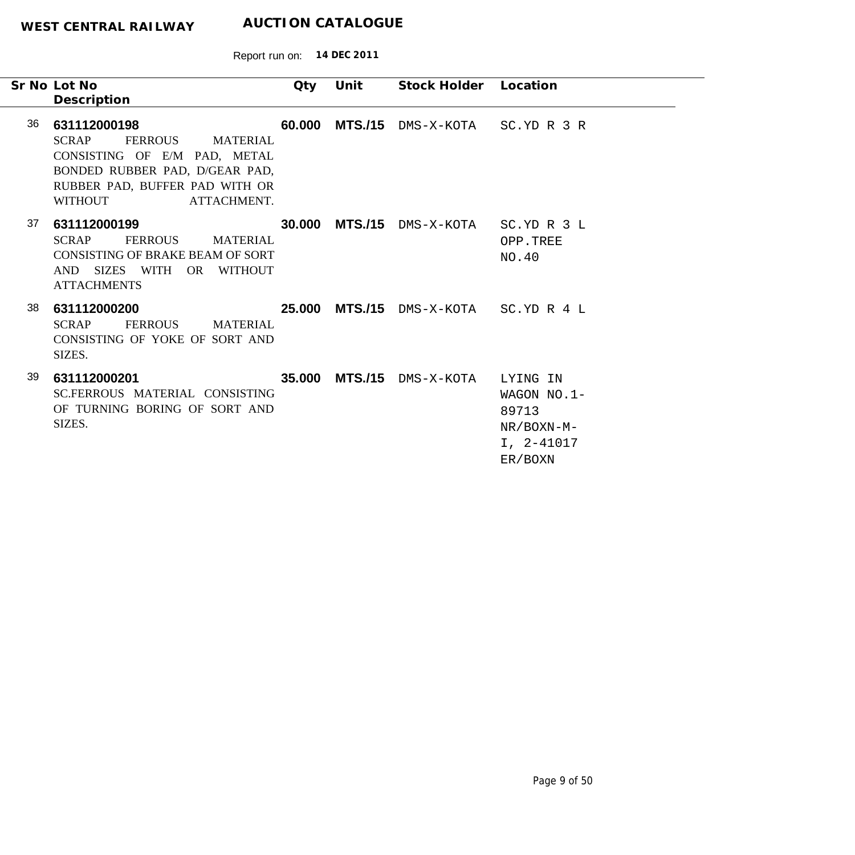Report run on: **14 DEC 2011**

|    | Sr No Lot No<br>Description                                                                                                                                          | Qty    | Unit | Stock Holder Location                 |                                                                               |
|----|----------------------------------------------------------------------------------------------------------------------------------------------------------------------|--------|------|---------------------------------------|-------------------------------------------------------------------------------|
| 36 | 631112000198<br>SCRAP<br>FERROUS MATERIAL<br>CONSISTING OF E/M PAD, METAL<br>BONDED RUBBER PAD, D/GEAR PAD,<br>RUBBER PAD, BUFFER PAD WITH OR<br>WITHOUT ATTACHMENT. |        |      | 60.000 MTS./15 DMS-X-KOTA SC.YD R 3 R |                                                                               |
| 37 | 631112000199<br>SCRAP<br>FERROUS<br>MATERIAL<br>CONSISTING OF BRAKE BEAM OF SORT<br>AND SIZES WITH OR WITHOUT<br><b>ATTACHMENTS</b>                                  | 30,000 |      | MTS./15 DMS-X-KOTA SC.YD R 3 L        | OPP.TREE<br>NO.40                                                             |
| 38 | 631112000200<br><b>FERROUS</b><br>SCRAP<br><b>MATERIAL</b><br>CONSISTING OF YOKE OF SORT AND<br>SIZES.                                                               |        |      | 25.000 MTS./15 DMS-X-KOTA SC.YD R 4 L |                                                                               |
| 39 | 631112000201<br>SC.FERROUS MATERIAL CONSISTING<br>OF TURNING BORING OF SORT AND<br>SIZES.                                                                            |        |      | 35.000 MTS./15 DMS-X-KOTA             | LYING IN<br>WAGON $NO.1-$<br>89713<br>$NR/BOXN-M-$<br>$I, 2-41017$<br>ER/BOXN |

 $\begin{tabular}{c} \multicolumn{2}{c} {\textbf{1}}\\ \multicolumn{2}{c} {\textbf{2}}\\ \multicolumn{2}{c} {\textbf{3}}\\ \multicolumn{2}{c} {\textbf{4}}\\ \multicolumn{2}{c} {\textbf{5}}\\ \multicolumn{2}{c} {\textbf{6}}\\ \multicolumn{2}{c} {\textbf{6}}\\ \multicolumn{2}{c} {\textbf{7}}\\ \multicolumn{2}{c} {\textbf{8}}\\ \multicolumn{2}{c} {\textbf{9}}\\ \multicolumn{2}{c} {\textbf{1}}\\ \multicolumn{2}{c} {\textbf{1}}\\ \multicolumn{2}{c} {\textbf{1}}\\ \multicolumn$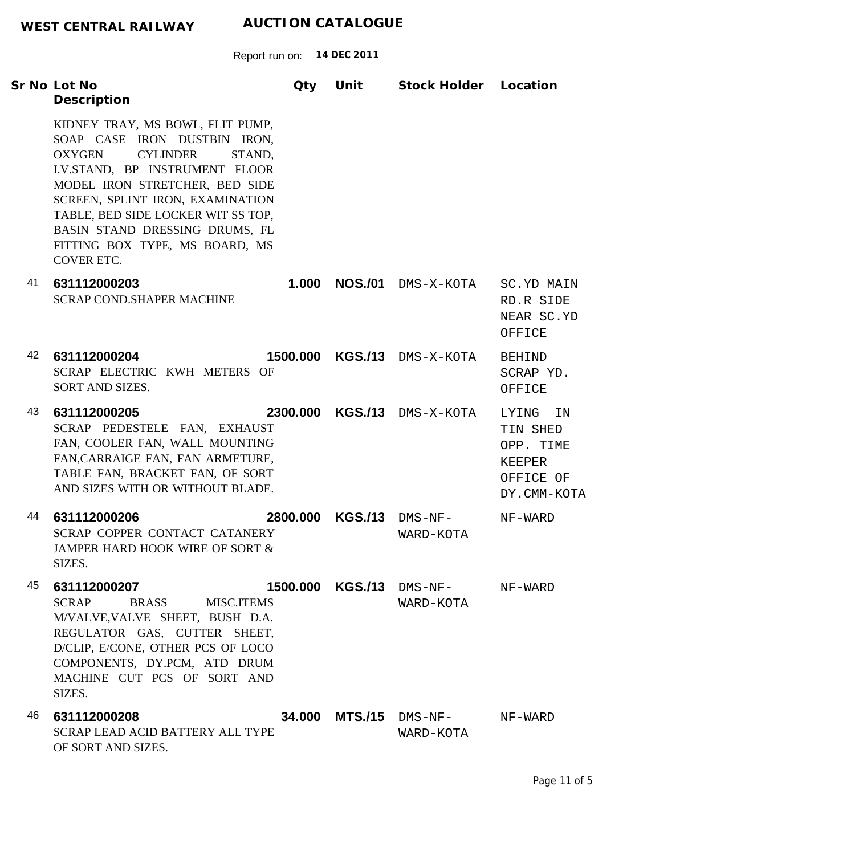| Sr No Lot No<br>Description                                                                                                                                                                                                                                                                                                                    | Qty      | Unit             | Stock Holder                          | Location                                                                   |
|------------------------------------------------------------------------------------------------------------------------------------------------------------------------------------------------------------------------------------------------------------------------------------------------------------------------------------------------|----------|------------------|---------------------------------------|----------------------------------------------------------------------------|
| KIDNEY TRAY, MS BOWL, FLIT PUMP,<br>SOAP CASE IRON DUSTBIN IRON,<br><b>CYLINDER</b><br><b>OXYGEN</b><br>STAND,<br>I.V.STAND, BP INSTRUMENT FLOOR<br>MODEL IRON STRETCHER, BED SIDE<br>SCREEN, SPLINT IRON, EXAMINATION<br>TABLE, BED SIDE LOCKER WIT SS TOP,<br>BASIN STAND DRESSING DRUMS, FL<br>FITTING BOX TYPE, MS BOARD, MS<br>COVER ETC. |          |                  |                                       |                                                                            |
| 41<br>631112000203<br><b>SCRAP COND.SHAPER MACHINE</b>                                                                                                                                                                                                                                                                                         | 1.000    | <b>NOS./01</b>   | DMS-X-KOTA                            | SC.YD MAIN<br>RD.R SIDE<br>NEAR SC.YD<br>OFFICE                            |
| 42<br>631112000204<br>SCRAP ELECTRIC KWH METERS OF<br>SORT AND SIZES.                                                                                                                                                                                                                                                                          | 1500,000 | <b>KGS./13</b>   | DMS-X-KOTA                            | <b>BEHIND</b><br>SCRAP YD.<br>OFFICE                                       |
| 43<br>631112000205<br>SCRAP PEDESTELE FAN, EXHAUST<br>FAN, COOLER FAN, WALL MOUNTING<br>FAN, CARRAIGE FAN, FAN ARMETURE,<br>TABLE FAN, BRACKET FAN, OF SORT<br>AND SIZES WITH OR WITHOUT BLADE.                                                                                                                                                |          | 2300.000 KGS./13 | DMS-X-KOTA                            | LYING<br>ΙN<br>TIN SHED<br>OPP. TIME<br>KEEPER<br>OFFICE OF<br>DY.CMM-KOTA |
| 44<br>631112000206<br>SCRAP COPPER CONTACT CATANERY<br>JAMPER HARD HOOK WIRE OF SORT &<br>SIZES.                                                                                                                                                                                                                                               | 2800,000 | <b>KGS./13</b>   | DMS-NF-<br>WARD-KOTA                  | NF-WARD                                                                    |
| 45<br>631112000207<br><b>SCRAP</b><br><b>BRASS</b><br><b>MISC.ITEMS</b><br>M/VALVE, VALVE SHEET, BUSH D.A.<br>REGULATOR GAS, CUTTER SHEET,<br>D/CLIP, E/CONE, OTHER PCS OF LOCO<br>COMPONENTS, DY.PCM, ATD DRUM<br>MACHINE CUT PCS OF SORT AND<br>SIZES.                                                                                       |          |                  | 1500.000 KGS./13 DMS-NF-<br>WARD-KOTA | NF-WARD                                                                    |
| 46<br>631112000208<br><b>SCRAP LEAD ACID BATTERY ALL TYPE</b><br>OF SORT AND SIZES.                                                                                                                                                                                                                                                            |          |                  | 34.000 MTS./15 DMS-NF-<br>WARD-KOTA   | NF-WARD                                                                    |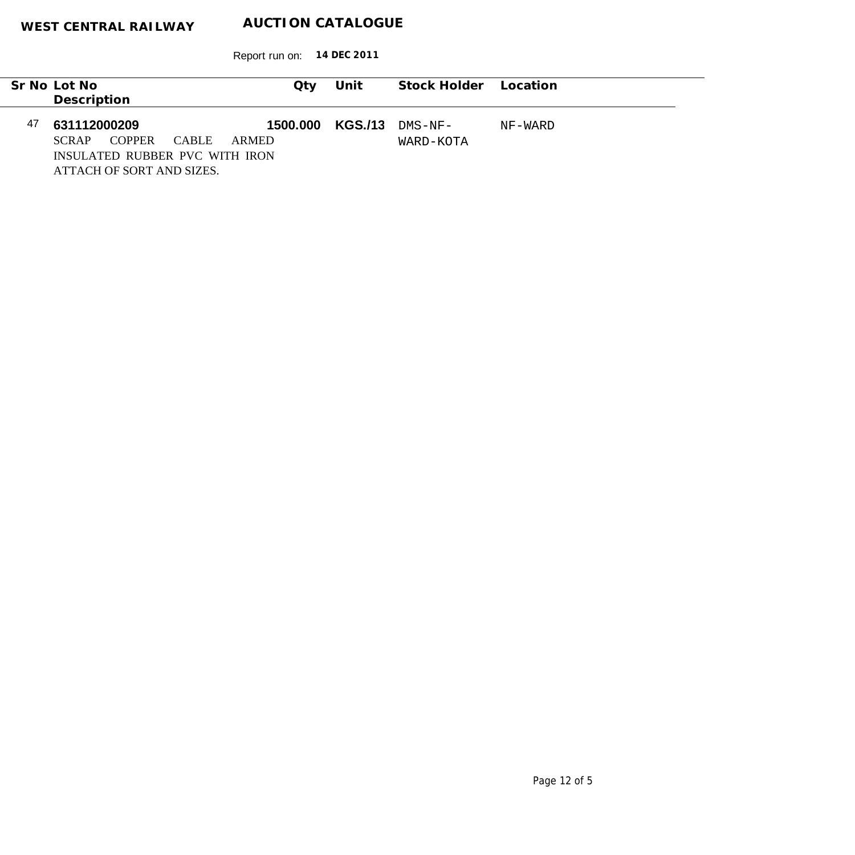|         | Stock Holder Location | Unit           | Qtv                                                         |              |               | Sr No Lot No |    |  |
|---------|-----------------------|----------------|-------------------------------------------------------------|--------------|---------------|--------------|----|--|
|         |                       |                |                                                             |              |               | Description  |    |  |
| NF-WARD | $DMS-NF-$             | <b>KGS./13</b> | 1500,000                                                    |              |               | 631112000209 | 47 |  |
|         | WARD-KOTA             |                | ARMED                                                       | <b>CABLE</b> | <b>COPPER</b> | <b>SCRAP</b> |    |  |
|         |                       |                | INSULATED RUBBER PVC WITH IRON<br>ATTACH OF SORT AND SIZES. |              |               |              |    |  |
|         |                       |                |                                                             |              |               |              |    |  |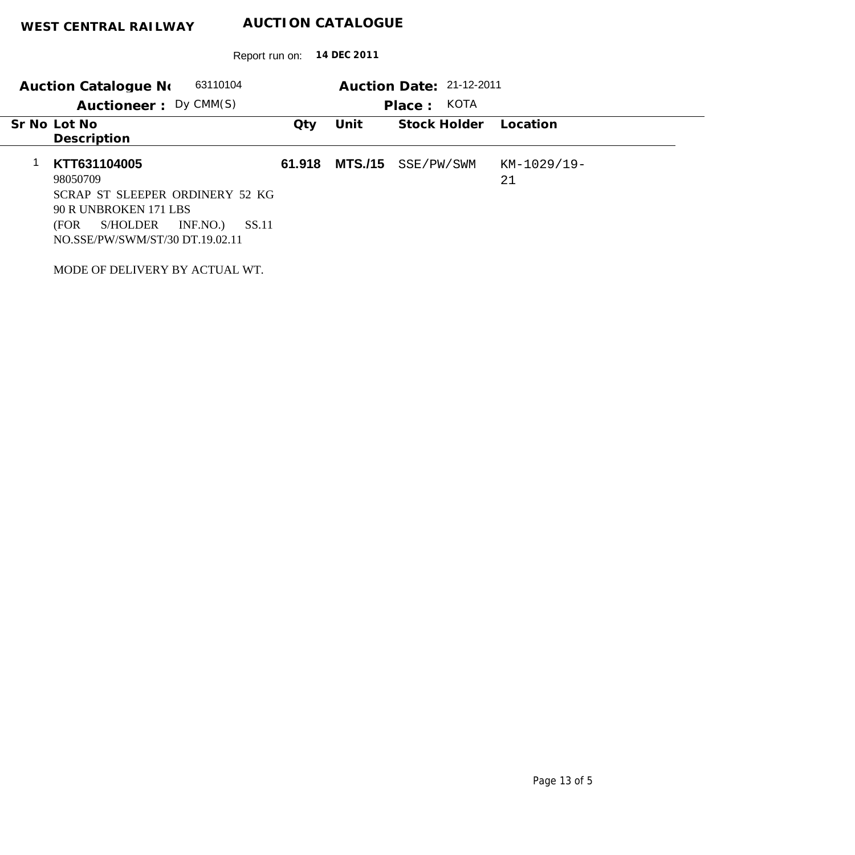Report run on: **14 DEC 2011**

| 63110104<br>Auction Catalogue No<br>Auctioneer: Dy CMM(S)                                                                                                        |        |                | Auction Date: 21-12-2011<br>KOTA<br>Place: |                   |
|------------------------------------------------------------------------------------------------------------------------------------------------------------------|--------|----------------|--------------------------------------------|-------------------|
| Sr No Lot No<br>Description                                                                                                                                      | Qty    | Unit           | Stock Holder                               | Location          |
| KTT631104005<br>98050709<br>SCRAP ST SLEEPER ORDINERY 52 KG<br>90 R UNBROKEN 171 LBS<br>INF.NO.)<br>S/HOLDER<br>SS.11<br>(FOR<br>NO.SSE/PW/SWM/ST/30 DT.19.02.11 | 61.918 | <b>MTS./15</b> | SSE/PW/SWM                                 | KM-1029/19-<br>21 |

MODE OF DELIVERY BY ACTUAL WT.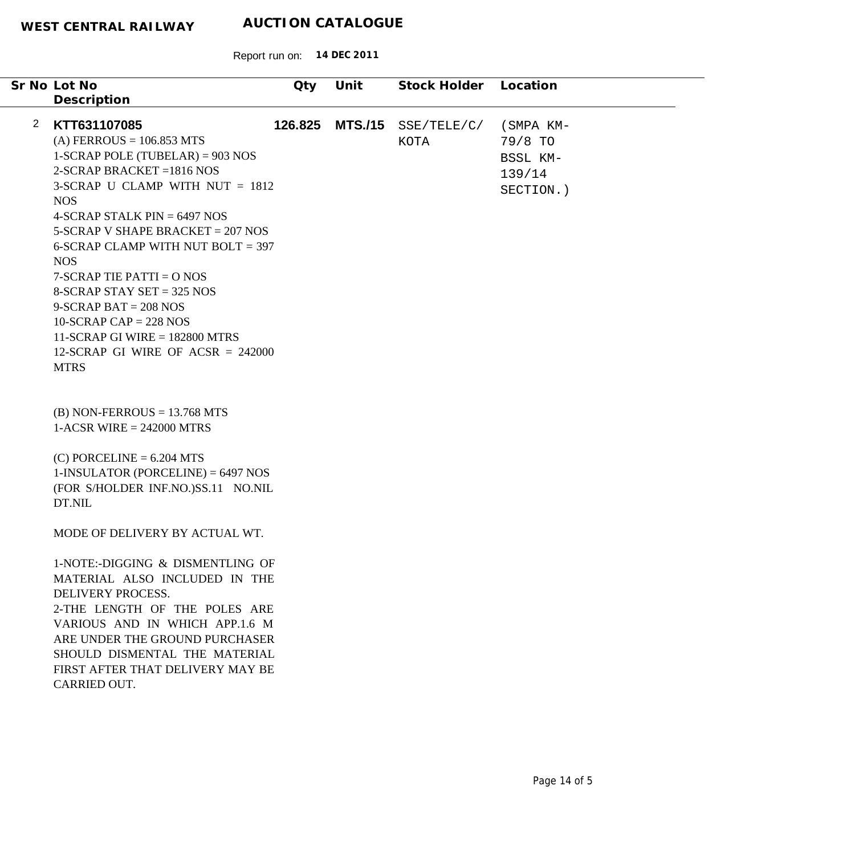|                       | Sr No Lot No<br>Description                                                                                                                                                                                                                                                                                                                                                                                                                                                                                      | Qty     | Unit           | Stock Holder               | Location                                                |
|-----------------------|------------------------------------------------------------------------------------------------------------------------------------------------------------------------------------------------------------------------------------------------------------------------------------------------------------------------------------------------------------------------------------------------------------------------------------------------------------------------------------------------------------------|---------|----------------|----------------------------|---------------------------------------------------------|
|                       |                                                                                                                                                                                                                                                                                                                                                                                                                                                                                                                  |         |                |                            |                                                         |
| $\mathbf{2}^{\prime}$ | KTT631107085<br>$(A) FERROUS = 106.853 MTS$<br>$1-SCRAP$ POLE (TUBELAR) = 903 NOS<br>$2-SCRAP$ BRACKET = 1816 NOS<br>3-SCRAP U CLAMP WITH NUT $= 1812$<br><b>NOS</b><br>4-SCRAP STALK PIN $= 6497$ NOS<br>$5-SCRAP$ V SHAPE BRACKET = 207 NOS<br>6-SCRAP CLAMP WITH NUT BOLT = $397$<br><b>NOS</b><br>$7-SCRAP$ TIE PATTI = O NOS<br>8-SCRAP STAY SET = $325$ NOS<br>$9-SCRAP BAT = 208 NOS$<br>10-SCRAP CAP = 228 NOS<br>11-SCRAP GI WIRE $= 182800$ MTRS<br>12-SCRAP GI WIRE OF ACSR = $242000$<br><b>MTRS</b> | 126.825 | <b>MTS./15</b> | SSE/TELE/C/<br><b>KOTA</b> | (SMPA KM-<br>79/8 TO<br>BSSL KM-<br>139/14<br>SECTION.) |
|                       | $(B)$ NON-FERROUS = 13.768 MTS<br>$1-ACSR$ WIRE = 242000 MTRS<br>$(C)$ PORCELINE = 6.204 MTS<br>$1$ -INSULATOR (PORCELINE) = 6497 NOS                                                                                                                                                                                                                                                                                                                                                                            |         |                |                            |                                                         |
|                       | (FOR S/HOLDER INF.NO.)SS.11 NO.NIL<br>DT.NIL                                                                                                                                                                                                                                                                                                                                                                                                                                                                     |         |                |                            |                                                         |
|                       | MODE OF DELIVERY BY ACTUAL WT.                                                                                                                                                                                                                                                                                                                                                                                                                                                                                   |         |                |                            |                                                         |
|                       | 1-NOTE:-DIGGING & DISMENTLING OF<br>MATERIAL ALSO INCLUDED IN THE<br>DELIVERY PROCESS.<br>2-THE LENGTH OF THE POLES ARE<br>VARIOUS AND IN WHICH APP.1.6 M<br>ARE UNDER THE GROUND PURCHASER<br>SHOULD DISMENTAL THE MATERIAL<br>FIRST AFTER THAT DELIVERY MAY BE<br>CARRIED OUT.                                                                                                                                                                                                                                 |         |                |                            |                                                         |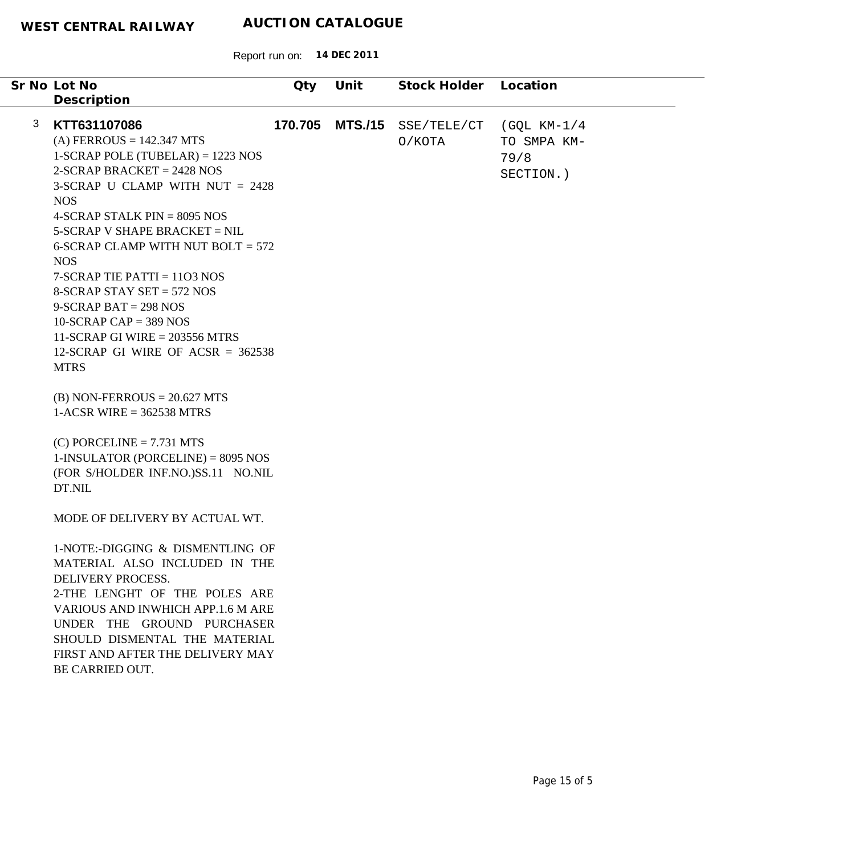|   | Sr No Lot No<br>Description                                                                                                                                                                                                                                                                                                                                                                                                                                                                                      | Qty     | Unit           | Stock Holder          | Location                                           |
|---|------------------------------------------------------------------------------------------------------------------------------------------------------------------------------------------------------------------------------------------------------------------------------------------------------------------------------------------------------------------------------------------------------------------------------------------------------------------------------------------------------------------|---------|----------------|-----------------------|----------------------------------------------------|
| 3 | KTT631107086<br>$(A) FERROUS = 142.347 MTS$<br>$1-SCRAP$ POLE (TUBELAR) = 1223 NOS<br>$2-SCRAP$ BRACKET = 2428 NOS<br>3-SCRAP U CLAMP WITH NUT = 2428<br><b>NOS</b><br>4-SCRAP STALK PIN = $8095$ NOS<br>$5-SCRAP$ V SHAPE BRACKET = NIL<br>6-SCRAP CLAMP WITH NUT BOLT = $572$<br><b>NOS</b><br>$7-SCRAP$ TIE PATTI = 1103 NOS<br>8-SCRAP STAY SET = $572$ NOS<br>$9-SCRAP BAT = 298 NOS$<br>$10-SCRAP CAP = 389 NOS$<br>11-SCRAP GI WIRE = $203556$ MTRS<br>12-SCRAP GI WIRE OF ACSR = $362538$<br><b>MTRS</b> | 170.705 | <b>MTS./15</b> | SSE/TELE/CT<br>O/KOTA | $(GQL KM-1/4)$<br>TO SMPA KM-<br>79/8<br>SECTION.) |
|   | $(B)$ NON-FERROUS = 20.627 MTS<br>$1-ACSR$ WIRE = 362538 MTRS<br>$(C)$ PORCELINE = 7.731 MTS<br>$1$ -INSULATOR (PORCELINE) = 8095 NOS<br>(FOR S/HOLDER INF.NO.)SS.11 NO.NIL<br>DT.NIL                                                                                                                                                                                                                                                                                                                            |         |                |                       |                                                    |
|   | MODE OF DELIVERY BY ACTUAL WT.<br>1-NOTE:-DIGGING & DISMENTLING OF<br>MATERIAL ALSO INCLUDED IN THE<br><b>DELIVERY PROCESS.</b><br>2-THE LENGHT OF THE POLES ARE<br>VARIOUS AND INWHICH APP.1.6 M ARE<br>UNDER THE GROUND PURCHASER<br>SHOULD DISMENTAL THE MATERIAL<br>FIRST AND AFTER THE DELIVERY MAY<br>BE CARRIED OUT.                                                                                                                                                                                      |         |                |                       |                                                    |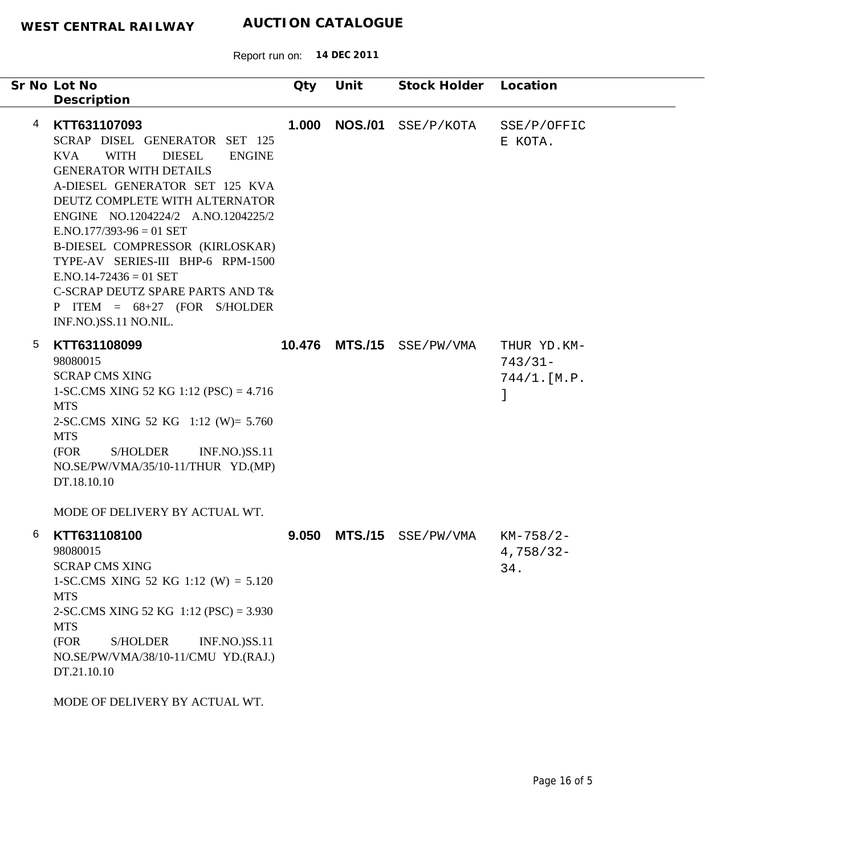|   | Sr No Lot No<br>Description                                                                                                                                                                                                                                                                                                                                                                                                                                                             | Qty   | Unit           | Stock Holder Location |                                         |  |
|---|-----------------------------------------------------------------------------------------------------------------------------------------------------------------------------------------------------------------------------------------------------------------------------------------------------------------------------------------------------------------------------------------------------------------------------------------------------------------------------------------|-------|----------------|-----------------------|-----------------------------------------|--|
| 4 | KTT631107093<br>SCRAP DISEL GENERATOR SET 125<br><b>KVA</b><br><b>WITH</b><br><b>DIESEL</b><br><b>ENGINE</b><br><b>GENERATOR WITH DETAILS</b><br>A-DIESEL GENERATOR SET 125 KVA<br>DEUTZ COMPLETE WITH ALTERNATOR<br>ENGINE NO.1204224/2 A.NO.1204225/2<br>$ENO.177/393-96 = 01 SET$<br>B-DIESEL COMPRESSOR (KIRLOSKAR)<br>TYPE-AV SERIES-III BHP-6 RPM-1500<br>$E.NO.14-72436 = 01 SET$<br>C-SCRAP DEUTZ SPARE PARTS AND T&<br>P ITEM = $68+27$ (FOR S/HOLDER<br>INF.NO.)SS.11 NO.NIL. | 1.000 | <b>NOS./01</b> | SSE/P/KOTA            | SSE/P/OFFIC<br>E KOTA.                  |  |
| 5 | KTT631108099<br>98080015<br><b>SCRAP CMS XING</b><br>1-SC.CMS XING 52 KG 1:12 (PSC) = $4.716$<br><b>MTS</b><br>2-SC.CMS XING 52 KG 1:12 (W)= 5.760<br><b>MTS</b><br>(FOR<br>S/HOLDER<br><b>INF.NO.)SS.11</b><br>NO.SE/PW/VMA/35/10-11/THUR YD.(MP)<br>DT.18.10.10<br>MODE OF DELIVERY BY ACTUAL WT.                                                                                                                                                                                     |       | 10.476 MTS./15 | SSE/PW/VMA            | THUR YD.KM-<br>$743/31-$<br>744/1.[M.P. |  |
| 6 | KTT631108100<br>98080015<br><b>SCRAP CMS XING</b><br>1-SC.CMS XING 52 KG 1:12 (W) = $5.120$<br><b>MTS</b><br>2-SC.CMS XING 52 KG 1:12 (PSC) = 3.930<br><b>MTS</b><br>(FOR<br><b>S/HOLDER</b><br><b>INF.NO.)SS.11</b><br>NO.SE/PW/VMA/38/10-11/CMU YD.(RAJ.)<br>DT.21.10.10<br>MODE OF DELIVERY BY ACTUAL WT.                                                                                                                                                                            | 9.050 | <b>MTS./15</b> | SSE/PW/VMA            | KM-758/2-<br>$4,758/32-$<br>34.         |  |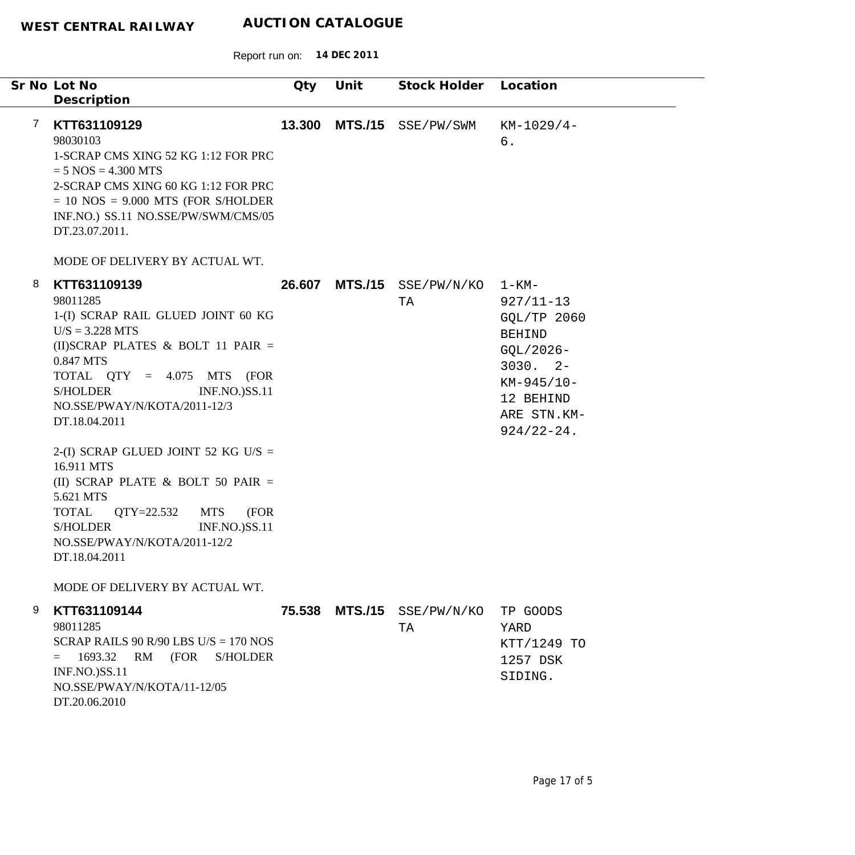|   | Sr No Lot No<br>Description                                                                                                                                                                                                                                                                                                                                                                                                                                                                                                 | Qty    | Unit           | Stock Holder Location            |                                                                                                                                                 |
|---|-----------------------------------------------------------------------------------------------------------------------------------------------------------------------------------------------------------------------------------------------------------------------------------------------------------------------------------------------------------------------------------------------------------------------------------------------------------------------------------------------------------------------------|--------|----------------|----------------------------------|-------------------------------------------------------------------------------------------------------------------------------------------------|
| 7 | KTT631109129<br>98030103<br>1-SCRAP CMS XING 52 KG 1:12 FOR PRC<br>$= 5$ NOS $= 4.300$ MTS<br>2-SCRAP CMS XING 60 KG 1:12 FOR PRC<br>$= 10$ NOS $= 9.000$ MTS (FOR S/HOLDER<br>INF.NO.) SS.11 NO.SSE/PW/SWM/CMS/05<br>DT.23.07.2011.                                                                                                                                                                                                                                                                                        | 13.300 | <b>MTS./15</b> | SSE/PW/SWM                       | $KM-1029/4-$<br>б.                                                                                                                              |
|   | MODE OF DELIVERY BY ACTUAL WT.                                                                                                                                                                                                                                                                                                                                                                                                                                                                                              |        |                |                                  |                                                                                                                                                 |
| 8 | KTT631109139<br>98011285<br>1-(I) SCRAP RAIL GLUED JOINT 60 KG<br>$U/S = 3.228$ MTS<br>(II) SCRAP PLATES & BOLT 11 PAIR =<br>0.847 MTS<br>TOTAL $QTY = 4.075$ MTS (FOR<br><b>S/HOLDER</b><br><b>INF.NO.)SS.11</b><br>NO.SSE/PWAY/N/KOTA/2011-12/3<br>DT.18.04.2011<br>2-(I) SCRAP GLUED JOINT 52 KG U/S =<br>16.911 MTS<br>(II) SCRAP PLATE & BOLT 50 PAIR $=$<br>5.621 MTS<br><b>TOTAL</b><br>QTY=22.532<br><b>MTS</b><br>(FOR<br><b>S/HOLDER</b><br><b>INF.NO.)SS.11</b><br>NO.SSE/PWAY/N/KOTA/2011-12/2<br>DT.18.04.2011 |        | 26.607 MTS./15 | SSE/PW/N/KO<br>TA                | 1-KM-<br>$927/11 - 13$<br>GQL/TP 2060<br><b>BEHIND</b><br>GQL/2026-<br>$3030.2 -$<br>$KM-945/10-$<br>12 BEHIND<br>ARE STN.KM-<br>$924/22 - 24.$ |
|   | MODE OF DELIVERY BY ACTUAL WT.                                                                                                                                                                                                                                                                                                                                                                                                                                                                                              |        |                |                                  |                                                                                                                                                 |
| 9 | KTT631109144<br>98011285<br>SCRAP RAILS 90 R/90 LBS U/S = $170$ NOS<br>1693.32<br>RM<br>(FOR<br><b>S/HOLDER</b><br>$=$<br>INF.NO.)SS.11<br>NO.SSE/PWAY/N/KOTA/11-12/05<br>DT.20.06.2010                                                                                                                                                                                                                                                                                                                                     |        |                | 75.538 MTS./15 SSE/PW/N/KO<br>TA | TP GOODS<br>YARD<br>KTT/1249 TO<br>1257 DSK<br>SIDING.                                                                                          |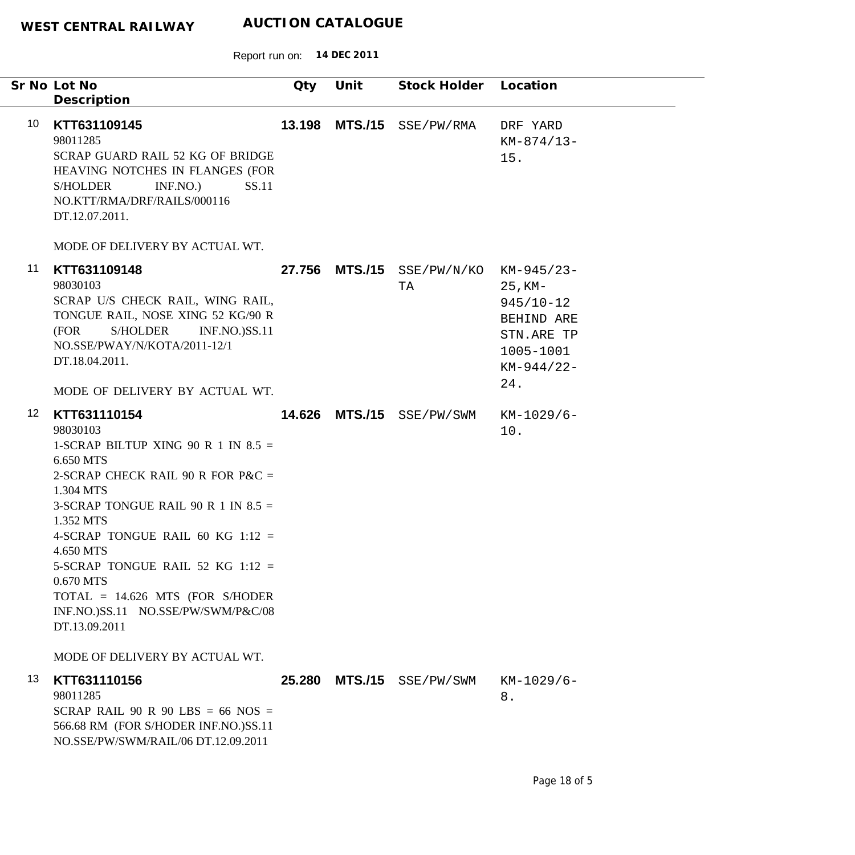|                 | Sr No Lot No<br>Description                                                                                                                                                                                                                                                                                                                                                                              | Qty    | Unit           | Stock Holder Location     |                                                                                                           |
|-----------------|----------------------------------------------------------------------------------------------------------------------------------------------------------------------------------------------------------------------------------------------------------------------------------------------------------------------------------------------------------------------------------------------------------|--------|----------------|---------------------------|-----------------------------------------------------------------------------------------------------------|
| 10              | KTT631109145<br>98011285<br>SCRAP GUARD RAIL 52 KG OF BRIDGE<br>HEAVING NOTCHES IN FLANGES (FOR<br>INF.NO.)<br>SS.11<br><b>S/HOLDER</b><br>NO.KTT/RMA/DRF/RAILS/000116<br>DT.12.07.2011.                                                                                                                                                                                                                 | 13.198 |                | MTS./15 SSE/PW/RMA        | DRF YARD<br>$KM-874/13-$<br>15.                                                                           |
|                 | MODE OF DELIVERY BY ACTUAL WT.                                                                                                                                                                                                                                                                                                                                                                           |        |                |                           |                                                                                                           |
| 11              | KTT631109148<br>98030103<br>SCRAP U/S CHECK RAIL, WING RAIL,<br>TONGUE RAIL, NOSE XING 52 KG/90 R<br><b>INF.NO.)SS.11</b><br>(FOR<br>S/HOLDER<br>NO.SSE/PWAY/N/KOTA/2011-12/1<br>DT.18.04.2011.                                                                                                                                                                                                          |        | 27.756 MTS./15 | SSE/PW/N/KO<br>TA         | KM-945/23-<br>$25$ , KM-<br>$945/10 - 12$<br>BEHIND ARE<br>STN.ARE TP<br>1005-1001<br>$KM-944/22-$<br>24. |
| 12 <sup>°</sup> | MODE OF DELIVERY BY ACTUAL WT.<br>KTT631110154                                                                                                                                                                                                                                                                                                                                                           |        |                | 14.626 MTS./15 SSE/PW/SWM |                                                                                                           |
|                 | 98030103<br>1-SCRAP BILTUP XING 90 R 1 IN $8.5 =$<br>6.650 MTS<br>2-SCRAP CHECK RAIL 90 R FOR P&C $=$<br>1.304 MTS<br>3-SCRAP TONGUE RAIL 90 R 1 IN $8.5 =$<br>1.352 MTS<br>4-SCRAP TONGUE RAIL 60 KG 1:12 =<br>4.650 MTS<br>5-SCRAP TONGUE RAIL 52 KG 1:12 =<br>0.670 MTS<br>$TOTAL = 14.626 MTS$ (FOR S/HODER<br>INF.NO.)SS.11 NO.SSE/PW/SWM/P&C/08<br>DT.13.09.2011<br>MODE OF DELIVERY BY ACTUAL WT. |        |                |                           | $KM-1029/6-$<br>10.                                                                                       |
| 13              | KTT631110156<br>98011285<br>SCRAP RAIL 90 R 90 LBS = 66 NOS =<br>566.68 RM (FOR S/HODER INF.NO.)SS.11<br>NO.SSE/PW/SWM/RAIL/06 DT.12.09.2011                                                                                                                                                                                                                                                             |        |                | 25.280 MTS./15 SSE/PW/SWM | KM-1029/6-<br>8.                                                                                          |
|                 |                                                                                                                                                                                                                                                                                                                                                                                                          |        |                |                           |                                                                                                           |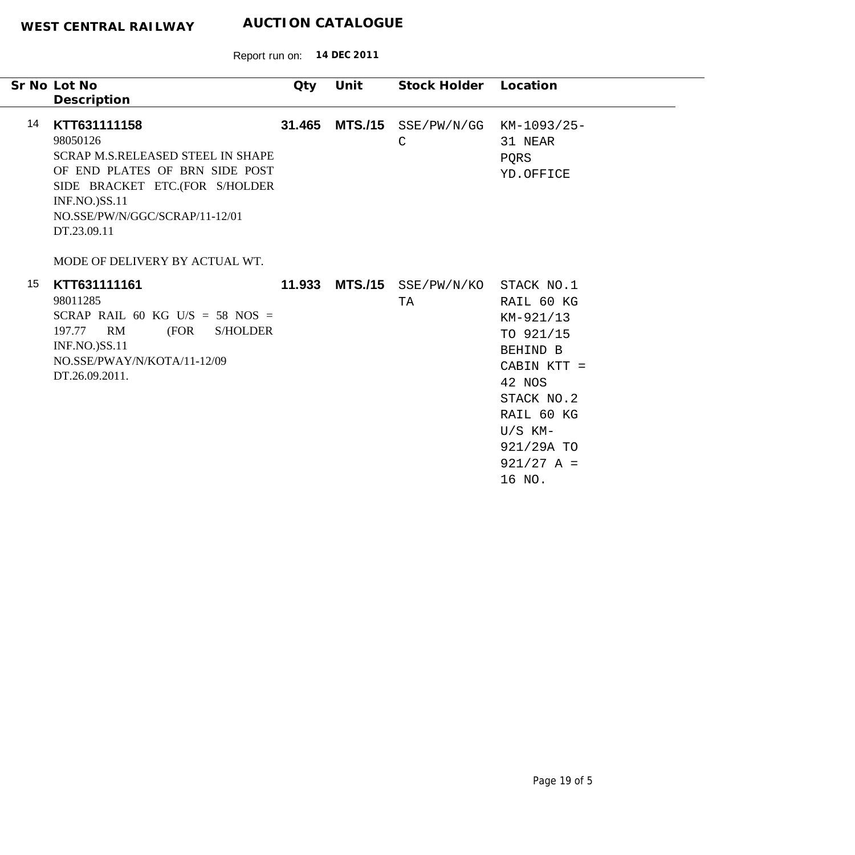|    | Sr No Lot No                                                                                                                                                                                                      | Qty    | Unit | Stock Holder                        | Location                                                                                                                                                                 |
|----|-------------------------------------------------------------------------------------------------------------------------------------------------------------------------------------------------------------------|--------|------|-------------------------------------|--------------------------------------------------------------------------------------------------------------------------------------------------------------------------|
|    | Description                                                                                                                                                                                                       |        |      |                                     |                                                                                                                                                                          |
| 14 | KTT631111158<br>98050126<br><b>SCRAP M.S.RELEASED STEEL IN SHAPE</b><br>OF END PLATES OF BRN SIDE POST<br>SIDE BRACKET ETC.(FOR S/HOLDER<br><b>INF.NO.)SS.11</b><br>NO.SSE/PW/N/GGC/SCRAP/11-12/01<br>DT.23.09.11 | 31.465 |      | MTS./15 SSE/PW/N/GG<br>$\mathsf{C}$ | KM-1093/25-<br>31 NEAR<br>PQRS<br>YD.OFFICE                                                                                                                              |
|    | MODE OF DELIVERY BY ACTUAL WT.                                                                                                                                                                                    |        |      |                                     |                                                                                                                                                                          |
| 15 | KTT631111161<br>98011285<br>SCRAP RAIL 60 KG U/S = 58 NOS =<br>197.77<br>RM<br>(FOR<br><b>S/HOLDER</b><br><b>INF.NO.)SS.11</b><br>NO.SSE/PWAY/N/KOTA/11-12/09<br>DT.26.09.2011.                                   | 11.933 |      | MTS./15 SSE/PW/N/KO<br>TA           | STACK NO.1<br>RAIL 60 KG<br>KM-921/13<br>TO 921/15<br>BEHIND B<br>CABIN KTT =<br>42 NOS<br>STACK NO.2<br>RAIL 60 KG<br>$U/S$ KM-<br>921/29A TO<br>$921/27 A =$<br>16 NO. |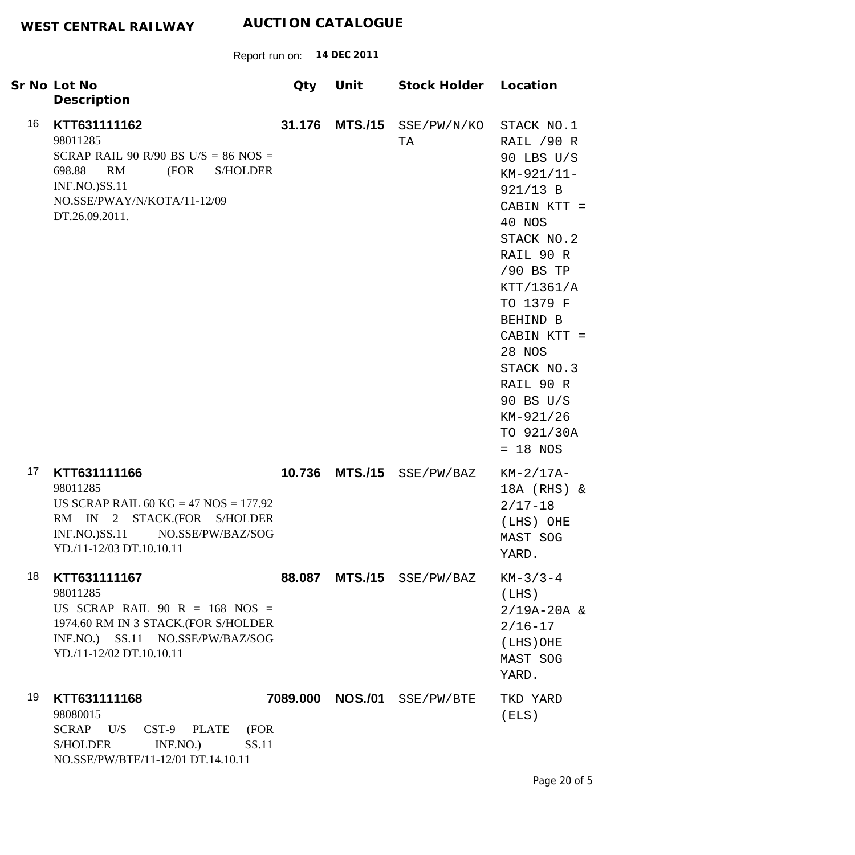|    | Sr No Lot No<br>Description                                                                                                                                                            | Qty    | Unit           | Stock Holder Location       |                                                                                                                                                                                                                                                                                    |
|----|----------------------------------------------------------------------------------------------------------------------------------------------------------------------------------------|--------|----------------|-----------------------------|------------------------------------------------------------------------------------------------------------------------------------------------------------------------------------------------------------------------------------------------------------------------------------|
| 16 | KTT631111162<br>98011285<br>SCRAP RAIL 90 R/90 BS U/S = $86$ NOS =<br>698.88<br>RM<br>(FOR<br><b>S/HOLDER</b><br><b>INF.NO.)SS.11</b><br>NO.SSE/PWAY/N/KOTA/11-12/09<br>DT.26.09.2011. | 31.176 | <b>MTS./15</b> | SSE/PW/N/KO<br>TA           | STACK NO.1<br>RAIL /90 R<br>90 LBS U/S<br>KM-921/11-<br>921/13 B<br>CABIN KTT =<br>40 NOS<br>STACK NO.2<br>RAIL 90 R<br>/90 BS TP<br>KTT/1361/A<br>TO 1379 F<br>BEHIND B<br>CABIN KTT =<br>28 NOS<br>STACK NO.3<br>RAIL 90 R<br>90 BS U/S<br>KM-921/26<br>TO 921/30A<br>$= 18$ NOS |
| 17 | KTT631111166<br>98011285<br>US SCRAP RAIL 60 KG = $47$ NOS = $177.92$<br>RM IN 2 STACK.(FOR S/HOLDER<br><b>INF.NO.)SS.11</b><br>NO.SSE/PW/BAZ/SOG<br>YD./11-12/03 DT.10.10.11          |        | 10.736 MTS./15 | SSE/PW/BAZ                  | $KM-2/17A-$<br>18A (RHS) &<br>$2/17 - 18$<br>(LHS) OHE<br>MAST SOG<br>YARD.                                                                                                                                                                                                        |
| 18 | KTT631111167<br>98011285<br>US SCRAP RAIL $90 R = 168$ NOS =<br>1974.60 RM IN 3 STACK.(FOR S/HOLDER<br>INF.NO.) SS.11 NO.SSE/PW/BAZ/SOG<br>YD./11-12/02 DT.10.10.11                    |        |                | 88.087 MTS./15 SSE/PW/BAZ   | $KM-3/3-4$<br>(LHS)<br>$2/19A-20A$ &<br>$2/16 - 17$<br>$(LHS)$ OHE<br>MAST SOG<br>YARD.                                                                                                                                                                                            |
| 19 | KTT631111168<br>98080015<br>SCRAP U/S<br>CST-9 PLATE<br>(FOR<br>INF.NO.<br>SS.11<br><b>S/HOLDER</b><br>NO.SSE/PW/BTE/11-12/01 DT.14.10.11                                              |        |                | 7089.000 NOS./01 SSE/PW/BTE | TKD YARD<br>(ELS)                                                                                                                                                                                                                                                                  |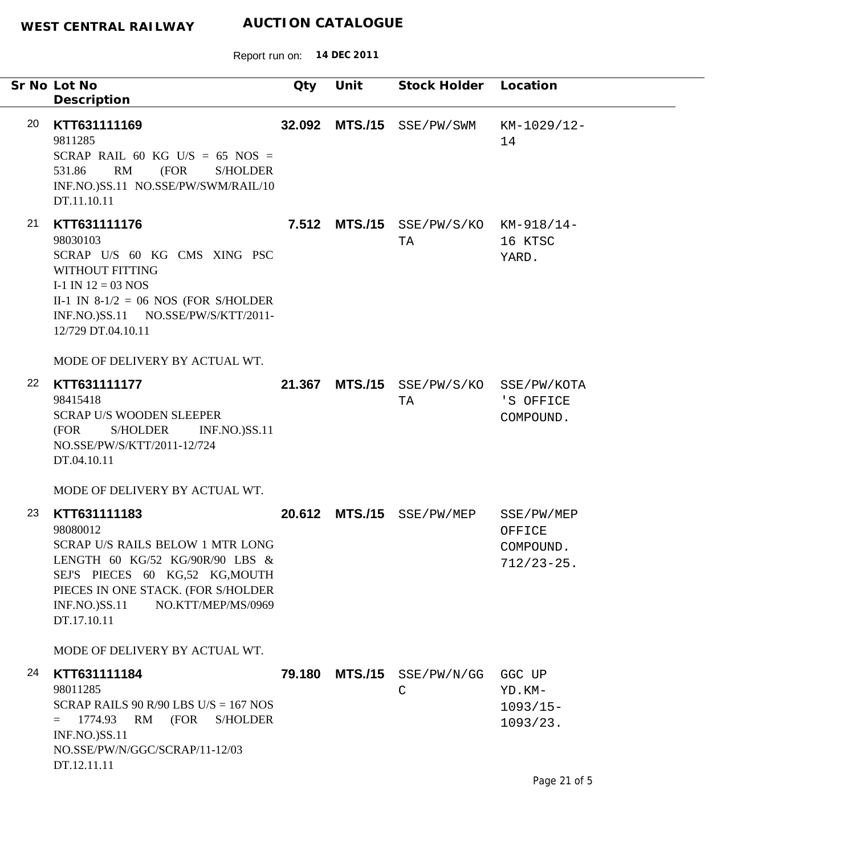|    | Sr No Lot No<br>Description                                                                                                                                                                                                                                               | Qty    | Unit | Stock Holder Location                      |                                                      |
|----|---------------------------------------------------------------------------------------------------------------------------------------------------------------------------------------------------------------------------------------------------------------------------|--------|------|--------------------------------------------|------------------------------------------------------|
| 20 | KTT631111169<br>9811285<br>SCRAP RAIL 60 KG U/S = 65 NOS =<br>RM<br>(FOR<br>531.86<br><b>S/HOLDER</b><br>INF.NO.)SS.11 NO.SSE/PW/SWM/RAIL/10<br>DT.11.10.11                                                                                                               |        |      | 32.092 MTS./15 SSE/PW/SWM                  | KM-1029/12-<br>14                                    |
| 21 | KTT631111176<br>98030103<br>SCRAP U/S 60 KG CMS XING PSC<br>WITHOUT FITTING<br>I-1 IN $12 = 03$ NOS<br>II-1 IN $8-1/2 = 06$ NOS (FOR S/HOLDER<br>INF.NO.)SS.11 NO.SSE/PW/S/KTT/2011-<br>12/729 DT.04.10.11                                                                |        |      | 7.512 MTS./15 SSE/PW/S/KO KM-918/14-<br>TA | 16 KTSC<br>YARD.                                     |
| 22 | MODE OF DELIVERY BY ACTUAL WT.<br>KTT631111177<br>98415418<br><b>SCRAP U/S WOODEN SLEEPER</b><br>S/HOLDER<br><b>INF.NO.)SS.11</b><br>(FOR<br>NO.SSE/PW/S/KTT/2011-12/724<br>DT.04.10.11                                                                                   | 21.367 |      | MTS./15 SSE/PW/S/KO SSE/PW/KOTA<br>TA      | 'S OFFICE<br>COMPOUND.                               |
| 23 | MODE OF DELIVERY BY ACTUAL WT.<br>KTT631111183<br>98080012<br>SCRAP U/S RAILS BELOW 1 MTR LONG<br>LENGTH 60 KG/52 KG/90R/90 LBS $\&$<br>SEJ'S PIECES 60 KG,52 KG,MOUTH<br>PIECES IN ONE STACK. (FOR S/HOLDER<br>NO.KTT/MEP/MS/0969<br><b>INF.NO.)SS.11</b><br>DT.17.10.11 | 20.612 |      | MTS./15 SSE/PW/MEP                         | SSE/PW/MEP<br>OFFICE<br>COMPOUND.<br>$712/23 - 25$ . |
| 24 | MODE OF DELIVERY BY ACTUAL WT.<br>KTT631111184<br>98011285<br>SCRAP RAILS 90 R/90 LBS U/S = $167$ NOS<br>1774.93<br>RM<br>(FOR<br><b>S/HOLDER</b><br>$=$<br><b>INF.NO.)SS.11</b><br>NO.SSE/PW/N/GGC/SCRAP/11-12/03<br>DT.12.11.11                                         | 79.180 |      | $MTS./15$ SSE/PW/N/GG<br>C                 | GGC UP<br>YD.KM-<br>$1093/15-$<br>1093/23.           |
|    |                                                                                                                                                                                                                                                                           |        |      |                                            | Page 21 of 5                                         |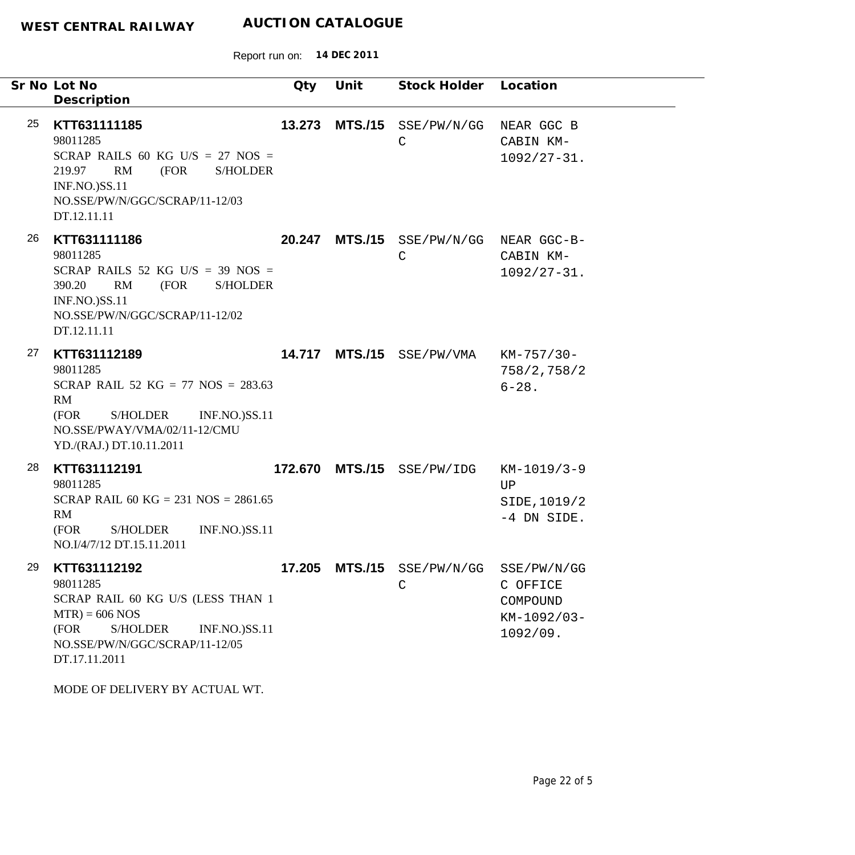|    | Sr No Lot No<br>Description                                                                                                                                                                                                | Qty    | Unit            | Stock Holder Location        |                                                                |
|----|----------------------------------------------------------------------------------------------------------------------------------------------------------------------------------------------------------------------------|--------|-----------------|------------------------------|----------------------------------------------------------------|
| 25 | KTT631111185<br>98011285<br>SCRAP RAILS 60 KG U/S = 27 NOS =<br>RM<br>(FOR<br>219.97<br><b>S/HOLDER</b><br><b>INF.NO.)SS.11</b><br>NO.SSE/PW/N/GGC/SCRAP/11-12/03<br>DT.12.11.11                                           | 13.273 | <b>MTS./15</b>  | SSE/PW/N/GG<br>C             | NEAR GGC B<br>CABIN KM-<br>$1092/27 - 31.$                     |
| 26 | KTT631111186<br>98011285<br>SCRAP RAILS 52 KG U/S = 39 NOS =<br>RM<br>390.20<br>(FOR<br><b>S/HOLDER</b><br><b>INF.NO.)SS.11</b><br>NO.SSE/PW/N/GGC/SCRAP/11-12/02<br>DT.12.11.11                                           | 20.247 | <b>MTS./15</b>  | SSE/PW/N/GG NEAR GGC-B-<br>C | CABIN KM-<br>$1092/27 - 31.$                                   |
| 27 | KTT631112189<br>98011285<br>SCRAP RAIL 52 KG = 77 NOS = $283.63$<br>RM<br>S/HOLDER<br><b>INF.NO.)SS.11</b><br>(FOR<br>NO.SSE/PWAY/VMA/02/11-12/CMU<br>YD./(RAJ.) DT.10.11.2011                                             |        | 14.717 MTS./15  | SSE/PW/VMA                   | KM-757/30-<br>758/2, 758/2<br>$6 - 28$ .                       |
| 28 | KTT631112191<br>98011285<br>SCRAP RAIL 60 KG = 231 NOS = $2861.65$<br>RM<br>(FOR<br><b>S/HOLDER</b><br><b>INF.NO.)SS.11</b><br>NO.I/4/7/12 DT.15.11.2011                                                                   |        | 172.670 MTS./15 | SSE/PW/IDG                   | KM-1019/3-9<br>UP<br>SIDE, 1019/2<br>-4 DN SIDE.               |
| 29 | KTT631112192<br>98011285<br>SCRAP RAIL 60 KG U/S (LESS THAN 1<br>$MTR$ ) = 606 NOS<br>(FOR<br><b>S/HOLDER</b><br><b>INF.NO.)SS.11</b><br>NO.SSE/PW/N/GGC/SCRAP/11-12/05<br>DT.17.11.2011<br>MODE OF DELIVERY BY ACTUAL WT. | 17.205 |                 | $MTS./15$ $SSE/PW/N/GG$<br>C | SSE/PW/N/GG<br>C OFFICE<br>COMPOUND<br>KM-1092/03-<br>1092/09. |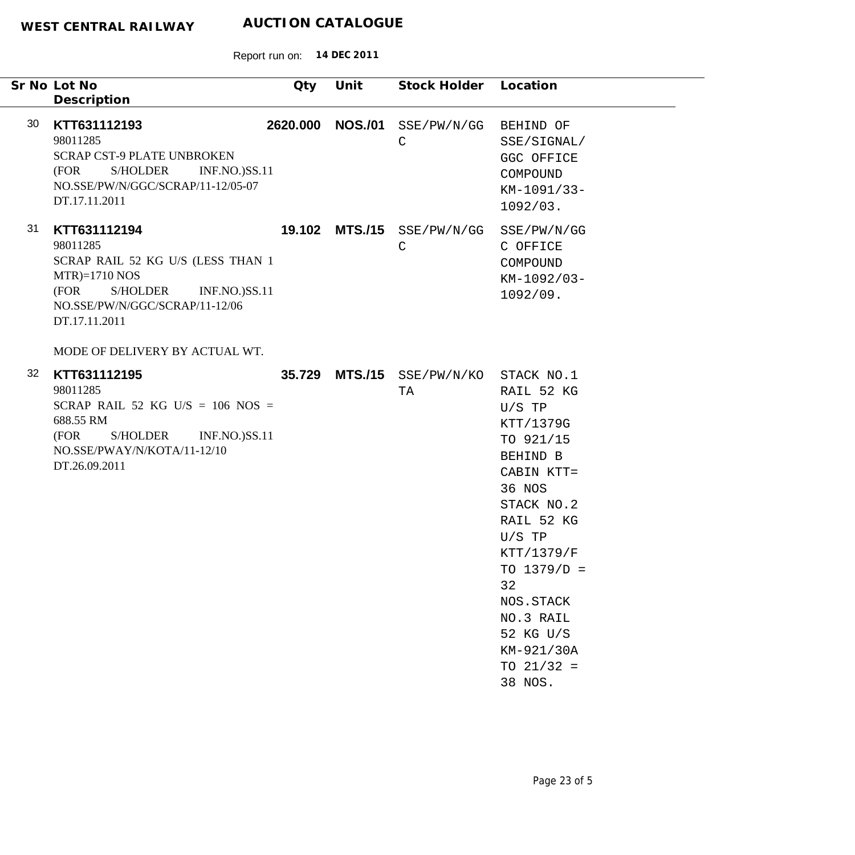| Sr No Lot No<br>Description                                                                                                                                                                                             | Qty      | Unit           | Stock Holder Location                     |                                                                                                                                                                                                                                                   |
|-------------------------------------------------------------------------------------------------------------------------------------------------------------------------------------------------------------------------|----------|----------------|-------------------------------------------|---------------------------------------------------------------------------------------------------------------------------------------------------------------------------------------------------------------------------------------------------|
| 30<br>KTT631112193<br>98011285<br><b>SCRAP CST-9 PLATE UNBROKEN</b><br>S/HOLDER<br><b>INF.NO.)SS.11</b><br>(FOR<br>NO.SSE/PW/N/GGC/SCRAP/11-12/05-07<br>DT.17.11.2011                                                   | 2620.000 | <b>NOS./01</b> | SSE/PW/N/GG<br>$\mathsf C$                | BEHIND OF<br>SSE/SIGNAL/<br>GGC OFFICE<br>COMPOUND<br>$KM-1091/33-$<br>1092/03.                                                                                                                                                                   |
| 31<br>KTT631112194<br>98011285<br>SCRAP RAIL 52 KG U/S (LESS THAN 1<br>$MTR$ =1710 NOS<br>(FOR<br>S/HOLDER<br><b>INF.NO.)SS.11</b><br>NO.SSE/PW/N/GGC/SCRAP/11-12/06<br>DT.17.11.2011<br>MODE OF DELIVERY BY ACTUAL WT. |          |                | 19.102 MTS./15 SSE/PW/N/GG<br>$\mathsf C$ | SSE/PW/N/GG<br>C OFFICE<br>COMPOUND<br>KM-1092/03-<br>1092/09.                                                                                                                                                                                    |
| 32<br>KTT631112195<br>98011285<br>SCRAP RAIL 52 KG U/S = $106$ NOS =<br>688.55 RM<br>(FOR<br>S/HOLDER<br><b>INF.NO.)SS.11</b><br>NO.SSE/PWAY/N/KOTA/11-12/10<br>DT.26.09.2011                                           |          | 35.729 MTS./15 | SSE/PW/N/KO STACK NO.1<br>TA              | RAIL 52 KG<br>$U/S$ TP<br>KTT/1379G<br>TO 921/15<br>BEHIND B<br>CABIN KTT=<br>36 NOS<br>STACK NO.2<br>RAIL 52 KG<br>$U/S$ TP<br>KTT/1379/F<br>TO $1379/D =$<br>32<br>NOS.STACK<br>NO.3 RAIL<br>52 KG U/S<br>KM-921/30A<br>TO $21/32 =$<br>38 NOS. |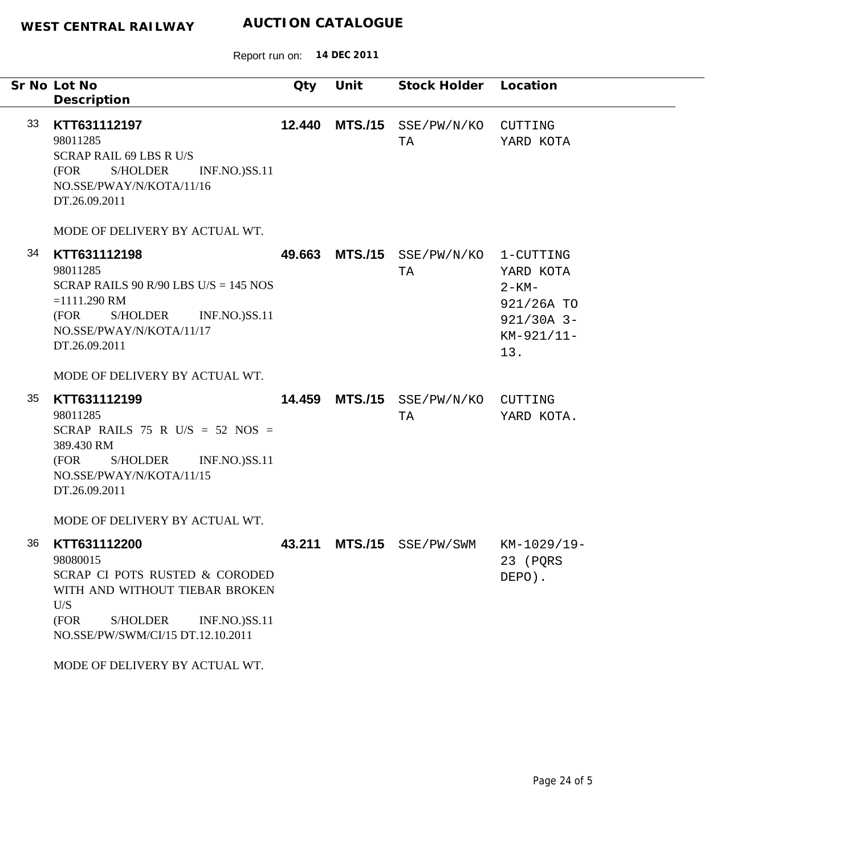Report run on: **14 DEC 2011**

| Sr No Lot No<br>Description                                                                                                                                                                                                   | Qty | Unit | Stock Holder Location      |                                                                                         |
|-------------------------------------------------------------------------------------------------------------------------------------------------------------------------------------------------------------------------------|-----|------|----------------------------|-----------------------------------------------------------------------------------------|
| KTT631112197<br>98011285<br><b>SCRAP RAIL 69 LBS R U/S</b><br>(FOR<br><b>S/HOLDER</b><br><b>INF.NO.)SS.11</b><br>NO.SSE/PWAY/N/KOTA/11/16<br>DT.26.09.2011                                                                    |     |      | SSE/PW/N/KO<br>TA          | CUTTING<br>YARD KOTA                                                                    |
| MODE OF DELIVERY BY ACTUAL WT.                                                                                                                                                                                                |     |      |                            |                                                                                         |
| KTT631112198<br>98011285<br>SCRAP RAILS 90 R/90 LBS U/S = $145$ NOS<br>$=1111.290$ RM<br>S/HOLDER<br><b>INF.NO.)SS.11</b><br>(FOR<br>NO.SSE/PWAY/N/KOTA/11/17<br>DT.26.09.2011                                                |     |      | SSE/PW/N/KO<br>TA          | 1-CUTTING<br>YARD KOTA<br>$2 - KM -$<br>921/26A TO<br>$921/30A$ 3-<br>KM-921/11-<br>13. |
| MODE OF DELIVERY BY ACTUAL WT.                                                                                                                                                                                                |     |      |                            |                                                                                         |
| KTT631112199<br>98011285<br>SCRAP RAILS 75 R U/S = 52 NOS =<br>389.430 RM<br>(FOR<br>S/HOLDER INF.NO.)SS.11<br>NO.SSE/PWAY/N/KOTA/11/15<br>DT.26.09.2011                                                                      |     |      | SSE/PW/N/KO<br>TA          | CUTTING<br>YARD KOTA.                                                                   |
| MODE OF DELIVERY BY ACTUAL WT.                                                                                                                                                                                                |     |      |                            |                                                                                         |
| KTT631112200<br>98080015<br>SCRAP CI POTS RUSTED & CORODED<br>WITH AND WITHOUT TIEBAR BROKEN<br>U/S<br>(FOR<br><b>S/HOLDER</b><br><b>INF.NO.)SS.11</b><br>NO.SSE/PW/SWM/CI/15 DT.12.10.2011<br>MODE OF DELIVERY BY ACTUAL WT. |     |      |                            | KM-1029/19-<br>23 (PQRS<br>DEPO).                                                       |
|                                                                                                                                                                                                                               |     |      | 12.440<br>49.663<br>14.459 | <b>MTS./15</b><br><b>MTS./15</b><br><b>MTS./15</b><br>43.211 MTS./15 SSE/PW/SWM         |

۰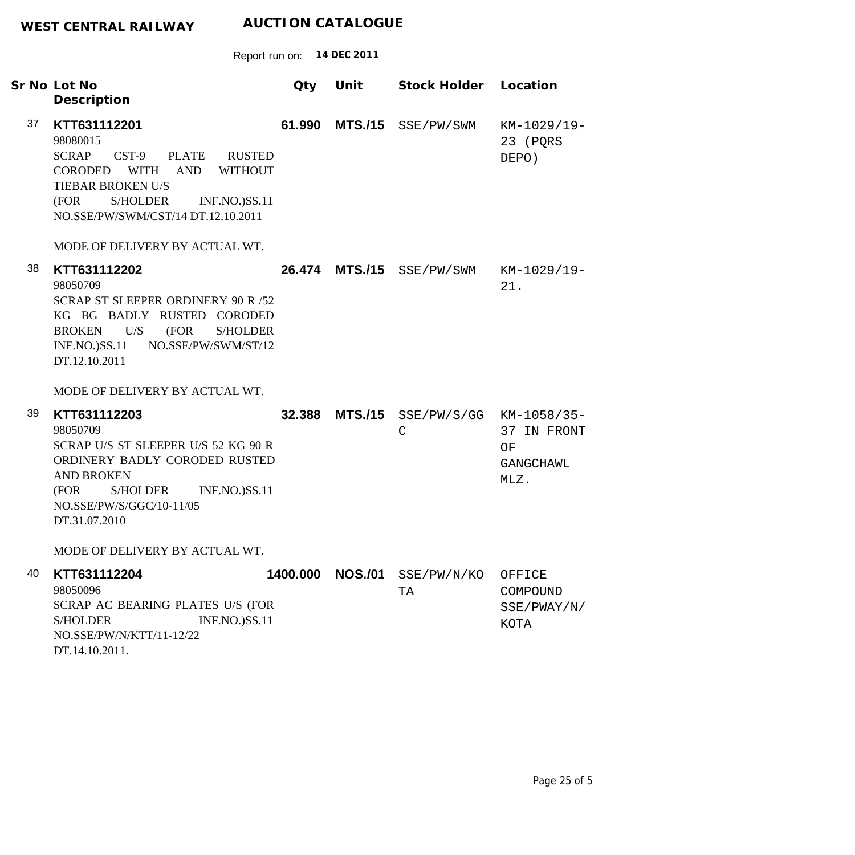|    | Sr No Lot No<br>Description                                                                                                                                                                                                                                            | Qty    | Unit             | Stock Holder Location                  |                                           |
|----|------------------------------------------------------------------------------------------------------------------------------------------------------------------------------------------------------------------------------------------------------------------------|--------|------------------|----------------------------------------|-------------------------------------------|
| 37 | KTT631112201<br>98080015<br><b>SCRAP</b><br>$CST-9$<br>PLATE<br><b>RUSTED</b><br>CORODED WITH<br><b>AND</b><br><b>WITHOUT</b><br>TIEBAR BROKEN U/S<br>(FOR<br>S/HOLDER<br><b>INF.NO.)SS.11</b><br>NO.SSE/PW/SWM/CST/14 DT.12.10.2011<br>MODE OF DELIVERY BY ACTUAL WT. | 61.990 | <b>MTS./15</b>   | SSE/PW/SWM                             | KM-1029/19-<br>23 (PQRS<br>DEPO)          |
| 38 | KTT631112202<br>98050709<br>SCRAP ST SLEEPER ORDINERY 90 R /52<br>KG BG BADLY RUSTED CORODED<br>U/S<br>(FOR<br><b>BROKEN</b><br><b>S/HOLDER</b><br>$INF.NO.$ ) $SS.11$<br>NO.SSE/PW/SWM/ST/12<br>DT.12.10.2011<br>MODE OF DELIVERY BY ACTUAL WT.                       |        | 26.474 MTS./15   | SSE/PW/SWM                             | KM-1029/19-<br>21.                        |
| 39 | KTT631112203<br>98050709<br>SCRAP U/S ST SLEEPER U/S 52 KG 90 R<br>ORDINERY BADLY CORODED RUSTED<br><b>AND BROKEN</b><br>(FOR<br><b>S/HOLDER</b><br><b>INF.NO.)SS.11</b><br>NO.SSE/PW/S/GGC/10-11/05<br>DT.31.07.2010<br>MODE OF DELIVERY BY ACTUAL WT.                | 32.388 | <b>MTS./15</b>   | SSE/PW/S/GG KM-1058/35-<br>$\mathsf C$ | 37 IN FRONT<br>ΟF<br>GANGCHAWL<br>MLZ.    |
| 40 | KTT631112204<br>98050096<br>SCRAP AC BEARING PLATES U/S (FOR<br><b>INF.NO.)SS.11</b><br><b>S/HOLDER</b><br>NO.SSE/PW/N/KTT/11-12/22<br>DT.14.10.2011.                                                                                                                  |        | 1400.000 NOS./01 | SSE/PW/N/KO<br>TA                      | OFFICE<br>COMPOUND<br>SSE/PWAY/N/<br>KOTA |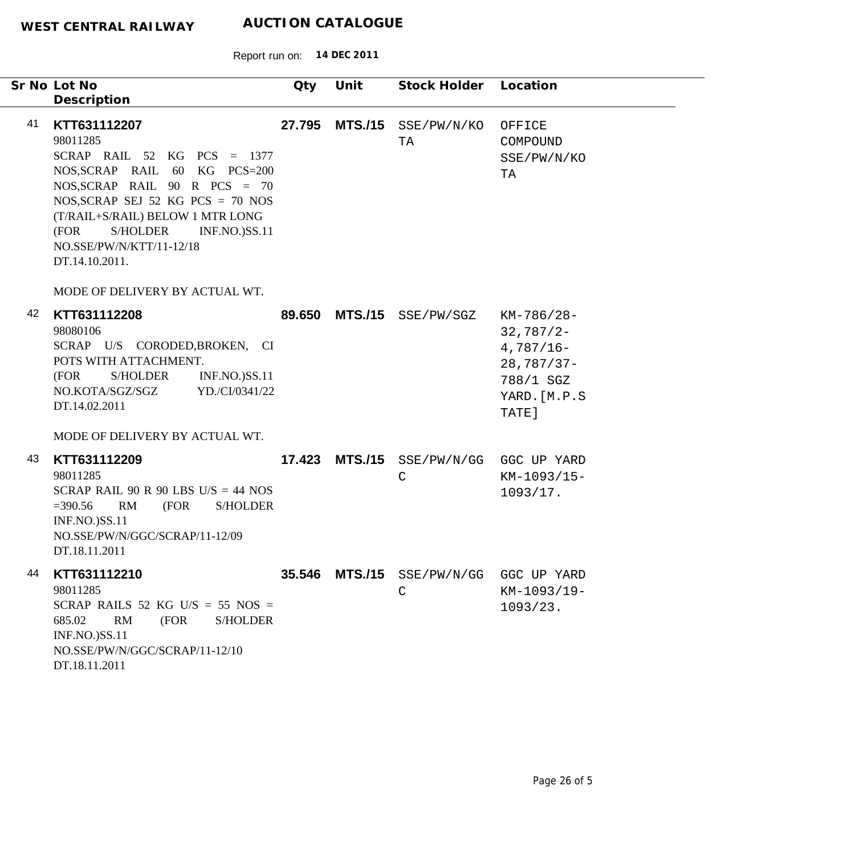|    | Sr No Lot No<br>Description                                                                                                                                                                                                                                                                        | Qty    | Unit           | Stock Holder Location               |                                                                                                   |
|----|----------------------------------------------------------------------------------------------------------------------------------------------------------------------------------------------------------------------------------------------------------------------------------------------------|--------|----------------|-------------------------------------|---------------------------------------------------------------------------------------------------|
| 41 | KTT631112207<br>98011285<br>SCRAP RAIL $52$ KG PCS = 1377<br>NOS, SCRAP RAIL 60 KG PCS=200<br>NOS, SCRAP RAIL $90$ R PCS = 70<br>NOS, SCRAP SEJ 52 KG PCS = $70$ NOS<br>(T/RAIL+S/RAIL) BELOW 1 MTR LONG<br>S/HOLDER<br><b>INF.NO.)SS.11</b><br>(FOR<br>NO.SSE/PW/N/KTT/11-12/18<br>DT.14.10.2011. | 27.795 | <b>MTS./15</b> | SSE/PW/N/KO<br>TA                   | OFFICE<br>COMPOUND<br>SSE/PW/N/KO<br>ТA                                                           |
| 42 | MODE OF DELIVERY BY ACTUAL WT.<br>KTT631112208<br>98080106<br>SCRAP U/S CORODED, BROKEN, CI<br>POTS WITH ATTACHMENT.<br>(FOR<br>S/HOLDER<br><b>INF.NO.)SS.11</b><br>YD./CI/0341/22<br>NO.KOTA/SGZ/SGZ<br>DT.14.02.2011                                                                             | 89.650 | <b>MTS./15</b> | SSE/PW/SGZ                          | $KM-786/28-$<br>$32,787/2 -$<br>$4,787/16-$<br>$28,787/37-$<br>788/1 SGZ<br>YARD. [M.P.S<br>TATE] |
| 43 | MODE OF DELIVERY BY ACTUAL WT.<br>KTT631112209<br>98011285<br>SCRAP RAIL 90 R 90 LBS U/S = 44 NOS<br>$= 390.56$<br>RM<br>(FOR<br><b>S/HOLDER</b><br><b>INF.NO.)SS.11</b><br>NO.SSE/PW/N/GGC/SCRAP/11-12/09<br>DT.18.11.2011                                                                        | 17.423 | <b>MTS./15</b> | SSE/PW/N/GG<br>$\mathsf C$          | GGC UP YARD<br>KM-1093/15-<br>1093/17.                                                            |
| 44 | KTT631112210<br>98011285<br>SCRAP RAILS 52 KG U/S = 55 NOS =<br>(FOR<br>685.02<br>RM<br><b>S/HOLDER</b><br>INF.NO.)SS.11<br>NO.SSE/PW/N/GGC/SCRAP/11-12/10<br>DT.18.11.2011                                                                                                                        | 35.546 |                | MTS./15 SSE/PW/N/GG<br>$\mathsf{C}$ | GGC UP YARD<br>KM-1093/19-<br>1093/23.                                                            |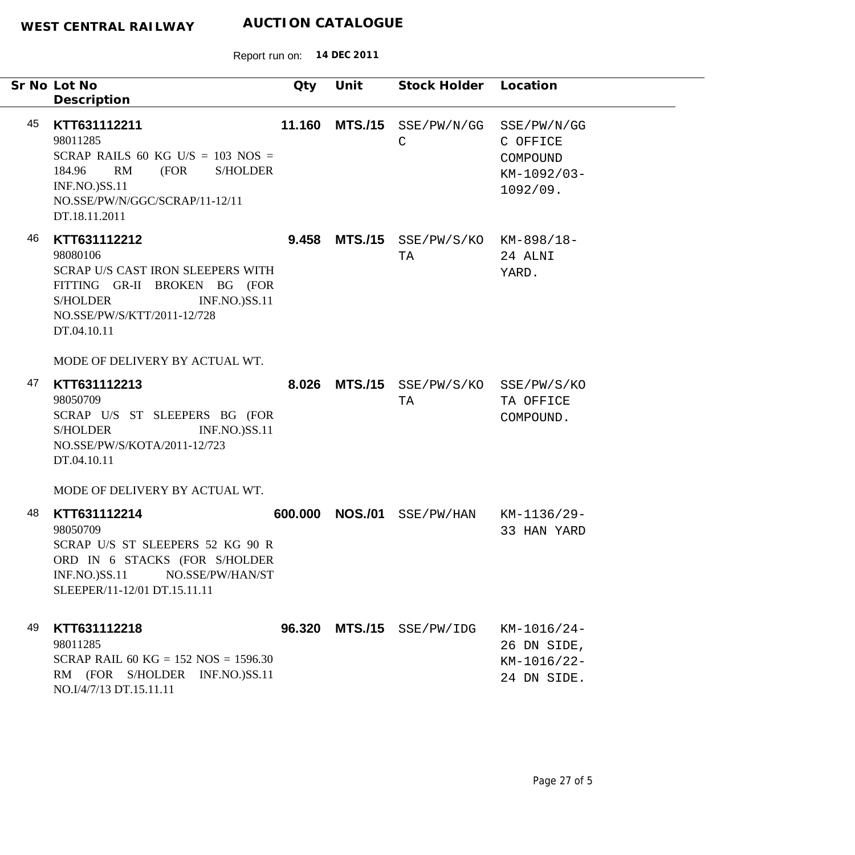|    | Sr No Lot No<br>Description                                                                                                                                                                                              | Qty     | Unit           | Stock Holder Location                 |                                                                |
|----|--------------------------------------------------------------------------------------------------------------------------------------------------------------------------------------------------------------------------|---------|----------------|---------------------------------------|----------------------------------------------------------------|
| 45 | KTT631112211<br>98011285<br>SCRAP RAILS 60 KG U/S = $103$ NOS =<br>RM<br>(FOR<br><b>S/HOLDER</b><br>184.96<br><b>INF.NO.)SS.11</b><br>NO.SSE/PW/N/GGC/SCRAP/11-12/11<br>DT.18.11.2011                                    | 11.160  | <b>MTS./15</b> | SSE/PW/N/GG<br>$\mathsf{C}$           | SSE/PW/N/GG<br>C OFFICE<br>COMPOUND<br>KM-1092/03-<br>1092/09. |
| 46 | KTT631112212<br>98080106<br>SCRAP U/S CAST IRON SLEEPERS WITH<br>FITTING GR-II BROKEN BG (FOR<br><b>INF.NO.)SS.11</b><br><b>S/HOLDER</b><br>NO.SSE/PW/S/KTT/2011-12/728<br>DT.04.10.11<br>MODE OF DELIVERY BY ACTUAL WT. | 9.458   | <b>MTS./15</b> | $SSE/PW/S/KO$ $KM-898/18-$<br>TA      | 24 ALNI<br>YARD.                                               |
| 47 | KTT631112213<br>98050709<br>SCRAP U/S ST SLEEPERS BG (FOR<br><b>INF.NO.)SS.11</b><br><b>S/HOLDER</b><br>NO.SSE/PW/S/KOTA/2011-12/723<br>DT.04.10.11<br>MODE OF DELIVERY BY ACTUAL WT.                                    | 8.026   |                | MTS./15 SSE/PW/S/KO SSE/PW/S/KO<br>TA | TA OFFICE<br>COMPOUND.                                         |
| 48 | KTT631112214<br>98050709<br>SCRAP U/S ST SLEEPERS 52 KG 90 R<br>ORD IN 6 STACKS (FOR S/HOLDER<br>NO.SSE/PW/HAN/ST<br>$INF.NO.$ ) $SS.11$<br>SLEEPER/11-12/01 DT.15.11.11                                                 | 600.000 | <b>NOS./01</b> | SSE/PW/HAN                            | KM-1136/29-<br>33 HAN YARD                                     |
| 49 | KTT631112218<br>98011285<br>SCRAP RAIL 60 KG = $152$ NOS = $1596.30$<br>RM (FOR S/HOLDER INF.NO.)SS.11<br>NO.I/4/7/13 DT.15.11.11                                                                                        |         | 96.320 MTS./15 | SSE/PW/IDG                            | $KM-1016/24-$<br>26 DN SIDE,<br>KM-1016/22-<br>24 DN SIDE.     |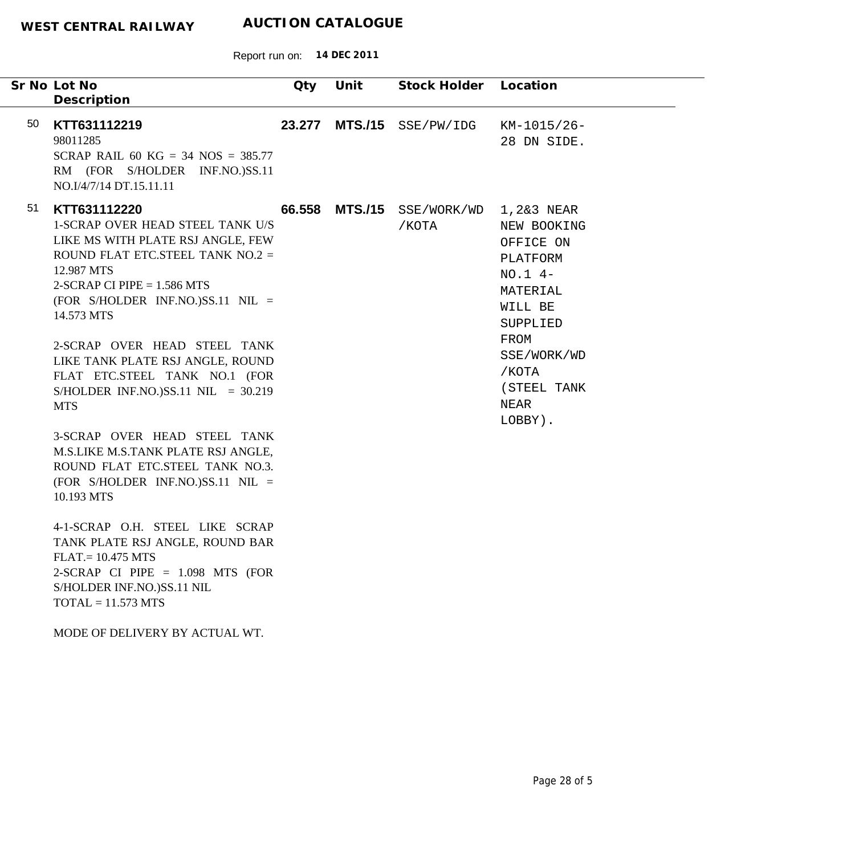|    | Sr No Lot No<br>Description                                                                                                                                                                                                                                                                                                                                                                                                                                                                                                                                                                                                                                                                                                                                                             | Qty    | Unit           | Stock Holder Location           |                                                                                                                                                        |
|----|-----------------------------------------------------------------------------------------------------------------------------------------------------------------------------------------------------------------------------------------------------------------------------------------------------------------------------------------------------------------------------------------------------------------------------------------------------------------------------------------------------------------------------------------------------------------------------------------------------------------------------------------------------------------------------------------------------------------------------------------------------------------------------------------|--------|----------------|---------------------------------|--------------------------------------------------------------------------------------------------------------------------------------------------------|
| 50 | KTT631112219<br>98011285<br>SCRAP RAIL 60 KG = 34 NOS = $385.77$<br>RM (FOR S/HOLDER INF.NO.)SS.11<br>NO.I/4/7/14 DT.15.11.11                                                                                                                                                                                                                                                                                                                                                                                                                                                                                                                                                                                                                                                           | 23.277 |                | MTS./15 SSE/PW/IDG              | KM-1015/26-<br>28 DN SIDE.                                                                                                                             |
| 51 | KTT631112220<br><b>1-SCRAP OVER HEAD STEEL TANK U/S</b><br>LIKE MS WITH PLATE RSJ ANGLE, FEW<br>ROUND FLAT ETC.STEEL TANK $NO.2 =$<br>12.987 MTS<br>$2-SCRAP$ CI PIPE = 1.586 MTS<br>(FOR S/HOLDER INF.NO.)SS.11 NIL =<br>14.573 MTS<br>2-SCRAP OVER HEAD STEEL TANK<br>LIKE TANK PLATE RSJ ANGLE, ROUND<br>FLAT ETC.STEEL TANK NO.1 (FOR<br>S/HOLDER INF.NO.)SS.11 NIL = $30.219$<br><b>MTS</b><br>3-SCRAP OVER HEAD STEEL TANK<br>M.S.LIKE M.S.TANK PLATE RSJ ANGLE,<br>ROUND FLAT ETC.STEEL TANK NO.3.<br>(FOR S/HOLDER INF.NO.)SS.11 NIL =<br>10.193 MTS<br>4-1-SCRAP O.H. STEEL LIKE SCRAP<br>TANK PLATE RSJ ANGLE, ROUND BAR<br>$FLAT = 10.475 MTS$<br>2-SCRAP CI PIPE $= 1.098$ MTS (FOR<br>S/HOLDER INF.NO.)SS.11 NIL<br>$TOTAL = 11.573 MTS$<br>MODE OF DELIVERY BY ACTUAL WT. |        | 66.558 MTS./15 | SSE/WORK/WD 1,2&3 NEAR<br>/KOTA | NEW BOOKING<br>OFFICE ON<br>PLATFORM<br>$NO.1 4-$<br>MATERIAL<br>WILL BE<br>SUPPLIED<br>FROM<br>SSE/WORK/WD<br>/KOTA<br>(STEEL TANK<br>NEAR<br>LOBBY). |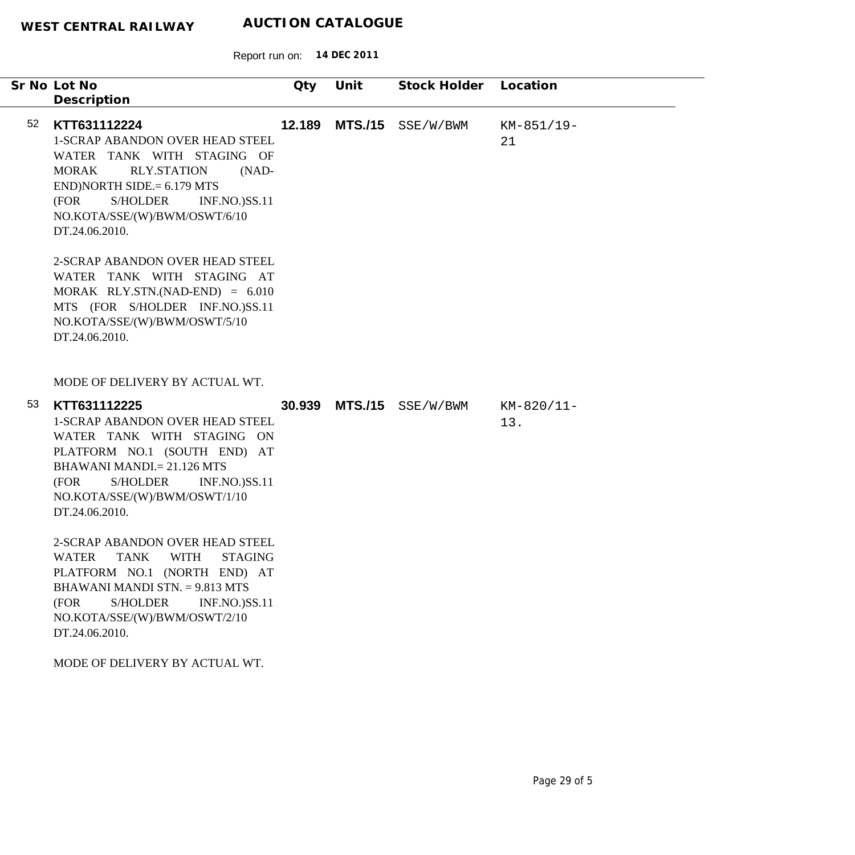Report run on: **14 DEC 2011**

|    | Sr No Lot No                                                                                                                                                                                                                                                                                                                                                                                                                                                                             | Qty    | Unit           | Stock Holder             | Location            |
|----|------------------------------------------------------------------------------------------------------------------------------------------------------------------------------------------------------------------------------------------------------------------------------------------------------------------------------------------------------------------------------------------------------------------------------------------------------------------------------------------|--------|----------------|--------------------------|---------------------|
| 52 | Description<br>KTT631112224<br>1-SCRAP ABANDON OVER HEAD STEEL<br>WATER TANK WITH STAGING OF<br><b>RLY.STATION</b><br><b>MORAK</b><br>$(NAD-$<br>$END)NORTH SIDE = 6.179 MTS$<br>(FOR<br>S/HOLDER<br><b>INF.NO.)SS.11</b><br>NO.KOTA/SSE/(W)/BWM/OSWT/6/10<br>DT.24.06.2010.<br>2-SCRAP ABANDON OVER HEAD STEEL<br>WATER TANK WITH STAGING AT                                                                                                                                            | 12.189 | <b>MTS./15</b> | SSE/W/BWM                | KM-851/19-<br>21    |
|    | MORAK RLY.STN.(NAD-END) = $6.010$<br>MTS (FOR S/HOLDER INF.NO.)SS.11<br>NO.KOTA/SSE/(W)/BWM/OSWT/5/10<br>DT.24.06.2010.<br>MODE OF DELIVERY BY ACTUAL WT.                                                                                                                                                                                                                                                                                                                                |        |                |                          |                     |
| 53 | KTT631112225<br><b>1-SCRAP ABANDON OVER HEAD STEEL</b><br>WATER TANK WITH STAGING ON<br>PLATFORM NO.1 (SOUTH END) AT<br><b>BHAWANI MANDI.</b> = 21.126 MTS<br>(FOR<br>S/HOLDER<br><b>INF.NO.)SS.11</b><br>NO.KOTA/SSE/(W)/BWM/OSWT/1/10<br>DT.24.06.2010.<br>2-SCRAP ABANDON OVER HEAD STEEL<br>WATER TANK WITH STAGING<br>PLATFORM NO.1 (NORTH END) AT<br>BHAWANI MANDI STN. = 9.813 MTS<br>(FOR<br>S/HOLDER<br><b>INF.NO.)SS.11</b><br>NO.KOTA/SSE/(W)/BWM/OSWT/2/10<br>DT.24.06.2010. |        |                | 30.939 MTS./15 SSE/W/BWM | $KM-820/11-$<br>13. |
|    | MODE OF DELIVERY BY ACTUAL WT.                                                                                                                                                                                                                                                                                                                                                                                                                                                           |        |                |                          |                     |

-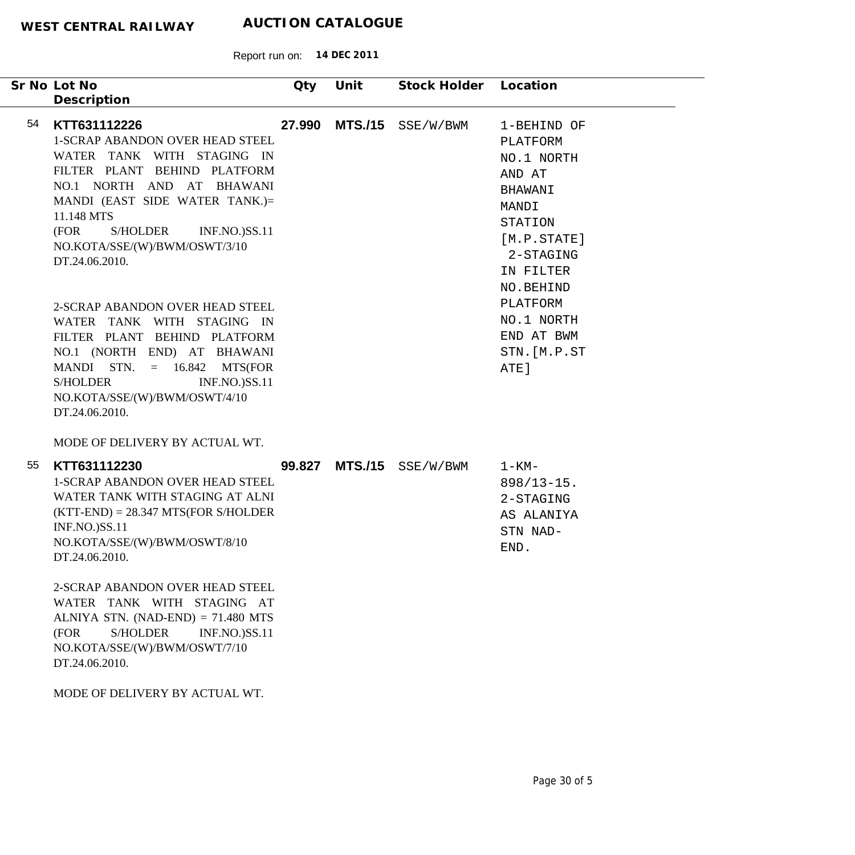| Sr No Lot No                                                                                                                                                                                                                                                                                           | Qty    | Unit           | Stock Holder Location |                                                                                                                                       |
|--------------------------------------------------------------------------------------------------------------------------------------------------------------------------------------------------------------------------------------------------------------------------------------------------------|--------|----------------|-----------------------|---------------------------------------------------------------------------------------------------------------------------------------|
| Description                                                                                                                                                                                                                                                                                            |        |                |                       |                                                                                                                                       |
| 54<br>KTT631112226<br>1-SCRAP ABANDON OVER HEAD STEEL<br>WATER TANK WITH STAGING IN<br>FILTER PLANT BEHIND PLATFORM<br>NO.1 NORTH AND AT BHAWANI<br>MANDI (EAST SIDE WATER TANK.)=<br>11.148 MTS<br><b>S/HOLDER</b><br>(FOR<br><b>INF.NO.)SS.11</b><br>NO.KOTA/SSE/(W)/BWM/OSWT/3/10<br>DT.24.06.2010. | 27.990 | <b>MTS./15</b> | SSE/W/BWM             | 1-BEHIND OF<br>PLATFORM<br>NO.1 NORTH<br>AND AT<br>BHAWANI<br>MANDI<br>STATION<br>[M.P. STATE]<br>2-STAGING<br>IN FILTER<br>NO.BEHIND |
| 2-SCRAP ABANDON OVER HEAD STEEL<br>WATER TANK WITH STAGING IN<br>FILTER PLANT BEHIND PLATFORM<br>NO.1 (NORTH END) AT BHAWANI<br>MANDI STN.<br>$= 16.842$ MTS(FOR<br><b>S/HOLDER</b><br><b>INF.NO.)SS.11</b><br>NO.KOTA/SSE/(W)/BWM/OSWT/4/10<br>DT.24.06.2010.                                         |        |                |                       | PLATFORM<br>NO.1 NORTH<br>END AT BWM<br>STN. [M.P.ST<br>ATE]                                                                          |
| MODE OF DELIVERY BY ACTUAL WT.                                                                                                                                                                                                                                                                         |        |                |                       |                                                                                                                                       |
| 55<br>KTT631112230<br><b>1-SCRAP ABANDON OVER HEAD STEEL</b><br>WATER TANK WITH STAGING AT ALNI<br>$(KTT-END) = 28.347 MTS(FOR S/HOLDER)$<br>INF.NO.)SS.11<br>NO.KOTA/SSE/(W)/BWM/OSWT/8/10<br>DT.24.06.2010.                                                                                          | 99.827 | <b>MTS./15</b> | SSE/W/BWM             | $1 - KM -$<br>$898/13 - 15$ .<br>2-STAGING<br>AS ALANIYA<br>STN NAD-<br>END.                                                          |
| 2-SCRAP ABANDON OVER HEAD STEEL<br>WATER TANK WITH STAGING AT<br>ALNIYA STN. $(NAD-END) = 71.480$ MTS<br><b>S/HOLDER</b><br>(FOR<br><b>INF.NO.)SS.11</b><br>NO.KOTA/SSE/(W)/BWM/OSWT/7/10<br>DT.24.06.2010.                                                                                            |        |                |                       |                                                                                                                                       |
| MODE OF DELIVERY BY ACTUAL WT.                                                                                                                                                                                                                                                                         |        |                |                       |                                                                                                                                       |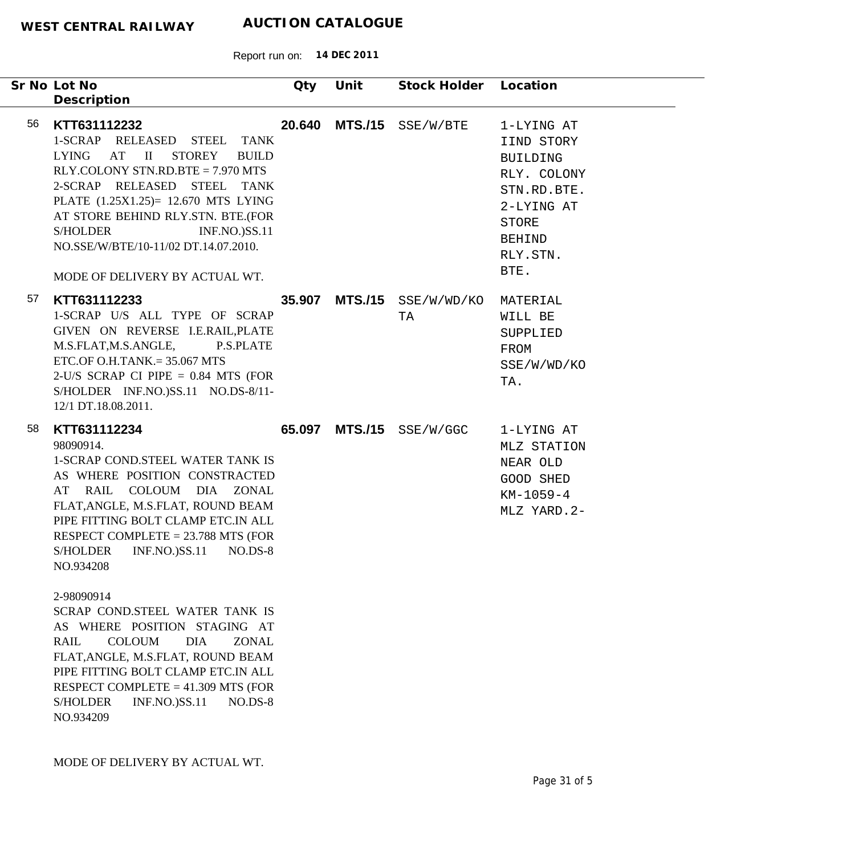| Sr No Lot No | Description                                                                                                                                                                                                                                                                                                                                                                                                                                                                                                                                                                                                                                 | Qty    | Unit           | Stock Holder Location            |                                                                                                                                              |
|--------------|---------------------------------------------------------------------------------------------------------------------------------------------------------------------------------------------------------------------------------------------------------------------------------------------------------------------------------------------------------------------------------------------------------------------------------------------------------------------------------------------------------------------------------------------------------------------------------------------------------------------------------------------|--------|----------------|----------------------------------|----------------------------------------------------------------------------------------------------------------------------------------------|
| 56           | KTT631112232<br>1-SCRAP RELEASED STEEL<br><b>TANK</b><br>LYING AT II<br><b>STOREY</b><br><b>BUILD</b><br>RLY.COLONY STN.RD.BTE = 7.970 MTS<br>2-SCRAP RELEASED STEEL TANK<br>PLATE (1.25X1.25)= 12.670 MTS LYING<br>AT STORE BEHIND RLY.STN. BTE.(FOR<br><b>S/HOLDER</b><br><b>INF.NO.)SS.11</b><br>NO.SSE/W/BTE/10-11/02 DT.14.07.2010.<br>MODE OF DELIVERY BY ACTUAL WT.                                                                                                                                                                                                                                                                  | 20.640 | <b>MTS./15</b> | SSE/W/BTE                        | 1-LYING AT<br>IIND STORY<br><b>BUILDING</b><br>RLY. COLONY<br>STN.RD.BTE.<br>2-LYING AT<br><b>STORE</b><br><b>BEHIND</b><br>RLY.STN.<br>BTE. |
| 57           | KTT631112233<br>1-SCRAP U/S ALL TYPE OF SCRAP<br>GIVEN ON REVERSE I.E.RAIL, PLATE<br>M.S.FLAT,M.S.ANGLE,<br>P.S.PLATE<br>ETC.OF O.H.TANK. $= 35.067$ MTS<br>2-U/S SCRAP CI PIPE $= 0.84$ MTS (FOR<br>S/HOLDER INF.NO.)SS.11 NO.DS-8/11-<br>12/1 DT.18.08.2011.                                                                                                                                                                                                                                                                                                                                                                              |        |                | 35.907 MTS./15 SSE/W/WD/KO<br>TA | MATERIAL<br>WILL BE<br>SUPPLIED<br>FROM<br>SSE/W/WD/KO<br>TA.                                                                                |
| 58           | KTT631112234<br>98090914.<br>1-SCRAP COND.STEEL WATER TANK IS<br>AS WHERE POSITION CONSTRACTED<br>AT RAIL COLOUM DIA ZONAL<br>FLAT, ANGLE, M.S.FLAT, ROUND BEAM<br>PIPE FITTING BOLT CLAMP ETC.IN ALL<br>RESPECT COMPLETE $= 23.788$ MTS (FOR<br><b>S/HOLDER</b><br><b>INF.NO.)SS.11</b><br>$NO.DS-8$<br>NO.934208<br>2-98090914<br>SCRAP COND.STEEL WATER TANK IS<br>AS WHERE POSITION STAGING AT<br><b>RAIL</b><br><b>COLOUM</b><br><b>DIA</b><br><b>ZONAL</b><br>FLAT, ANGLE, M.S.FLAT, ROUND BEAM<br>PIPE FITTING BOLT CLAMP ETC.IN ALL<br>RESPECT COMPLETE = $41.309$ MTS (FOR<br><b>S/HOLDER</b><br><b>INF.NO.)SS.11</b><br>$NO.DS-8$ | 65.097 |                | MTS./15 SSE/W/GGC                | 1-LYING AT<br>MLZ STATION<br>NEAR OLD<br>GOOD SHED<br>$KM-1059-4$<br>MLZ YARD. 2-                                                            |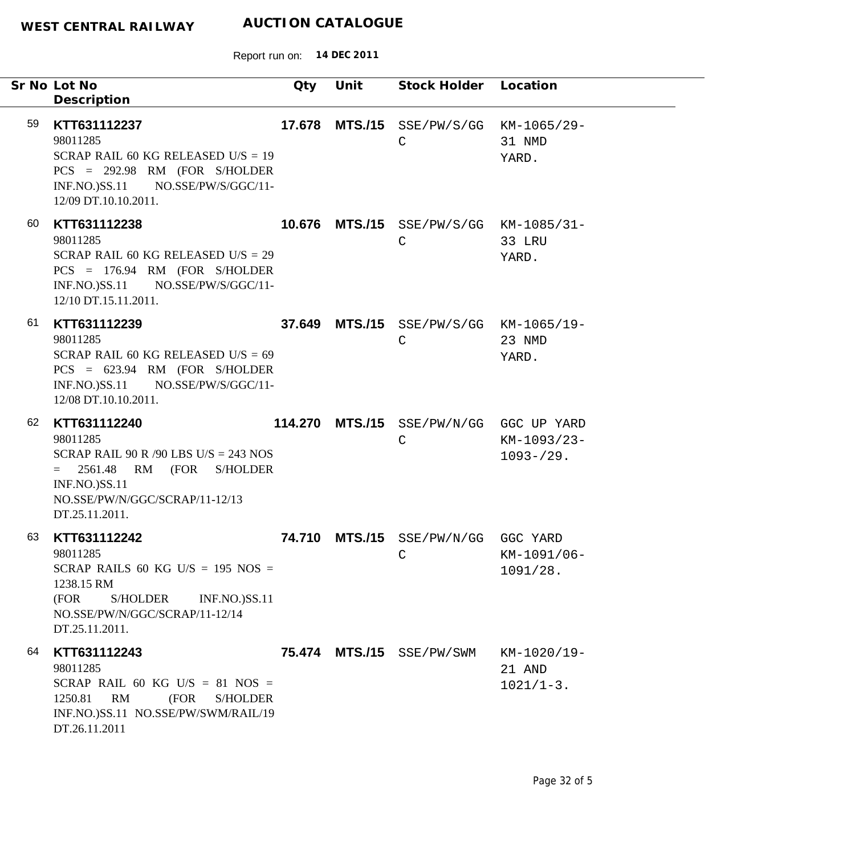| Sr No Lot No | Description                                                                                                                                                                      | Qty    | Unit | Stock Holder Location                                   |                                      |
|--------------|----------------------------------------------------------------------------------------------------------------------------------------------------------------------------------|--------|------|---------------------------------------------------------|--------------------------------------|
| 59           | KTT631112237<br>98011285<br>SCRAP RAIL 60 KG RELEASED U/S = $19$<br>$PCS = 292.98$ RM (FOR S/HOLDER<br>INF.NO.)SS.11 NO.SSE/PW/S/GGC/11-<br>12/09 DT.10.10.2011.                 | 17.678 |      | MTS./15 SSE/PW/S/GG KM-1065/29-<br>$\mathsf{C}$         | 31 NMD<br>YARD.                      |
| 60           | KTT631112238<br>98011285<br>SCRAP RAIL 60 KG RELEASED U/S = $29$<br>$PCS = 176.94$ RM (FOR S/HOLDER<br>INF.NO.)SS.11 NO.SSE/PW/S/GGC/11-<br>12/10 DT.15.11.2011.                 |        |      | 10.676 MTS./15 SSE/PW/S/GG KM-1085/31-<br>$\mathsf{C}$  | 33 LRU<br>YARD.                      |
| 61           | KTT631112239<br>98011285<br>SCRAP RAIL 60 KG RELEASED U/S = $69$<br>$PCS = 623.94$ RM (FOR S/HOLDER<br>$INF.NO.)$ SS.11<br>NO.SSE/PW/S/GGC/11-<br>12/08 DT.10.10.2011.           |        |      | 37.649 MTS./15 SSE/PW/S/GG KM-1065/19-<br>C             | 23 NMD<br>YARD.                      |
| 62           | KTT631112240<br>98011285<br>SCRAP RAIL 90 R /90 LBS U/S = 243 NOS<br>$= 2561.48$<br>RM (FOR S/HOLDER<br><b>INF.NO.)SS.11</b><br>NO.SSE/PW/N/GGC/SCRAP/11-12/13<br>DT.25.11.2011. |        |      | 114.270 MTS./15 SSE/PW/N/GG GGC UP YARD<br>$\mathsf{C}$ | KM-1093/23-<br>$1093 - 29.$          |
| 63<br>(FOR   | KTT631112242<br>98011285<br>SCRAP RAILS 60 KG U/S = $195$ NOS =<br>1238.15 RM<br>S/HOLDER<br><b>INF.NO.)SS.11</b><br>NO.SSE/PW/N/GGC/SCRAP/11-12/14<br>DT.25.11.2011.            | 74.710 |      | MTS./15 SSE/PW/N/GG GGC YARD<br>$\mathbb C$             | KM-1091/06-<br>1091/28.              |
| 64           | KTT631112243<br>98011285<br>SCRAP RAIL 60 KG U/S = $81$ NOS =<br>1250.81 RM<br>(FOR<br><b>S/HOLDER</b><br>INF.NO.)SS.11 NO.SSE/PW/SWM/RAIL/19<br>DT.26.11.2011                   |        |      | 75.474 MTS./15 SSE/PW/SWM                               | KM-1020/19-<br>21 AND<br>$1021/1-3.$ |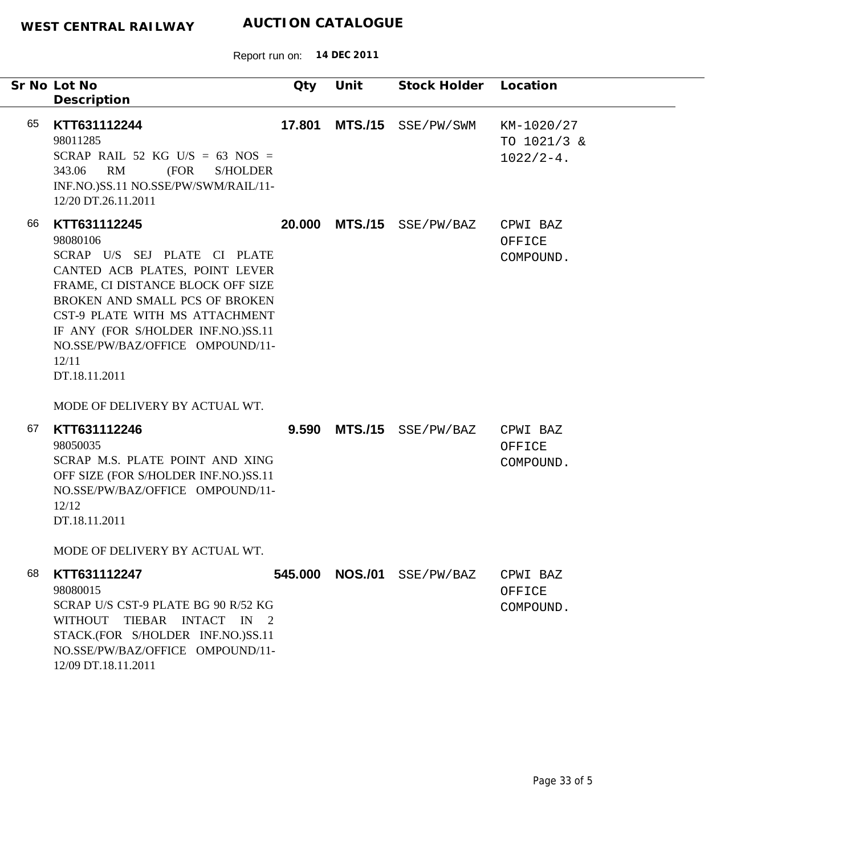|    | Sr No Lot No<br>Description                                                                                                                                                                                                                                                                             | Qty    | Unit           | Stock Holder               | Location                                   |
|----|---------------------------------------------------------------------------------------------------------------------------------------------------------------------------------------------------------------------------------------------------------------------------------------------------------|--------|----------------|----------------------------|--------------------------------------------|
| 65 | KTT631112244<br>98011285<br>SCRAP RAIL 52 KG U/S = 63 NOS =<br>RM<br>(FOR<br><b>S/HOLDER</b><br>343.06<br>INF.NO.)SS.11 NO.SSE/PW/SWM/RAIL/11-<br>12/20 DT.26.11.2011                                                                                                                                   | 17.801 | <b>MTS./15</b> | SSE/PW/SWM                 | KM-1020/27<br>TO 1021/3 &<br>$1022/2 - 4.$ |
| 66 | KTT631112245<br>98080106<br>SCRAP U/S SEJ PLATE CI PLATE<br>CANTED ACB PLATES, POINT LEVER<br>FRAME, CI DISTANCE BLOCK OFF SIZE<br>BROKEN AND SMALL PCS OF BROKEN<br>CST-9 PLATE WITH MS ATTACHMENT<br>IF ANY (FOR S/HOLDER INF.NO.)SS.11<br>NO.SSE/PW/BAZ/OFFICE OMPOUND/11-<br>12/11<br>DT.18.11.2011 | 20.000 |                | MTS./15 SSE/PW/BAZ         | CPWI BAZ<br>OFFICE<br>COMPOUND.            |
|    | MODE OF DELIVERY BY ACTUAL WT.                                                                                                                                                                                                                                                                          |        |                |                            |                                            |
| 67 | KTT631112246<br>98050035<br>SCRAP M.S. PLATE POINT AND XING<br>OFF SIZE (FOR S/HOLDER INF.NO.)SS.11<br>NO.SSE/PW/BAZ/OFFICE OMPOUND/11-<br>12/12<br>DT.18.11.2011                                                                                                                                       | 9.590  |                | MTS./15 SSE/PW/BAZ         | CPWI BAZ<br>OFFICE<br>COMPOUND.            |
|    | MODE OF DELIVERY BY ACTUAL WT.                                                                                                                                                                                                                                                                          |        |                |                            |                                            |
| 68 | KTT631112247<br>98080015<br>SCRAP U/S CST-9 PLATE BG 90 R/52 KG<br>WITHOUT TIEBAR INTACT IN 2<br>STACK.(FOR S/HOLDER INF.NO.)SS.11<br>NO.SSE/PW/BAZ/OFFICE OMPOUND/11-<br>12/09 DT.18.11.2011                                                                                                           |        |                | 545.000 NOS./01 SSE/PW/BAZ | CPWI BAZ<br>OFFICE<br>COMPOUND.            |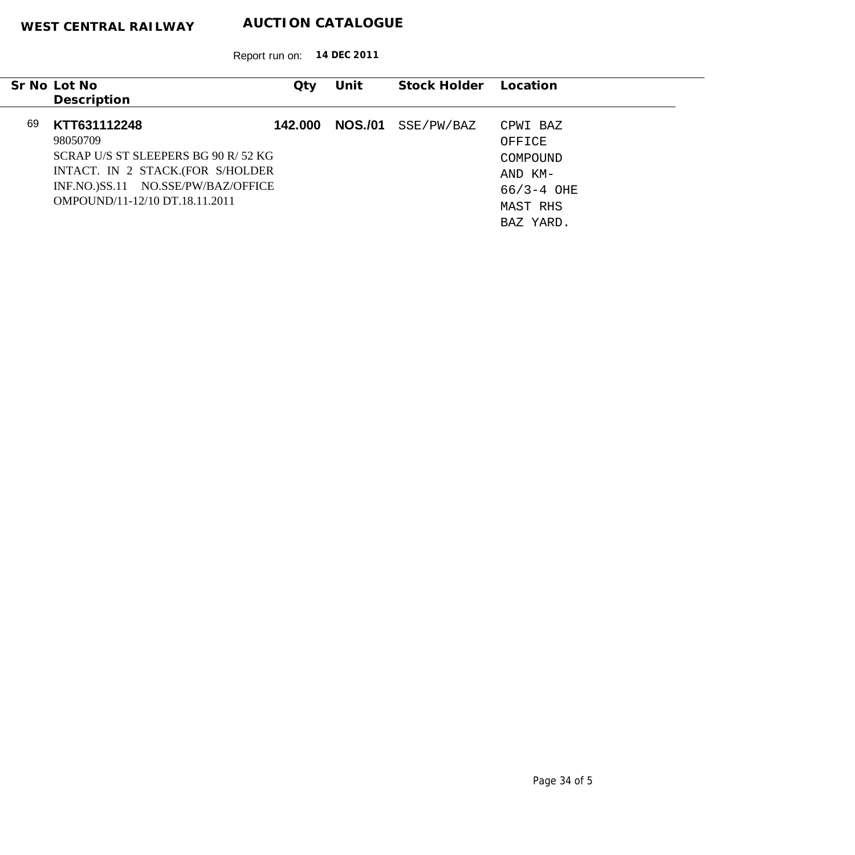|    | Sr No Lot No<br>Description                                                                                                                                                 | Qty     | Unit           | Stock Holder | Location                                                                |
|----|-----------------------------------------------------------------------------------------------------------------------------------------------------------------------------|---------|----------------|--------------|-------------------------------------------------------------------------|
| 69 | KTT631112248<br>98050709<br>SCRAP U/S ST SLEEPERS BG 90 R/52 KG<br>INTACT. IN 2 STACK.(FOR S/HOLDER<br>INF.NO.)SS.11 NO.SSE/PW/BAZ/OFFICE<br>OMPOUND/11-12/10 DT.18.11.2011 | 142.000 | <b>NOS./01</b> | SSE/PW/BAZ   | CPWI BAZ<br>OFFICE<br>COMPOUND<br>AND KM-<br>$66/3 - 4$ OHE<br>MAST RHS |
|    |                                                                                                                                                                             |         |                |              | BAZ YARD.                                                               |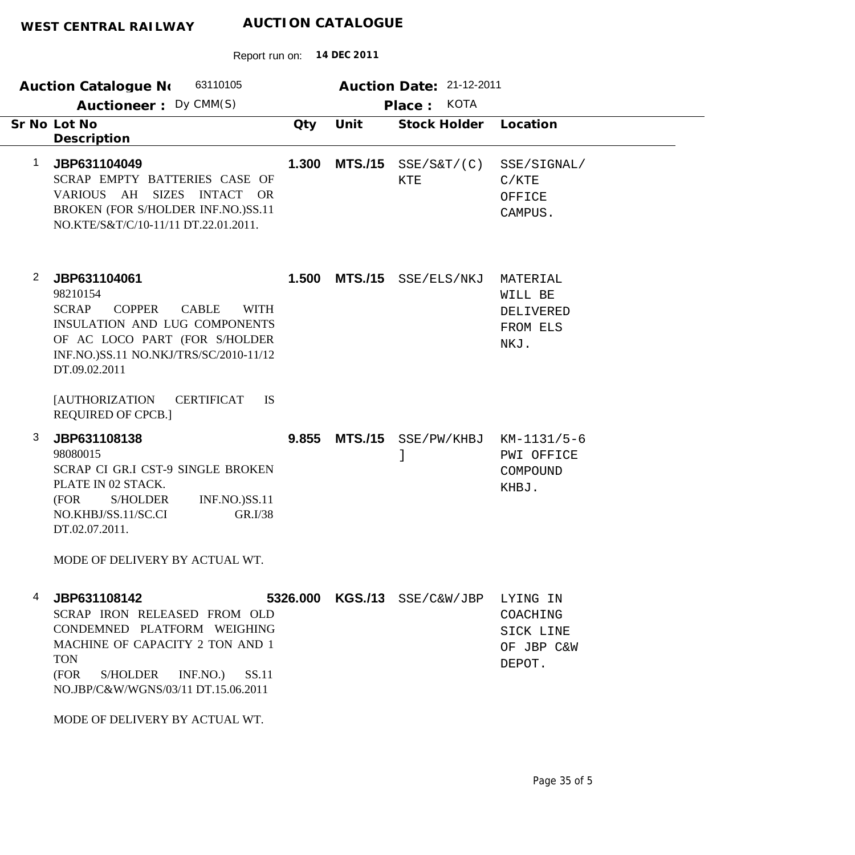# **WEST C**

|                | <b>AUCTION CATALOGUE</b><br>WEST CENTRAL RAILWAY                                                                                                                                                                                          |       |                |                                                   |                                                      |  |  |  |  |
|----------------|-------------------------------------------------------------------------------------------------------------------------------------------------------------------------------------------------------------------------------------------|-------|----------------|---------------------------------------------------|------------------------------------------------------|--|--|--|--|
|                | 14 DEC 2011<br>Report run on:                                                                                                                                                                                                             |       |                |                                                   |                                                      |  |  |  |  |
|                | 63110105<br><b>Auction Catalogue No</b><br>Auctioneer: Dy CMM(S)                                                                                                                                                                          |       |                | Auction Date: 21-12-2011<br><b>KOTA</b><br>Place: |                                                      |  |  |  |  |
|                | Sr No Lot No<br>Description                                                                                                                                                                                                               | Qty   | Unit           | <b>Stock Holder</b>                               | Location                                             |  |  |  |  |
| 1              | JBP631104049<br>SCRAP EMPTY BATTERIES CASE OF<br><b>SIZES</b><br><b>VARIOUS</b><br>AH<br><b>INTACT</b><br><b>OR</b><br>BROKEN (FOR S/HOLDER INF.NO.)SS.11<br>NO.KTE/S&T/C/10-11/11 DT.22.01.2011.                                         | 1.300 | <b>MTS./15</b> | SSE/SET/(C)<br><b>KTE</b>                         | SSE/SIGNAL/<br>C/KTE<br>OFFICE<br>CAMPUS.            |  |  |  |  |
| $\overline{2}$ | JBP631104061<br>98210154<br><b>COPPER</b><br><b>SCRAP</b><br><b>CABLE</b><br><b>WITH</b><br><b>INSULATION AND LUG COMPONENTS</b><br>OF AC LOCO PART (FOR S/HOLDER<br>INF.NO.)SS.11 NO.NKJ/TRS/SC/2010-11/12<br>DT.09.02.2011<br><b>IS</b> | 1.500 | <b>MTS./15</b> | SSE/ELS/NKJ                                       | MATERIAL<br>WILL BE<br>DELIVERED<br>FROM ELS<br>NKJ. |  |  |  |  |
|                | <b>[AUTHORIZATION</b><br><b>CERTIFICAT</b><br><b>REQUIRED OF CPCB.]</b>                                                                                                                                                                   |       |                |                                                   |                                                      |  |  |  |  |
| 3              | JBP631108138<br>98080015<br>SCRAP CI GR.I CST-9 SINGLE BROKEN<br>PLATE IN 02 STACK.<br><b>INF.NO.)SS.11</b><br>(FOR<br><b>S/HOLDER</b><br>NO.KHBJ/SS.11/SC.CI<br>GR.I/38<br>DT.02.07.2011.                                                | 9.855 | <b>MTS./15</b> | SSE/PW/KHBJ                                       | $KM-1131/5-6$<br>PWI OFFICE<br>COMPOUND<br>KHBJ.     |  |  |  |  |

MODE OF DELIVERY BY ACTUAL WT.

| 4 JBP631108142                      |  | 5326.000 KGS./13 SSE/C&W/JBP LYING IN |            |
|-------------------------------------|--|---------------------------------------|------------|
| SCRAP IRON RELEASED FROM OLD        |  |                                       | COACHING   |
| CONDEMNED PLATFORM WEIGHING         |  |                                       | SICK LINE  |
| MACHINE OF CAPACITY 2 TON AND 1     |  |                                       | OF JBP C&W |
| <b>TON</b>                          |  |                                       | DEPOT.     |
| S/HOLDER INF.NO.) SS.11<br>(FOR-    |  |                                       |            |
| NO.JBP/C&W/WGNS/03/11 DT.15.06.2011 |  |                                       |            |

MODE OF DELIVERY BY ACTUAL WT.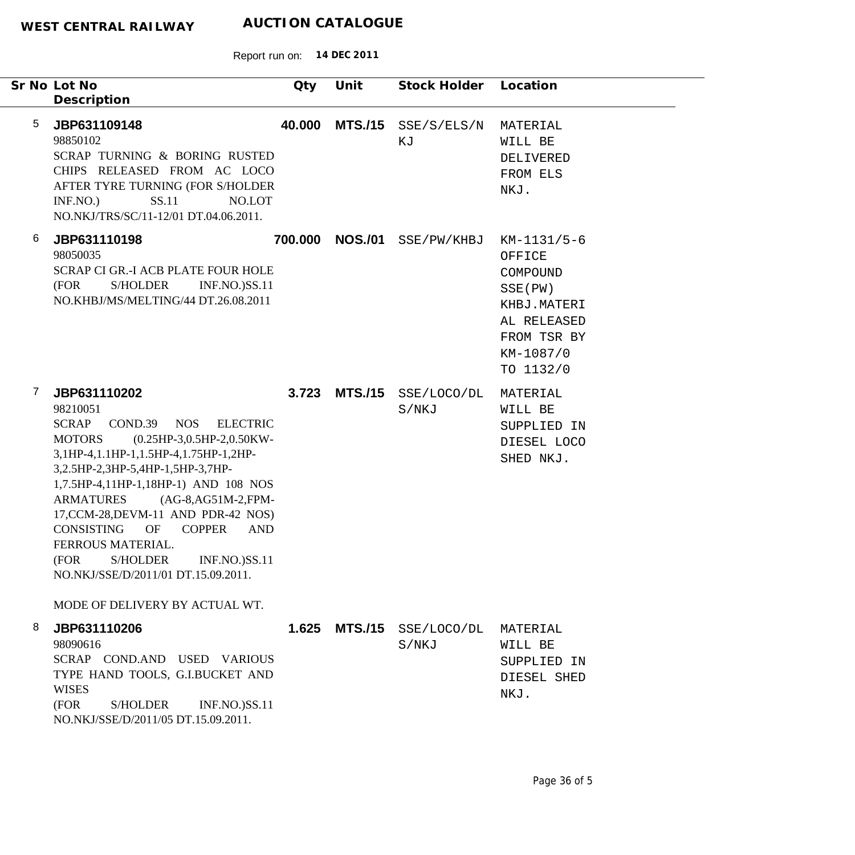| Sr No Lot No<br>Description                                                                                                                                                                                                                                                                                                                                                                                                                                                                                                              | Qty     | Unit           | Stock Holder         | Location                                                                                                             |
|------------------------------------------------------------------------------------------------------------------------------------------------------------------------------------------------------------------------------------------------------------------------------------------------------------------------------------------------------------------------------------------------------------------------------------------------------------------------------------------------------------------------------------------|---------|----------------|----------------------|----------------------------------------------------------------------------------------------------------------------|
| 5<br>JBP631109148<br>98850102<br>SCRAP TURNING & BORING RUSTED<br>CHIPS RELEASED FROM AC LOCO<br>AFTER TYRE TURNING (FOR S/HOLDER<br>SS.11<br>INF.NO.<br>NO.LOT<br>NO.NKJ/TRS/SC/11-12/01 DT.04.06.2011.                                                                                                                                                                                                                                                                                                                                 | 40.000  | <b>MTS./15</b> | SSE/S/ELS/N<br>ΚJ    | MATERIAL<br>WILL BE<br>DELIVERED<br>FROM ELS<br>NKJ.                                                                 |
| 6<br>JBP631110198<br>98050035<br><b>SCRAP CI GR.-I ACB PLATE FOUR HOLE</b><br>(FOR<br><b>S/HOLDER</b><br><b>INF.NO.)SS.11</b><br>NO.KHBJ/MS/MELTING/44 DT.26.08.2011                                                                                                                                                                                                                                                                                                                                                                     | 700.000 | <b>NOS./01</b> | SSE/PW/KHBJ          | KM-1131/5-6<br>OFFICE<br>COMPOUND<br>SSE (PW)<br>KHBJ.MATERI<br>AL RELEASED<br>FROM TSR BY<br>KM-1087/0<br>TO 1132/0 |
| 7<br>JBP631110202<br>98210051<br><b>SCRAP</b><br>COND.39<br><b>NOS</b><br><b>ELECTRIC</b><br>(0.25HP-3,0.5HP-2,0.50KW-<br><b>MOTORS</b><br>3,1HP-4,1.1HP-1,1.5HP-4,1.75HP-1,2HP-<br>3,2.5HP-2,3HP-5,4HP-1,5HP-3,7HP-<br>1,7.5HP-4,11HP-1,18HP-1) AND 108 NOS<br><b>ARMATURES</b><br>$(AG-8, AG51M-2, FPM-$<br>17, CCM-28, DEVM-11 AND PDR-42 NOS)<br><b>CONSISTING</b><br><b>COPPER</b><br>OF<br><b>AND</b><br>FERROUS MATERIAL.<br>(FOR S/HOLDER INF.NO.)SS.11<br>NO.NKJ/SSE/D/2011/01 DT.15.09.2011.<br>MODE OF DELIVERY BY ACTUAL WT. | 3.723   | <b>MTS./15</b> | SSE/LOCO/DL<br>S/NKJ | MATERIAL<br>WILL BE<br>SUPPLIED IN<br>DIESEL LOCO<br>SHED NKJ.                                                       |
| 8<br>JBP631110206<br>98090616<br>SCRAP COND.AND USED VARIOUS<br>TYPE HAND TOOLS, G.I.BUCKET AND<br><b>WISES</b><br>(FOR<br>S/HOLDER<br><b>INF.NO.)SS.11</b><br>NO.NKJ/SSE/D/2011/05 DT.15.09.2011.                                                                                                                                                                                                                                                                                                                                       | 1.625   | <b>MTS./15</b> | SSE/LOCO/DL<br>S/NKJ | MATERIAL<br>WILL BE<br>SUPPLIED IN<br>DIESEL SHED<br>NKJ.                                                            |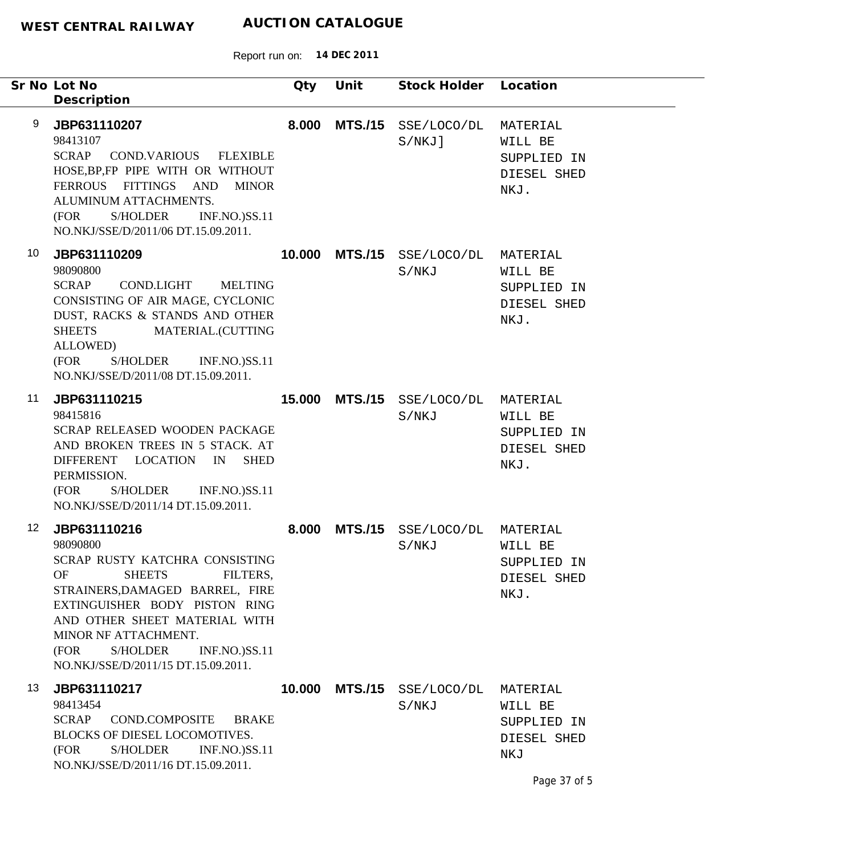|                 | Sr No Lot No<br>Description                                                                                                                                                                                                                                                                                                 | Qty    | Unit           | Stock Holder Location    |                                                                          |
|-----------------|-----------------------------------------------------------------------------------------------------------------------------------------------------------------------------------------------------------------------------------------------------------------------------------------------------------------------------|--------|----------------|--------------------------|--------------------------------------------------------------------------|
| 9               | JBP631110207<br>98413107<br><b>SCRAP</b><br><b>COND.VARIOUS</b><br><b>FLEXIBLE</b><br>HOSE, BP, FP PIPE WITH OR WITHOUT<br>FERROUS FITTINGS AND<br><b>MINOR</b><br>ALUMINUM ATTACHMENTS.<br>(FOR<br><b>S/HOLDER</b><br><b>INF.NO.)SS.11</b><br>NO.NKJ/SSE/D/2011/06 DT.15.09.2011.                                          | 8.000  | <b>MTS./15</b> | SSE/LOCO/DL<br>$S/NKJ$ ] | MATERIAL<br>WILL BE<br>SUPPLIED IN<br>DIESEL SHED<br>NKJ.                |
| 10              | JBP631110209<br>98090800<br><b>SCRAP</b><br><b>COND.LIGHT</b><br><b>MELTING</b><br>CONSISTING OF AIR MAGE, CYCLONIC<br>DUST, RACKS & STANDS AND OTHER<br>MATERIAL.(CUTTING<br><b>SHEETS</b><br>ALLOWED)<br>(FOR<br><b>S/HOLDER</b><br><b>INF.NO.)SS.11</b><br>NO.NKJ/SSE/D/2011/08 DT.15.09.2011.                           | 10.000 | <b>MTS./15</b> | SSE/LOCO/DL<br>S/NKJ     | MATERIAL<br>WILL BE<br>SUPPLIED IN<br>DIESEL SHED<br>NKJ.                |
| 11              | JBP631110215<br>98415816<br>SCRAP RELEASED WOODEN PACKAGE<br>AND BROKEN TREES IN 5 STACK. AT<br><b>DIFFERENT</b><br><b>LOCATION</b><br>IN<br><b>SHED</b><br>PERMISSION.<br>(FOR<br><b>S/HOLDER</b><br><b>INF.NO.)SS.11</b><br>NO.NKJ/SSE/D/2011/14 DT.15.09.2011.                                                           | 15.000 | <b>MTS./15</b> | SSE/LOCO/DL<br>S/NKJ     | MATERIAL<br>WILL BE<br>SUPPLIED IN<br>DIESEL SHED<br>NKJ.                |
| 12 <sup>°</sup> | JBP631110216<br>98090800<br>SCRAP RUSTY KATCHRA CONSISTING<br><b>OF</b><br><b>SHEETS</b><br>FILTERS,<br>STRAINERS, DAMAGED BARREL, FIRE<br>EXTINGUISHER BODY PISTON RING<br>AND OTHER SHEET MATERIAL WITH<br>MINOR NF ATTACHMENT.<br><b>S/HOLDER</b><br><b>INF.NO.)SS.11</b><br>(FOR<br>NO.NKJ/SSE/D/2011/15 DT.15.09.2011. | 8.000  | <b>MTS./15</b> | SSE/LOCO/DL<br>S/NKJ     | MATERIAL<br>WILL BE<br>SUPPLIED IN<br>DIESEL SHED<br>NKJ.                |
| 13              | JBP631110217<br>98413454<br><b>SCRAP</b><br><b>COND.COMPOSITE</b><br><b>BRAKE</b><br>BLOCKS OF DIESEL LOCOMOTIVES.<br>(FOR<br>S/HOLDER<br><b>INF.NO.)SS.11</b><br>NO.NKJ/SSE/D/2011/16 DT.15.09.2011.                                                                                                                       | 10.000 | <b>MTS./15</b> | SSE/LOCO/DL<br>S/NKJ     | MATERIAL<br>WILL BE<br>SUPPLIED IN<br>DIESEL SHED<br>NKJ<br>Page 37 of 5 |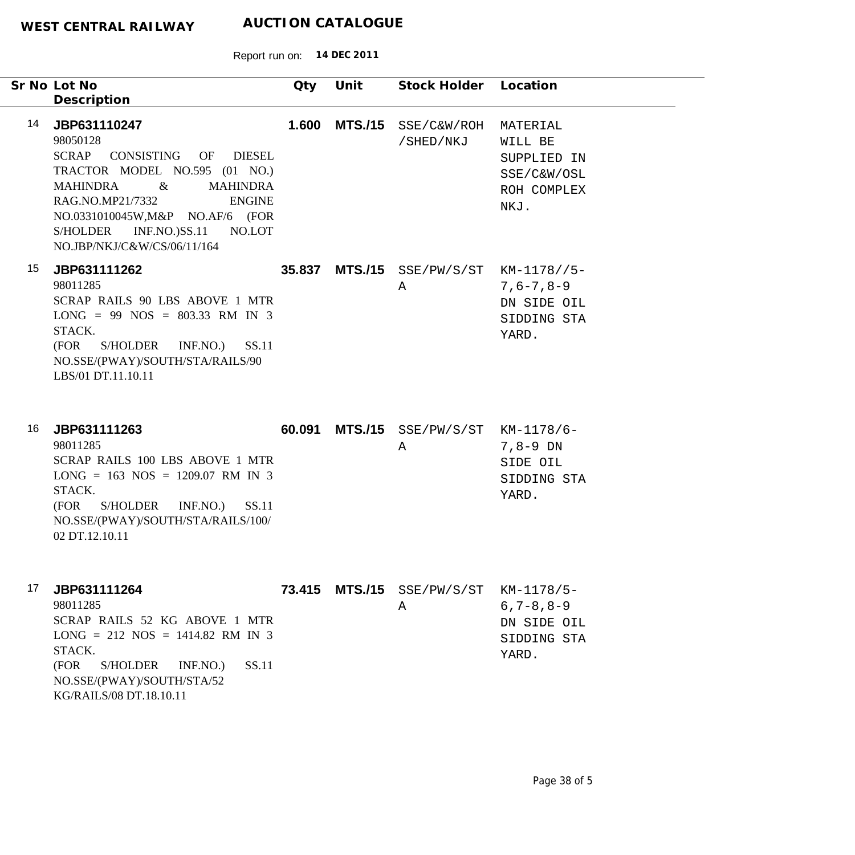Report run on: **14 DEC 2011**

|    | Sr No Lot No<br>Description                                                                                                                                                                                                                                                                     | Qty    | Unit           | Stock Holder Location                       |                                                                          |
|----|-------------------------------------------------------------------------------------------------------------------------------------------------------------------------------------------------------------------------------------------------------------------------------------------------|--------|----------------|---------------------------------------------|--------------------------------------------------------------------------|
| 14 | JBP631110247<br>98050128<br><b>SCRAP</b><br>CONSISTING OF DIESEL<br>TRACTOR MODEL NO.595 (01 NO.)<br>$\alpha$<br><b>MAHINDRA</b><br><b>MAHINDRA</b><br>RAG.NO.MP21/7332<br><b>ENGINE</b><br>NO.0331010045W, M&P NO.AF/6 (FOR<br>S/HOLDER INF.NO.)SS.11<br>NO.LOT<br>NO.JBP/NKJ/C&W/CS/06/11/164 | 1.600  | <b>MTS./15</b> | SSE/C&W/ROH<br>/SHED/NKJ                    | MATERIAL<br>WILL BE<br>SUPPLIED IN<br>SSE/C&W/OSL<br>ROH COMPLEX<br>NKJ. |
| 15 | JBP631111262<br>98011285<br>SCRAP RAILS 90 LBS ABOVE 1 MTR<br>$LONG = 99 NOS = 803.33 RM IN 3$<br>STACK.<br>S/HOLDER INF.NO.)<br>SS.11<br>(FOR<br>NO.SSE/(PWAY)/SOUTH/STA/RAILS/90<br>LBS/01 DT.11.10.11                                                                                        |        |                | 35.837 MTS./15 SSE/PW/S/ST KM-1178//5-<br>Α | $7,6 - 7,8 - 9$<br>DN SIDE OIL<br>SIDDING STA<br>YARD.                   |
| 16 | JBP631111263<br>98011285<br>SCRAP RAILS 100 LBS ABOVE 1 MTR<br>$LONG = 163 NOS = 1209.07 RM IN 3$<br>STACK.<br>SS.11<br>(FOR<br>S/HOLDER INF.NO.)<br>NO.SSE/(PWAY)/SOUTH/STA/RAILS/100/<br>02 DT.12.10.11                                                                                       | 60.091 |                | MTS./15 SSE/PW/S/ST KM-1178/6-<br>Α         | $7,8-9$ DN<br>SIDE OIL<br>SIDDING STA<br>YARD.                           |
| 17 | JBP631111264<br>98011285<br>SCRAP RAILS 52 KG ABOVE 1 MTR<br>$LONG = 212 NOS = 1414.82 RM IN 3$<br>STACK.<br>SS.11<br>(FOR<br>S/HOLDER<br>INF.NO.)<br>NO.SSE/(PWAY)/SOUTH/STA/52<br>KG/RAILS/08 DT.18.10.11                                                                                     |        |                | 73.415 MTS./15 SSE/PW/S/ST KM-1178/5-<br>Α  | $6, 7 - 8, 8 - 9$<br>DN SIDE OIL<br>SIDDING STA<br>YARD.                 |

÷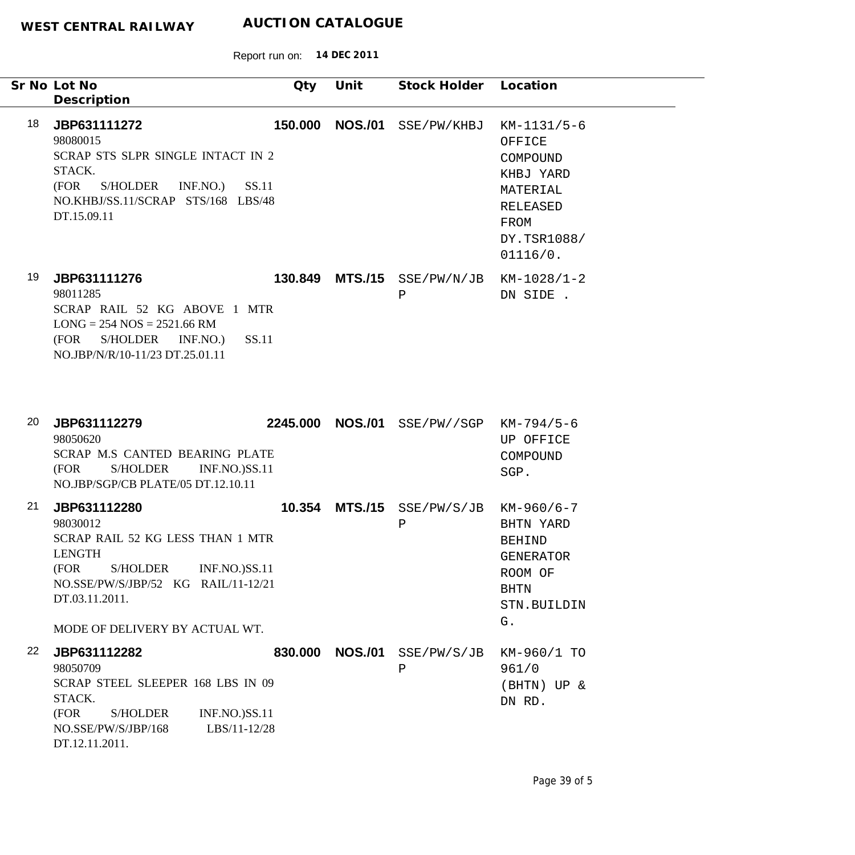|    | Sr No Lot No<br>Description                                                                                                                                                                                                 | Qty     | Unit             | Stock Holder Location            |                                                                                                                    |
|----|-----------------------------------------------------------------------------------------------------------------------------------------------------------------------------------------------------------------------------|---------|------------------|----------------------------------|--------------------------------------------------------------------------------------------------------------------|
| 18 | JBP631111272<br>98080015<br>SCRAP STS SLPR SINGLE INTACT IN 2<br>STACK.<br>SS.11<br>(FOR<br>S/HOLDER<br>INF.NO.)<br>NO.KHBJ/SS.11/SCRAP STS/168 LBS/48<br>DT.15.09.11                                                       | 150.000 | <b>NOS./01</b>   | SSE/PW/KHBJ                      | $KM-1131/5-6$<br>OFFICE<br>COMPOUND<br>KHBJ YARD<br>MATERIAL<br><b>RELEASED</b><br>FROM<br>DY.TSR1088/<br>01116/0. |
| 19 | JBP631111276<br>98011285<br>SCRAP RAIL 52 KG ABOVE 1 MTR<br>$LONG = 254 NOS = 2521.66 RM$<br>SS.11<br>(FOR S/HOLDER INF.NO.)<br>NO.JBP/N/R/10-11/23 DT.25.01.11                                                             |         | 130.849 MTS./15  | SSE/PW/N/JB<br>$\, {\bf P}$      | $KM-1028/1-2$<br>DN SIDE .                                                                                         |
| 20 | JBP631112279<br>98050620<br>SCRAP M.S CANTED BEARING PLATE<br>(FOR<br><b>S/HOLDER</b><br><b>INF.NO.)SS.11</b><br>NO.JBP/SGP/CB PLATE/05 DT.12.10.11                                                                         |         | 2245.000 NOS./01 | SSE/PW//SGP                      | KM-794/5-6<br>UP OFFICE<br>COMPOUND<br>SGP.                                                                        |
| 21 | JBP631112280<br>98030012<br>SCRAP RAIL 52 KG LESS THAN 1 MTR<br><b>LENGTH</b><br><b>S/HOLDER</b><br><b>INF.NO.)SS.11</b><br>(FOR<br>NO.SSE/PW/S/JBP/52 KG RAIL/11-12/21<br>DT.03.11.2011.<br>MODE OF DELIVERY BY ACTUAL WT. |         | 10.354 MTS./15   | SSE/PW/S/JB<br>$\mathbf P$       | $KM-960/6-7$<br>BHTN YARD<br><b>BEHIND</b><br><b>GENERATOR</b><br>ROOM OF<br><b>BHTN</b><br>STN.BUILDIN<br>G.      |
| 22 | JBP631112282<br>98050709<br>SCRAP STEEL SLEEPER 168 LBS IN 09<br>STACK.<br>INF.NO.)SS.11<br>(FOR<br><b>S/HOLDER</b><br>NO.SSE/PW/S/JBP/168<br>LBS/11-12/28<br>DT.12.11.2011.                                                |         |                  | 830.000 NOS./01 SSE/PW/S/JB<br>Ρ | KM-960/1 TO<br>961/0<br>(BHTN) UP &<br>DN RD.                                                                      |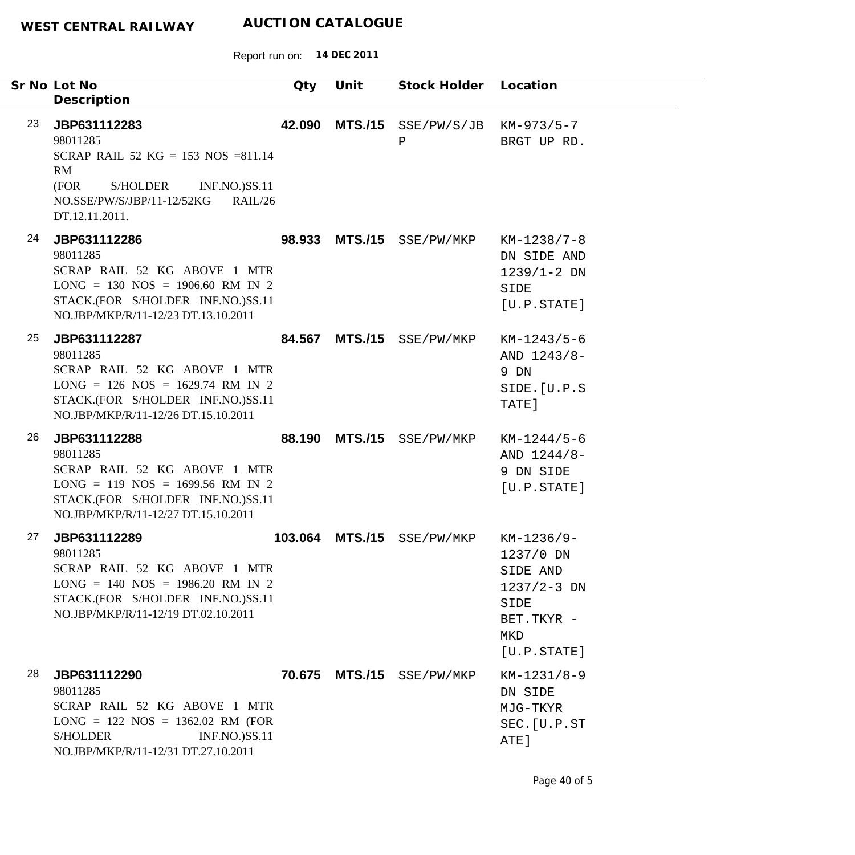|    | Sr No Lot No<br>Description                                                                                                                                                  | Qty     | Unit           | Stock Holder Location           |                                                                                                       |
|----|------------------------------------------------------------------------------------------------------------------------------------------------------------------------------|---------|----------------|---------------------------------|-------------------------------------------------------------------------------------------------------|
| 23 | JBP631112283<br>98011285<br>SCRAP RAIL 52 KG = 153 NOS = 811.14<br>RM<br>(FOR<br>S/HOLDER<br><b>INF.NO.)SS.11</b><br>NO.SSE/PW/S/JBP/11-12/52KG<br>RAIL/26<br>DT.12.11.2011. |         |                | 42.090 MTS./15 SSE/PW/S/JB<br>P | $KM-973/5-7$<br>BRGT UP RD.                                                                           |
| 24 | JBP631112286<br>98011285<br>SCRAP RAIL 52 KG ABOVE 1 MTR<br>$LONG = 130 NOS = 1906.60 RM IN 2$<br>STACK.(FOR S/HOLDER INF.NO.)SS.11<br>NO.JBP/MKP/R/11-12/23 DT.13.10.2011   |         |                | 98.933 MTS./15 SSE/PW/MKP       | $KM-1238/7-8$<br>DN SIDE AND<br>$1239/1 - 2 DN$<br>SIDE<br>[U.P.STATE]                                |
| 25 | JBP631112287<br>98011285<br>SCRAP RAIL 52 KG ABOVE 1 MTR<br>$LONG = 126 NOS = 1629.74 RM IN 2$<br>STACK.(FOR S/HOLDER INF.NO.)SS.11<br>NO.JBP/MKP/R/11-12/26 DT.15.10.2011   |         |                | 84.567 MTS./15 SSE/PW/MKP       | $KM-1243/5-6$<br>AND $1243/8-$<br>9 DN<br>SIDE. [U.P.S<br>TATE]                                       |
| 26 | JBP631112288<br>98011285<br>SCRAP RAIL 52 KG ABOVE 1 MTR<br>$LONG = 119 NOS = 1699.56 RM IN 2$<br>STACK.(FOR S/HOLDER INF.NO.)SS.11<br>NO.JBP/MKP/R/11-12/27 DT.15.10.2011   |         |                | 88.190 MTS./15 SSE/PW/MKP       | $KM-1244/5-6$<br>AND 1244/8-<br>9 DN SIDE<br>[U.P.STATE]                                              |
| 27 | JBP631112289<br>98011285<br>SCRAP RAIL 52 KG ABOVE 1 MTR<br>$LONG = 140 NOS = 1986.20 RM IN 2$<br>STACK.(FOR S/HOLDER INF.NO.)SS.11<br>NO.JBP/MKP/R/11-12/19 DT.02.10.2011   | 103.064 | <b>MTS./15</b> | SSE/PW/MKP                      | $KM-1236/9-$<br>1237/0 DN<br>SIDE AND<br>$1237/2 - 3$ DN<br>SIDE<br>BET.TKYR -<br>MKD<br>[U.P. STATE] |
| 28 | JBP631112290<br>98011285<br>SCRAP RAIL 52 KG ABOVE 1 MTR<br>$LONG = 122 NOS = 1362.02 RM (FOR)$<br>S/HOLDER<br><b>INF.NO.)SS.11</b><br>NO.JBP/MKP/R/11-12/31 DT.27.10.2011   |         |                | 70.675 MTS./15 SSE/PW/MKP       | $KM-1231/8-9$<br>DN SIDE<br>MJG-TKYR<br>SEC. [U.P.ST<br>ATE]                                          |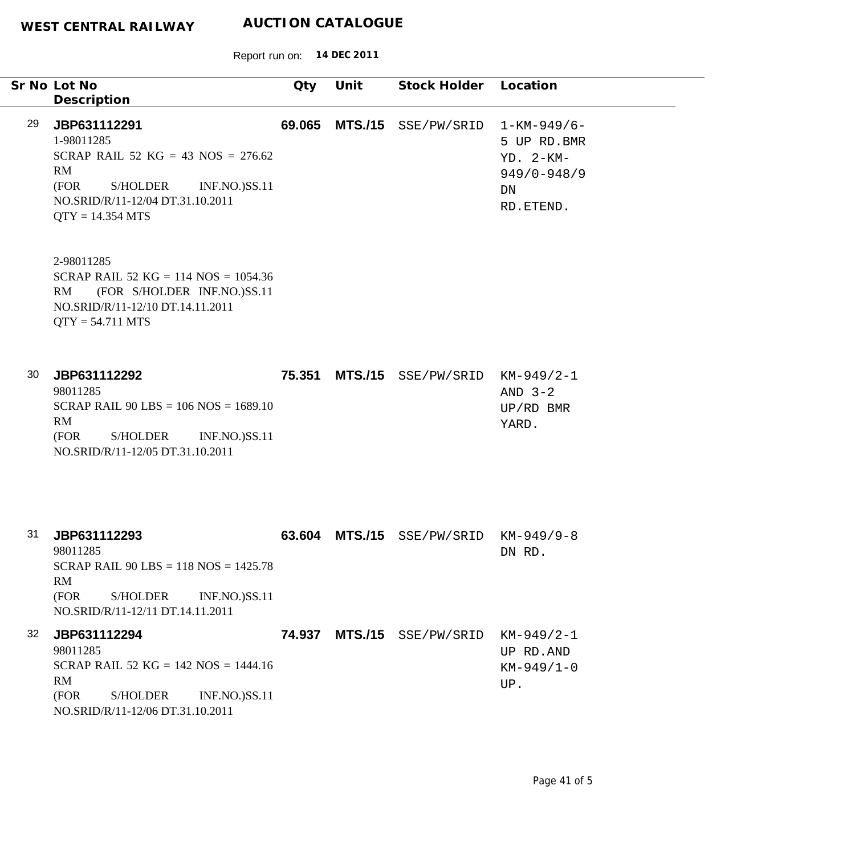|    | Sr No Lot No<br>Description                                                                                                                                                    | Qty    | Unit           | Stock Holder Location |                                                                                        |
|----|--------------------------------------------------------------------------------------------------------------------------------------------------------------------------------|--------|----------------|-----------------------|----------------------------------------------------------------------------------------|
| 29 | JBP631112291<br>1-98011285<br>SCRAP RAIL 52 KG = 43 NOS = $276.62$<br>RM<br>S/HOLDER<br>(FOR<br><b>INF.NO.)SS.11</b><br>NO.SRID/R/11-12/04 DT.31.10.2011<br>$QTY = 14.354 MTS$ | 69.065 | <b>MTS./15</b> | SSE/PW/SRID           | $1 - KM - 949/6 -$<br>5 UP RD.BMR<br>$YD. 2-KM-$<br>$949/0 - 948/9$<br>DN<br>RD.ETEND. |
|    | 2-98011285<br>SCRAP RAIL 52 KG = 114 NOS = $1054.36$<br>RM<br>(FOR S/HOLDER INF.NO.)SS.11<br>NO.SRID/R/11-12/10 DT.14.11.2011<br>$QTY = 54.711 MTS$                            |        |                |                       |                                                                                        |
| 30 | JBP631112292<br>98011285<br>SCRAP RAIL $90$ LBS = 106 NOS = 1689.10<br>RM<br>(FOR<br><b>S/HOLDER</b><br><b>INF.NO.)SS.11</b><br>NO.SRID/R/11-12/05 DT.31.10.2011               | 75.351 | <b>MTS./15</b> | SSE/PW/SRID           | $KM-949/2-1$<br>AND $3-2$<br>$UP/RD$ BMR<br>YARD.                                      |
| 31 | JBP631112293<br>98011285<br>SCRAP RAIL 90 LBS = $118$ NOS = $1425.78$<br>RM<br>(FOR<br><b>S/HOLDER</b><br><b>INF.NO.)SS.11</b><br>NO.SRID/R/11-12/11 DT.14.11.2011             | 63.604 | <b>MTS./15</b> | SSE/PW/SRID           | $KM-949/9-8$<br>DN RD.                                                                 |
| 32 | JBP631112294<br>98011285<br>SCRAP RAIL 52 KG = $142$ NOS = $1444.16$<br>RM<br>(FOR<br><b>S/HOLDER</b><br><b>INF.NO.)SS.11</b><br>NO.SRID/R/11-12/06 DT.31.10.2011              | 74.937 |                | MTS./15 SSE/PW/SRID   | $KM-949/2-1$<br>UP RD.AND<br>$KM-949/1-0$<br>UP.                                       |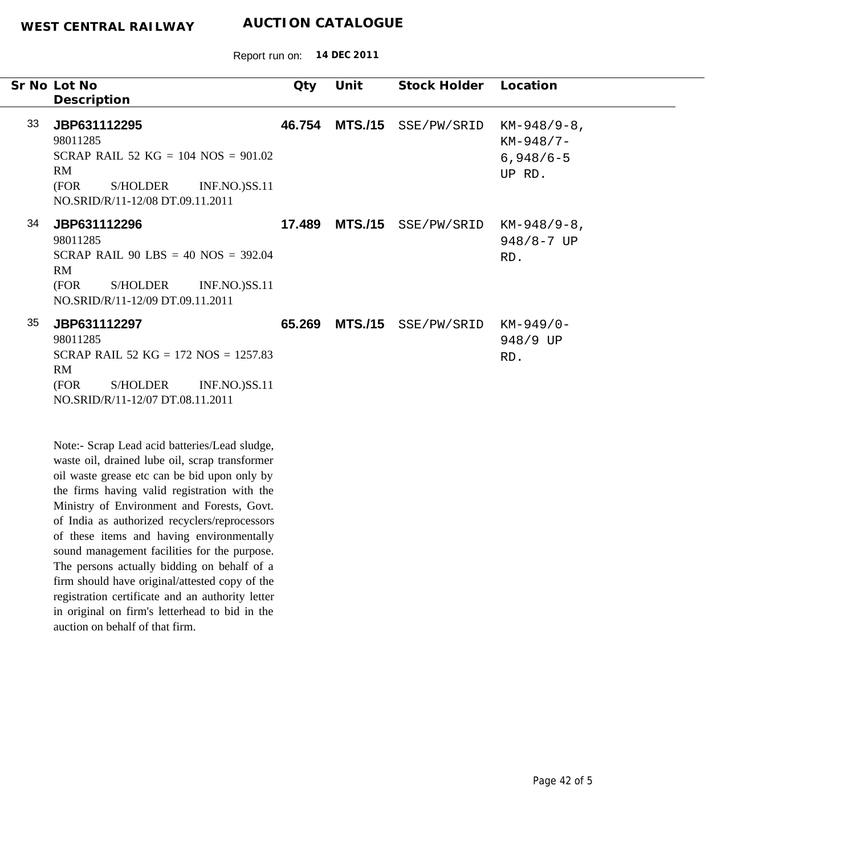Report run on: **14 DEC 2011**

|    | Sr No Lot No<br>Description                                                                                                                                                                                                                                                                                                                 | Qty    | Unit           | <b>Stock Holder</b> | Location                                               |
|----|---------------------------------------------------------------------------------------------------------------------------------------------------------------------------------------------------------------------------------------------------------------------------------------------------------------------------------------------|--------|----------------|---------------------|--------------------------------------------------------|
| 33 | JBP631112295<br>98011285<br>SCRAP RAIL 52 KG = $104$ NOS = $901.02$<br>RM<br>(FOR<br><b>S/HOLDER</b><br><b>INF.NO.)SS.11</b><br>NO.SRID/R/11-12/08 DT.09.11.2011                                                                                                                                                                            | 46.754 | <b>MTS./15</b> | SSE/PW/SRID         | $KM-948/9-8$ ,<br>$KM-948/7-$<br>$6,948/6-5$<br>UP RD. |
| 34 | JBP631112296<br>98011285<br>SCRAP RAIL 90 LBS = $40$ NOS = 392.04<br>RM<br>(FOR<br><b>S/HOLDER</b><br><b>INF.NO.)SS.11</b><br>NO.SRID/R/11-12/09 DT.09.11.2011                                                                                                                                                                              | 17.489 | <b>MTS./15</b> | SSE/PW/SRID         | $KM-948/9-8$ ,<br>$948/8 - 7$ UP<br>RD.                |
| 35 | JBP631112297<br>98011285<br>SCRAP RAIL 52 KG = $172$ NOS = $1257.83$<br>RM<br>(FOR<br><b>S/HOLDER</b><br><b>INF.NO.)SS.11</b><br>NO.SRID/R/11-12/07 DT.08.11.2011                                                                                                                                                                           | 65.269 | <b>MTS./15</b> | SSE/PW/SRID         | $KM-949/0-$<br>948/9 UP<br>RD.                         |
|    | Note:- Scrap Lead acid batteries/Lead sludge,<br>waste oil, drained lube oil, scrap transformer<br>oil waste grease etc can be bid upon only by<br>the firms having valid registration with the<br>Ministry of Environment and Forests, Govt.<br>of India as authorized recyclers/reprocessors<br>of those items and horing environmentally |        |                |                     |                                                        |

of these items and having environmentally sound management facilities for the purpose. The persons actually bidding on behalf of a firm should have original/attested copy of the registration certificate and an authority letter in original on firm's letterhead to bid in the auction on behalf of that firm.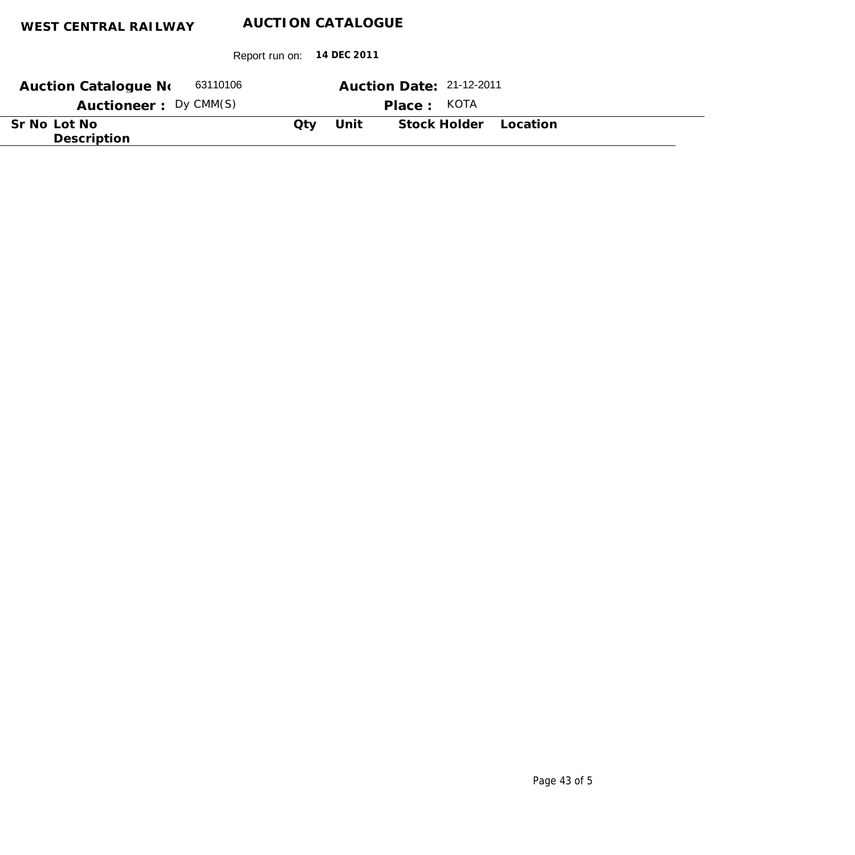| 63110106<br><b>Auction Catalogue No</b> |     |      | Auction Date: 21-12-2011 |
|-----------------------------------------|-----|------|--------------------------|
| Auctioneer: Dy CMM(S)                   |     |      | Place: KOTA              |
| Sr No Lot No<br>Description             | Otv | Unit | Stock Holder Location    |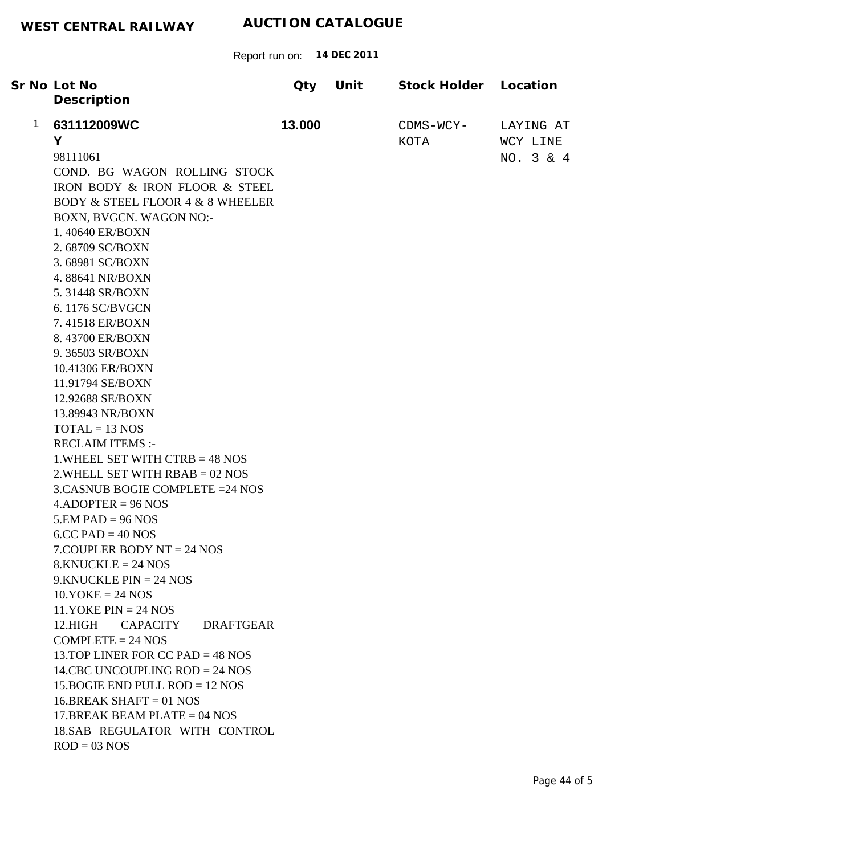| Sr No Lot No                                    | Qty    | Unit | Stock Holder | Location  |
|-------------------------------------------------|--------|------|--------------|-----------|
| Description                                     |        |      |              |           |
|                                                 |        |      |              |           |
| 1<br>631112009WC                                | 13.000 |      | CDMS-WCY-    | LAYING AT |
| Y                                               |        |      | KOTA         | WCY LINE  |
| 98111061                                        |        |      |              | NO. 3 & 4 |
| COND. BG WAGON ROLLING STOCK                    |        |      |              |           |
| IRON BODY & IRON FLOOR & STEEL                  |        |      |              |           |
| <b>BODY &amp; STEEL FLOOR 4 &amp; 8 WHEELER</b> |        |      |              |           |
| BOXN, BVGCN. WAGON NO:-                         |        |      |              |           |
| 1.40640 ER/BOXN                                 |        |      |              |           |
| 2.68709 SC/BOXN                                 |        |      |              |           |
| 3.68981 SC/BOXN                                 |        |      |              |           |
| 4.88641 NR/BOXN                                 |        |      |              |           |
| 5.31448 SR/BOXN                                 |        |      |              |           |
| 6.1176 SC/BVGCN                                 |        |      |              |           |
| 7.41518 ER/BOXN                                 |        |      |              |           |
| 8.43700 ER/BOXN                                 |        |      |              |           |
| 9.36503 SR/BOXN                                 |        |      |              |           |
| 10.41306 ER/BOXN                                |        |      |              |           |
| 11.91794 SE/BOXN                                |        |      |              |           |
| 12.92688 SE/BOXN                                |        |      |              |           |
| 13.89943 NR/BOXN                                |        |      |              |           |
| $TOTAL = 13 NOS$                                |        |      |              |           |
| <b>RECLAIM ITEMS:-</b>                          |        |      |              |           |
| 1. WHEEL SET WITH CTRB $=$ 48 NOS               |        |      |              |           |
| $2.$ WHELL SET WITH RBAB = 02 NOS               |        |      |              |           |
| 3.CASNUB BOGIE COMPLETE = 24 NOS                |        |      |              |           |
| $4.$ ADOPTER = 96 NOS                           |        |      |              |           |
| $5.EM$ PAD = 96 NOS                             |        |      |              |           |
| $6$ .CC PAD = 40 NOS                            |        |      |              |           |
| $7$ . COUPLER BODY NT = 24 NOS                  |        |      |              |           |
| $8.KNUCKLE = 24 NOS$                            |        |      |              |           |
| $9.KNUCKLE PIN = 24 NOS$                        |        |      |              |           |
| $10.YOKE = 24 NOS$                              |        |      |              |           |
| 11.YOKE $PIN = 24 NOS$                          |        |      |              |           |
| 12.HIGH<br><b>CAPACITY</b><br><b>DRAFTGEAR</b>  |        |      |              |           |
| $COMPLETE = 24 NOS$                             |        |      |              |           |
| 13. TOP LINER FOR CC PAD = $48$ NOS             |        |      |              |           |
| 14.CBC UNCOUPLING $ROD = 24$ NOS                |        |      |              |           |
| 15. BOGIE END PULL ROD = $12$ NOS               |        |      |              |           |
| $16.BREAK SHAFT = 01 NOS$                       |        |      |              |           |
| 17. BREAK BEAM PLATE = $04$ NOS                 |        |      |              |           |
| 18.SAB REGULATOR WITH CONTROL                   |        |      |              |           |
| $ROD = 03 NOS$                                  |        |      |              |           |
|                                                 |        |      |              |           |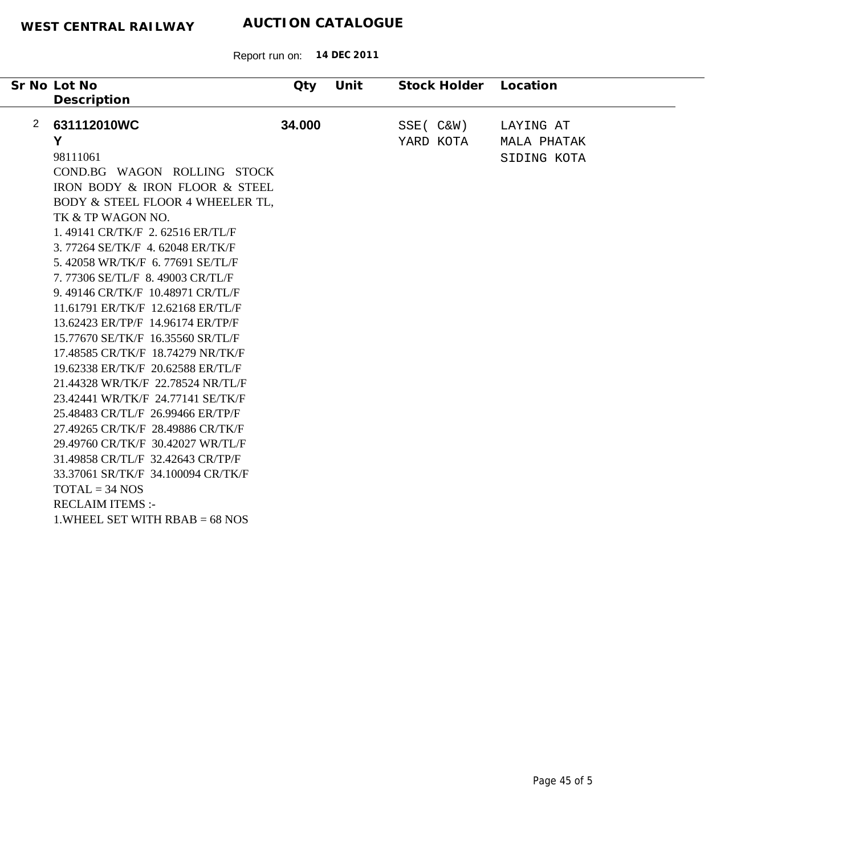|   | Sr No Lot No<br>Description        | Qty    | Unit | Stock Holder | Location    |
|---|------------------------------------|--------|------|--------------|-------------|
| 2 | 631112010WC                        | 34.000 |      | SSE ( C&W)   | LAYING AT   |
|   | Y                                  |        |      | YARD KOTA    | MALA PHATAK |
|   | 98111061                           |        |      |              | SIDING KOTA |
|   | COND.BG WAGON ROLLING STOCK        |        |      |              |             |
|   | IRON BODY & IRON FLOOR & STEEL     |        |      |              |             |
|   | BODY & STEEL FLOOR 4 WHEELER TL,   |        |      |              |             |
|   | TK & TP WAGON NO.                  |        |      |              |             |
|   | 1.49141 CR/TK/F 2.62516 ER/TL/F    |        |      |              |             |
|   | 3.77264 SE/TK/F 4.62048 ER/TK/F    |        |      |              |             |
|   | 5.42058 WR/TK/F 6.77691 SE/TL/F    |        |      |              |             |
|   | 7.77306 SE/TL/F 8.49003 CR/TL/F    |        |      |              |             |
|   | 9.49146 CR/TK/F 10.48971 CR/TL/F   |        |      |              |             |
|   | 11.61791 ER/TK/F 12.62168 ER/TL/F  |        |      |              |             |
|   | 13.62423 ER/TP/F 14.96174 ER/TP/F  |        |      |              |             |
|   | 15.77670 SE/TK/F 16.35560 SR/TL/F  |        |      |              |             |
|   | 17.48585 CR/TK/F 18.74279 NR/TK/F  |        |      |              |             |
|   | 19.62338 ER/TK/F 20.62588 ER/TL/F  |        |      |              |             |
|   | 21.44328 WR/TK/F 22.78524 NR/TL/F  |        |      |              |             |
|   | 23.42441 WR/TK/F 24.77141 SE/TK/F  |        |      |              |             |
|   | 25.48483 CR/TL/F 26.99466 ER/TP/F  |        |      |              |             |
|   | 27.49265 CR/TK/F 28.49886 CR/TK/F  |        |      |              |             |
|   | 29.49760 CR/TK/F 30.42027 WR/TL/F  |        |      |              |             |
|   | 31.49858 CR/TL/F 32.42643 CR/TP/F  |        |      |              |             |
|   | 33.37061 SR/TK/F 34.100094 CR/TK/F |        |      |              |             |
|   | $TOTAL = 34 NOS$                   |        |      |              |             |
|   | <b>RECLAIM ITEMS:-</b>             |        |      |              |             |
|   | 1. WHEEL SET WITH $RBAB = 68$ NOS  |        |      |              |             |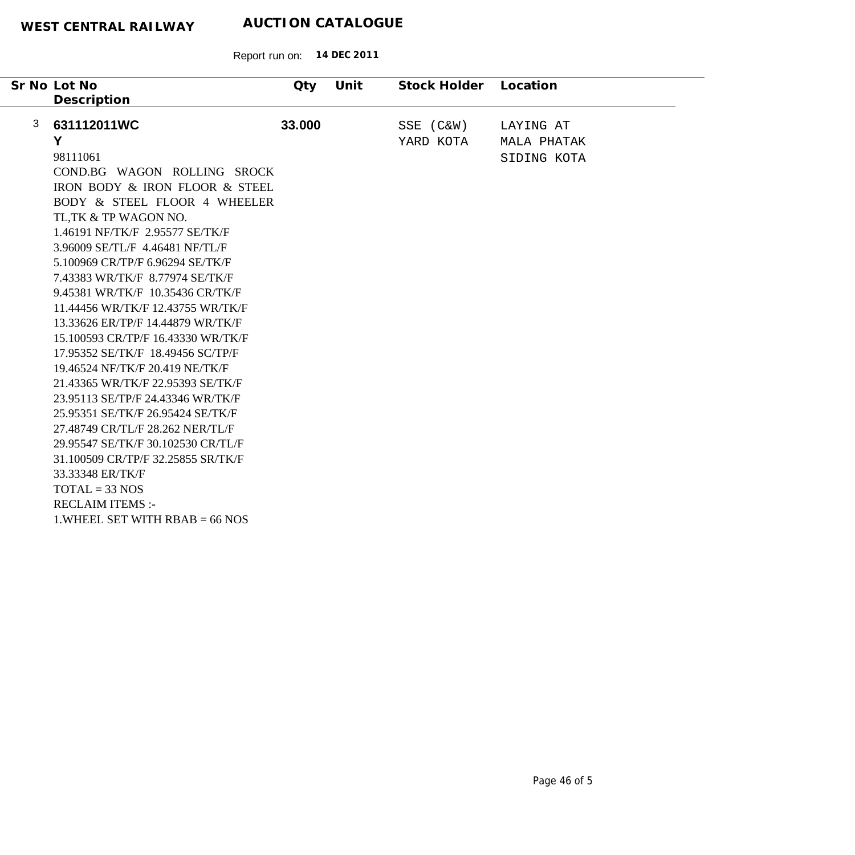|   | Sr No Lot No<br>Description        | Qty    | Unit | Stock Holder | Location    |
|---|------------------------------------|--------|------|--------------|-------------|
| 3 | 631112011WC                        | 33.000 |      | SSE (C&W)    | LAYING AT   |
|   | Y                                  |        |      | YARD KOTA    | MALA PHATAK |
|   | 98111061                           |        |      |              | SIDING KOTA |
|   | COND.BG WAGON ROLLING SROCK        |        |      |              |             |
|   | IRON BODY & IRON FLOOR & STEEL     |        |      |              |             |
|   | BODY & STEEL FLOOR 4 WHEELER       |        |      |              |             |
|   | TL, TK & TP WAGON NO.              |        |      |              |             |
|   | 1.46191 NF/TK/F 2.95577 SE/TK/F    |        |      |              |             |
|   | 3.96009 SE/TL/F 4.46481 NF/TL/F    |        |      |              |             |
|   | 5.100969 CR/TP/F 6.96294 SE/TK/F   |        |      |              |             |
|   | 7.43383 WR/TK/F 8.77974 SE/TK/F    |        |      |              |             |
|   | 9.45381 WR/TK/F 10.35436 CR/TK/F   |        |      |              |             |
|   | 11.44456 WR/TK/F 12.43755 WR/TK/F  |        |      |              |             |
|   | 13.33626 ER/TP/F 14.44879 WR/TK/F  |        |      |              |             |
|   | 15.100593 CR/TP/F 16.43330 WR/TK/F |        |      |              |             |
|   | 17.95352 SE/TK/F 18.49456 SC/TP/F  |        |      |              |             |
|   | 19.46524 NF/TK/F 20.419 NE/TK/F    |        |      |              |             |
|   | 21.43365 WR/TK/F 22.95393 SE/TK/F  |        |      |              |             |
|   | 23.95113 SE/TP/F 24.43346 WR/TK/F  |        |      |              |             |
|   | 25.95351 SE/TK/F 26.95424 SE/TK/F  |        |      |              |             |
|   | 27.48749 CR/TL/F 28.262 NER/TL/F   |        |      |              |             |
|   | 29.95547 SE/TK/F 30.102530 CR/TL/F |        |      |              |             |
|   | 31.100509 CR/TP/F 32.25855 SR/TK/F |        |      |              |             |
|   | 33.33348 ER/TK/F                   |        |      |              |             |
|   | $TOTAL = 33 NOS$                   |        |      |              |             |
|   | <b>RECLAIM ITEMS:-</b>             |        |      |              |             |
|   | 1. WHEEL SET WITH $RBAB = 66$ NOS  |        |      |              |             |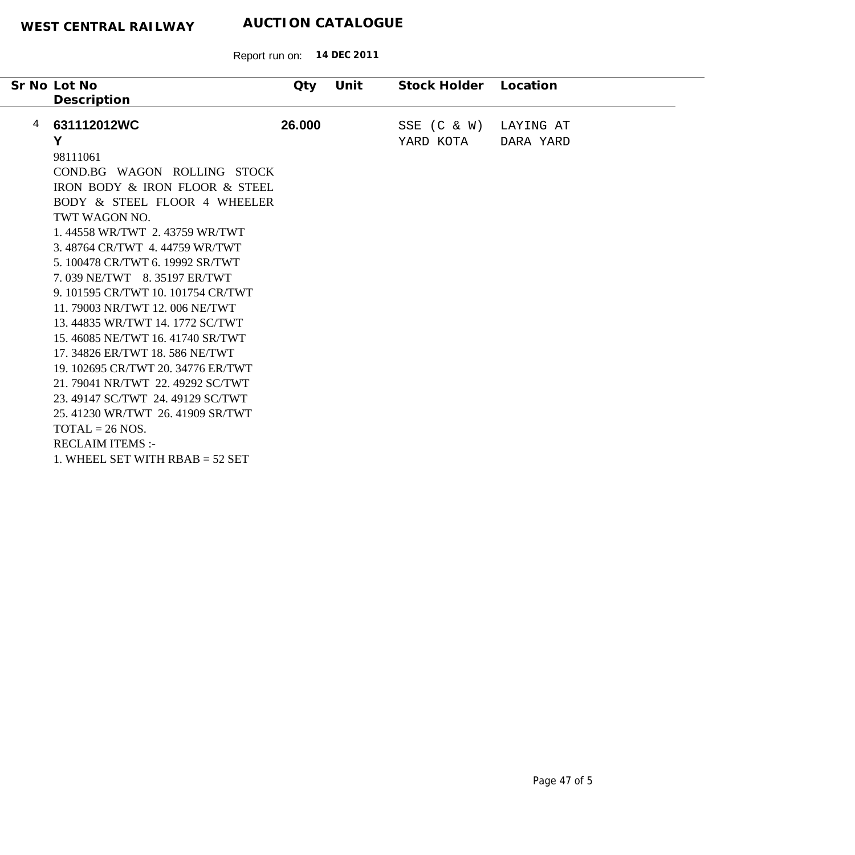|   | Sr No Lot No                       | Qty    | Unit | Stock Holder    | Location  |
|---|------------------------------------|--------|------|-----------------|-----------|
|   | Description                        |        |      |                 |           |
| 4 | 631112012WC                        | 26.000 |      | $SSE$ $(C & W)$ | LAYING AT |
|   | Υ                                  |        |      | YARD KOTA       | DARA YARD |
|   | 98111061                           |        |      |                 |           |
|   | COND.BG WAGON ROLLING STOCK        |        |      |                 |           |
|   | IRON BODY & IRON FLOOR & STEEL     |        |      |                 |           |
|   | BODY & STEEL FLOOR 4 WHEELER       |        |      |                 |           |
|   | TWT WAGON NO.                      |        |      |                 |           |
|   | 1.44558 WR/TWT 2.43759 WR/TWT      |        |      |                 |           |
|   | 3.48764 CR/TWT 4.44759 WR/TWT      |        |      |                 |           |
|   | 5. 100478 CR/TWT 6. 19992 SR/TWT   |        |      |                 |           |
|   | 7.039 NE/TWT 8.35197 ER/TWT        |        |      |                 |           |
|   | 9. 101595 CR/TWT 10. 101754 CR/TWT |        |      |                 |           |
|   | 11.79003 NR/TWT 12.006 NE/TWT      |        |      |                 |           |
|   | 13.44835 WR/TWT 14.1772 SC/TWT     |        |      |                 |           |
|   | 15.46085 NE/TWT 16.41740 SR/TWT    |        |      |                 |           |
|   | 17. 34826 ER/TWT 18. 586 NE/TWT    |        |      |                 |           |
|   | 19. 102695 CR/TWT 20. 34776 ER/TWT |        |      |                 |           |
|   | 21.79041 NR/TWT 22.49292 SC/TWT    |        |      |                 |           |
|   | 23.49147 SC/TWT 24.49129 SC/TWT    |        |      |                 |           |
|   | 25.41230 WR/TWT 26.41909 SR/TWT    |        |      |                 |           |
|   | $TOTAL = 26 NOS.$                  |        |      |                 |           |
|   | <b>RECLAIM ITEMS:-</b>             |        |      |                 |           |
|   | 1. WHEEL SET WITH $RBAB = 52$ SET  |        |      |                 |           |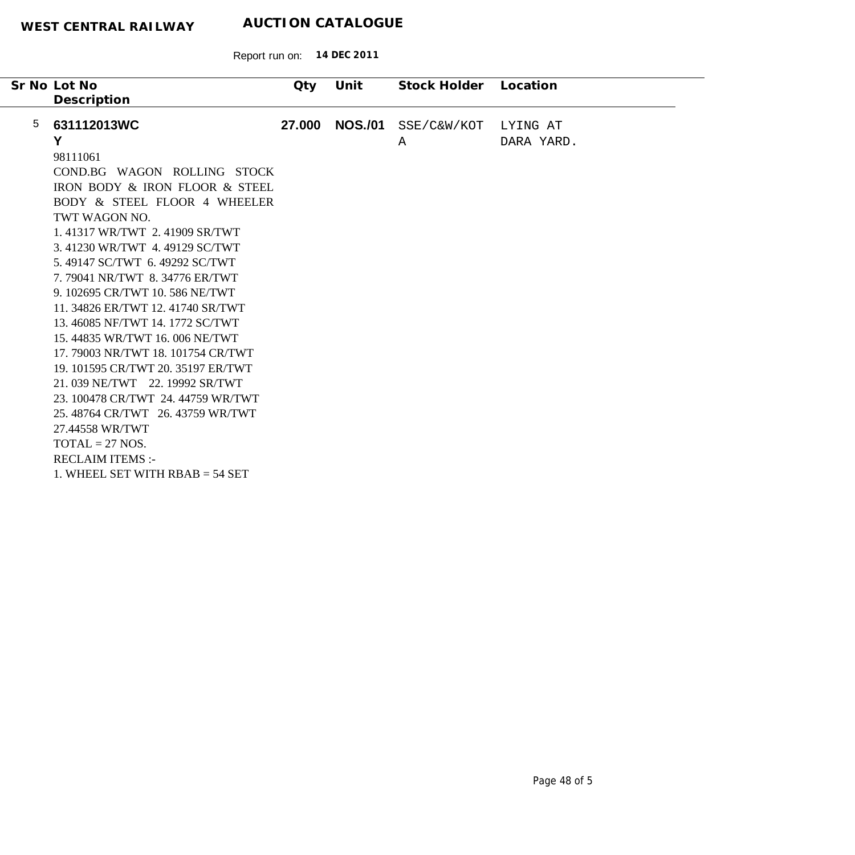|                 | Sr No Lot No<br>Description                                                                                                                                                                                                                                                                                                                                                                                                                                                                                                                                                                                                                                                         | Qty    | Unit           | Stock Holder     | Location               |
|-----------------|-------------------------------------------------------------------------------------------------------------------------------------------------------------------------------------------------------------------------------------------------------------------------------------------------------------------------------------------------------------------------------------------------------------------------------------------------------------------------------------------------------------------------------------------------------------------------------------------------------------------------------------------------------------------------------------|--------|----------------|------------------|------------------------|
| $5\phantom{.0}$ | 631112013WC<br>Y<br>98111061<br>COND.BG WAGON ROLLING STOCK<br>IRON BODY & IRON FLOOR & STEEL<br>BODY & STEEL FLOOR 4 WHEELER<br>TWT WAGON NO.<br>1.41317 WR/TWT 2.41909 SR/TWT<br>3.41230 WR/TWT 4.49129 SC/TWT<br>5.49147 SC/TWT 6.49292 SC/TWT<br>7.79041 NR/TWT 8.34776 ER/TWT<br>9. 102695 CR/TWT 10. 586 NE/TWT<br>11. 34826 ER/TWT 12. 41740 SR/TWT<br>13.46085 NF/TWT 14.1772 SC/TWT<br>15.44835 WR/TWT 16,006 NE/TWT<br>17.79003 NR/TWT 18.101754 CR/TWT<br>19. 101595 CR/TWT 20. 35197 ER/TWT<br>21.039 NE/TWT 22.19992 SR/TWT<br>23. 100478 CR/TWT 24. 44759 WR/TWT<br>25.48764 CR/TWT 26.43759 WR/TWT<br>27.44558 WR/TWT<br>$TOTAL = 27 NOS.$<br><b>RECLAIM ITEMS:-</b> | 27.000 | <b>NOS./01</b> | SSE/C&W/KOT<br>Α | LYING AT<br>DARA YARD. |
|                 | 1. WHEEL SET WITH $RBAB = 54$ SET                                                                                                                                                                                                                                                                                                                                                                                                                                                                                                                                                                                                                                                   |        |                |                  |                        |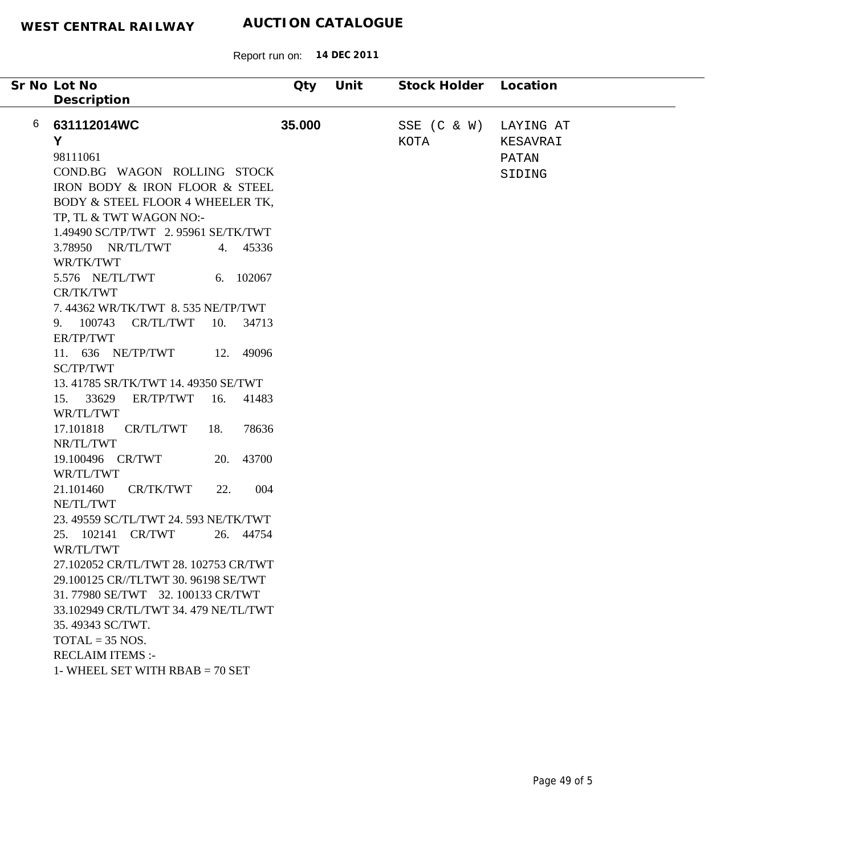|   | Sr No Lot No                                                                                                                                                                                                                                                                                                                                                                                                                                                                                                                                                                                                                                                                                                                                                                                                                                                                                                                                                                                                                                                             | <b>Qty</b> | Unit | Stock Holder Location   |                                          |
|---|--------------------------------------------------------------------------------------------------------------------------------------------------------------------------------------------------------------------------------------------------------------------------------------------------------------------------------------------------------------------------------------------------------------------------------------------------------------------------------------------------------------------------------------------------------------------------------------------------------------------------------------------------------------------------------------------------------------------------------------------------------------------------------------------------------------------------------------------------------------------------------------------------------------------------------------------------------------------------------------------------------------------------------------------------------------------------|------------|------|-------------------------|------------------------------------------|
| 6 | Description<br>631112014WC<br>Y<br>98111061<br>COND.BG WAGON ROLLING STOCK<br>IRON BODY & IRON FLOOR & STEEL<br>BODY & STEEL FLOOR 4 WHEELER TK,<br>TP, TL & TWT WAGON NO:-<br>1.49490 SC/TP/TWT 2.95961 SE/TK/TWT<br>3.78950 NR/TL/TWT<br>4. 45336<br>WR/TK/TWT<br>5.576 NE/TL/TWT<br>6. 102067<br>CR/TK/TWT<br>7.44362 WR/TK/TWT 8.535 NE/TP/TWT<br>9. 100743 CR/TL/TWT<br>10. 34713<br>ER/TP/TWT<br>11. 636 NE/TP/TWT<br>12. 49096<br>SC/TP/TWT<br>13.41785 SR/TK/TWT 14.49350 SE/TWT<br>15. 33629<br>ER/TP/TWT<br>16.<br>41483<br>WR/TL/TWT<br>17.101818<br>CR/TL/TWT<br>18.<br>78636<br>NR/TL/TWT<br>43700<br>19.100496 CR/TWT<br>20.<br>WR/TL/TWT<br>004<br>21.101460<br>CR/TK/TWT<br>22.<br>NE/TL/TWT<br>23. 49559 SC/TL/TWT 24. 593 NE/TK/TWT<br>25. 102141 CR/TWT<br>26. 44754<br>WR/TL/TWT<br>27.102052 CR/TL/TWT 28. 102753 CR/TWT<br>29.100125 CR/TLTWT 30. 96198 SE/TWT<br>31.77980 SE/TWT 32.100133 CR/TWT<br>33.102949 CR/TL/TWT 34.479 NE/TL/TWT<br>35.49343 SC/TWT.<br>$TOTAL = 35 NOS.$<br><b>RECLAIM ITEMS:-</b><br>1- WHEEL SET WITH $RBAB = 70$ SET | 35.000     |      | $SSE$ $(C & W)$<br>KOTA | LAYING AT<br>KESAVRAI<br>PATAN<br>SIDING |